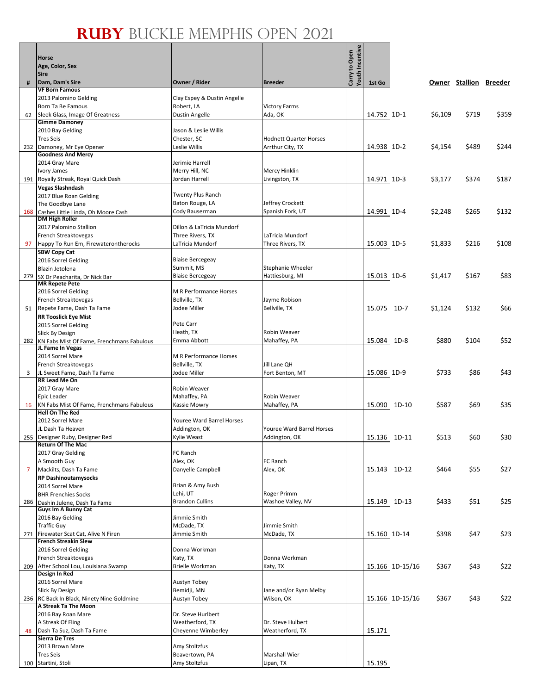|     | <b>Horse</b><br>Age, Color, Sex<br><b>Sire</b>                     |                                           |                                  | Carry to Open<br>Youth Incentive |              |                 |         |                        |       |
|-----|--------------------------------------------------------------------|-------------------------------------------|----------------------------------|----------------------------------|--------------|-----------------|---------|------------------------|-------|
| #   | Dam, Dam's Sire                                                    | Owner / Rider                             | <b>Breeder</b>                   |                                  | 1st Go       |                 |         | Owner Stallion Breeder |       |
|     | <b>VF Born Famous</b>                                              |                                           |                                  |                                  |              |                 |         |                        |       |
|     | 2013 Palomino Gelding<br>Born Ta Be Famous                         | Clay Espey & Dustin Angelle<br>Robert, LA |                                  |                                  |              |                 |         |                        |       |
| 62  | Sleek Glass, Image Of Greatness                                    | Dustin Angelle                            | Victory Farms<br>Ada, OK         |                                  | 14.752 1D-1  |                 | \$6,109 | \$719                  | \$359 |
|     | <b>Gimme Damoney</b>                                               |                                           |                                  |                                  |              |                 |         |                        |       |
|     | 2010 Bay Gelding                                                   | Jason & Leslie Willis                     |                                  |                                  |              |                 |         |                        |       |
|     | <b>Tres Seis</b>                                                   | Chester, SC<br>Leslie Willis              | <b>Hodnett Quarter Horses</b>    |                                  |              |                 |         |                        |       |
|     | 232 Damoney, Mr Eye Opener<br><b>Goodness And Mercy</b>            |                                           | Arrthur City, TX                 |                                  | 14.938 1D-2  |                 | \$4,154 | \$489                  | \$244 |
|     | 2014 Gray Mare                                                     | Jerimie Harrell                           |                                  |                                  |              |                 |         |                        |       |
|     | Ivory James                                                        | Merry Hill, NC                            | Mercy Hinklin                    |                                  |              |                 |         |                        |       |
|     | 191 Royally Streak, Royal Quick Dash                               | Jordan Harrell                            | Livingston, TX                   |                                  | 14.971 1D-3  |                 | \$3,177 | \$374                  | \$187 |
|     | Vegas Slashndash<br>2017 Blue Roan Gelding                         | <b>Twenty Plus Ranch</b>                  |                                  |                                  |              |                 |         |                        |       |
|     | The Goodbye Lane                                                   | Baton Rouge, LA                           | Jeffrey Crockett                 |                                  |              |                 |         |                        |       |
| 168 | Cashes Little Linda, Oh Moore Cash                                 | Cody Bauserman                            | Spanish Fork, UT                 |                                  | 14.991 1D-4  |                 | \$2,248 | \$265                  | \$132 |
|     | <b>DM High Roller</b><br>2017 Palomino Stallion                    | Dillon & LaTricia Mundorf                 |                                  |                                  |              |                 |         |                        |       |
|     | French Streaktovegas                                               | Three Rivers, TX                          | LaTricia Mundorf                 |                                  |              |                 |         |                        |       |
| 97  | Happy To Run Em, Firewaterontherocks                               | LaTricia Mundorf                          | Three Rivers, TX                 |                                  | 15.003       | $1D-5$          | \$1,833 | \$216                  | \$108 |
|     | <b>SBW Copy Cat</b>                                                |                                           |                                  |                                  |              |                 |         |                        |       |
|     | 2016 Sorrel Gelding<br>Blazin Jetolena                             | <b>Blaise Bercegeay</b><br>Summit, MS     | Stephanie Wheeler                |                                  |              |                 |         |                        |       |
| 279 | SX Dr Peacharita, Dr Nick Bar                                      | <b>Blaise Bercegeay</b>                   | Hattiesburg, MI                  |                                  | 15.013 1D-6  |                 | \$1,417 | \$167                  | \$83  |
|     | <b>MR Repete Pete</b>                                              |                                           |                                  |                                  |              |                 |         |                        |       |
|     | 2016 Sorrel Gelding                                                | M R Performance Horses                    |                                  |                                  |              |                 |         |                        |       |
| 51  | French Streaktovegas<br>Repete Fame, Dash Ta Fame                  | Bellville, TX<br>Jodee Miller             | Jayme Robison<br>Bellville, TX   |                                  | 15.075       | $1D-7$          | \$1,124 | \$132                  | \$66  |
|     | <b>RR Tooslick Eye Mist</b>                                        |                                           |                                  |                                  |              |                 |         |                        |       |
|     | 2015 Sorrel Gelding                                                | Pete Carr                                 |                                  |                                  |              |                 |         |                        |       |
|     | Slick By Design                                                    | Heath, TX                                 | Robin Weaver                     |                                  |              |                 |         |                        |       |
| 282 | KN Fabs Mist Of Fame, Frenchmans Fabulous<br>JL Fame In Vegas      | Emma Abbott                               | Mahaffey, PA                     |                                  | 15.084       | $1D-8$          | \$880   | \$104                  | \$52  |
|     | 2014 Sorrel Mare                                                   | M R Performance Horses                    |                                  |                                  |              |                 |         |                        |       |
|     | French Streaktovegas                                               | Bellville, TX                             | Jill Lane QH                     |                                  |              |                 |         |                        |       |
| 3   | JL Sweet Fame, Dash Ta Fame<br>RR Lead Me On                       | Jodee Miller                              | Fort Benton, MT                  |                                  | 15.086 1D-9  |                 | \$733   | \$86                   | \$43  |
|     | 2017 Gray Mare                                                     | Robin Weaver                              |                                  |                                  |              |                 |         |                        |       |
|     | Epic Leader                                                        | Mahaffey, PA                              | Robin Weaver                     |                                  |              |                 |         |                        |       |
| 16  | KN Fabs Mist Of Fame, Frenchmans Fabulous                          | Kassie Mowry                              | Mahaffey, PA                     |                                  | 15.090       | 1D-10           | \$587   | \$69                   | \$35  |
|     | <b>Hell On The Red</b><br>2012 Sorrel Mare                         | <b>Youree Ward Barrel Horses</b>          |                                  |                                  |              |                 |         |                        |       |
|     | JL Dash Ta Heaven                                                  | Addington, OK                             | <b>Youree Ward Barrel Horses</b> |                                  |              |                 |         |                        |       |
|     | 255 Designer Ruby, Designer Red                                    | Kylie Weast                               | Addington, OK                    |                                  | 15.136       | 1D-11           | \$513   | \$60                   | \$30  |
|     | <b>Return Of The Mac</b><br>2017 Gray Gelding                      | FC Ranch                                  |                                  |                                  |              |                 |         |                        |       |
|     | A Smooth Guy                                                       | Alex, OK                                  | FC Ranch                         |                                  |              |                 |         |                        |       |
| 7   | Mackilts, Dash Ta Fame                                             | Danyelle Campbell                         | Alex, OK                         |                                  | 15.143       | $1D-12$         | \$464   | \$55                   | \$27  |
|     | <b>RP Dashinoutamysocks</b>                                        |                                           |                                  |                                  |              |                 |         |                        |       |
|     | 2014 Sorrel Mare<br><b>BHR Frenchies Socks</b>                     | Brian & Amy Bush<br>Lehi, UT              | Roger Primm                      |                                  |              |                 |         |                        |       |
|     | 286 Dashin Julene, Dash Ta Fame                                    | <b>Brandon Cullins</b>                    | Washoe Valley, NV                |                                  | 15.149       | $1D-13$         | \$433   | \$51                   | \$25  |
|     | Guys Im A Bunny Cat                                                |                                           |                                  |                                  |              |                 |         |                        |       |
|     | 2016 Bay Gelding<br><b>Traffic Guy</b>                             | Jimmie Smith<br>McDade, TX                | Jimmie Smith                     |                                  |              |                 |         |                        |       |
|     | 271 Firewater Scat Cat, Alive N Firen                              | Jimmie Smith                              | McDade, TX                       |                                  | 15.160 1D-14 |                 | \$398   | \$47                   | \$23  |
|     | <b>French Streakin Slew</b>                                        |                                           |                                  |                                  |              |                 |         |                        |       |
|     | 2016 Sorrel Gelding                                                | Donna Workman                             |                                  |                                  |              |                 |         |                        |       |
| 209 | French Streaktovegas<br>After School Lou, Louisiana Swamp          | Katy, TX<br>Brielle Workman               | Donna Workman<br>Katy, TX        |                                  |              | 15.166 1D-15/16 | \$367   | \$43                   | \$22  |
|     | Design In Red                                                      |                                           |                                  |                                  |              |                 |         |                        |       |
|     | 2016 Sorrel Mare                                                   | Austyn Tobey                              |                                  |                                  |              |                 |         |                        |       |
|     | Slick By Design                                                    | Bemidji, MN                               | Jane and/or Ryan Melby           |                                  |              |                 |         |                        |       |
|     | 236 RC Back In Black, Ninety Nine Goldmine<br>A Streak Ta The Moon | Austyn Tobey                              | Wilson, OK                       |                                  |              | 15.166 1D-15/16 | \$367   | \$43                   | \$22  |
|     | 2016 Bay Roan Mare                                                 | Dr. Steve Hurlbert                        |                                  |                                  |              |                 |         |                        |       |
|     | A Streak Of Fling                                                  | Weatherford, TX                           | Dr. Steve Hulbert                |                                  |              |                 |         |                        |       |
| 48  | Dash Ta Suz, Dash Ta Fame<br><b>Sierra De Tres</b>                 | Cheyenne Wimberley                        | Weatherford, TX                  |                                  | 15.171       |                 |         |                        |       |
|     | 2013 Brown Mare                                                    | Amy Stoltzfus                             |                                  |                                  |              |                 |         |                        |       |
|     | <b>Tres Seis</b>                                                   | Beavertown, PA                            | Marshall Wier                    |                                  |              |                 |         |                        |       |
|     | 100 Startini, Stoli                                                | Amy Stoltzfus                             | Lipan, TX                        |                                  | 15.195       |                 |         |                        |       |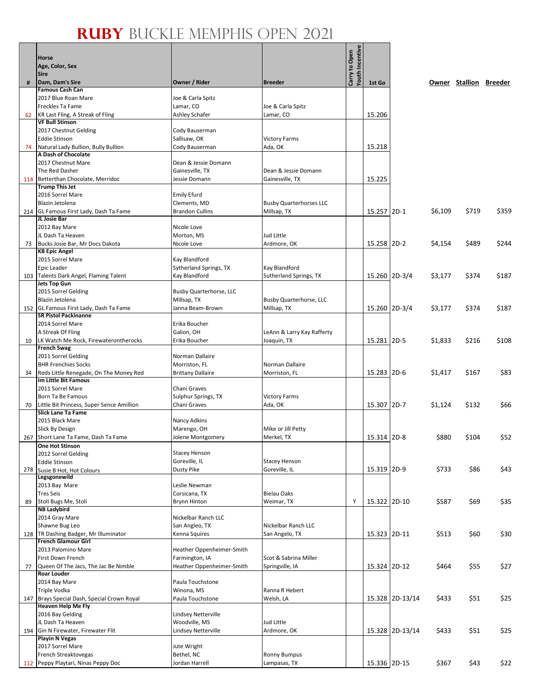|     | Horse                                                                  |                                         |                                  |                                         |               |                 |         |                        |       |
|-----|------------------------------------------------------------------------|-----------------------------------------|----------------------------------|-----------------------------------------|---------------|-----------------|---------|------------------------|-------|
|     | Age, Color, Sex<br><b>Sire</b>                                         |                                         |                                  |                                         |               |                 |         |                        |       |
| #   | Dam, Dam's Sire                                                        | Owner / Rider                           | <b>Breeder</b>                   | <b>/outh Incentive</b><br>Carry to Open | 1st Go        |                 |         | Owner Stallion Breeder |       |
|     | <b>Famous Cash Can</b>                                                 |                                         |                                  |                                         |               |                 |         |                        |       |
|     | 2017 Blue Roan Mare                                                    | Joe & Carla Spitz                       |                                  |                                         |               |                 |         |                        |       |
|     | Freckles Ta Fame                                                       | Lamar, CO                               | Joe & Carla Spitz                |                                         |               |                 |         |                        |       |
| 62  | KR Last Fling, A Streak of Fling<br><b>VF Bull Stinson</b>             | Ashley Schafer                          | Lamar, CO                        |                                         | 15.206        |                 |         |                        |       |
|     | 2017 Chestnut Gelding                                                  | Cody Bauserman                          |                                  |                                         |               |                 |         |                        |       |
|     | <b>Eddie Stinson</b>                                                   | Sallisaw, OK                            | <b>Victory Farms</b>             |                                         |               |                 |         |                        |       |
| 74  | Natural Lady Bullion, Bully Bullion                                    | Cody Bauserman                          | Ada, OK                          |                                         | 15.218        |                 |         |                        |       |
|     | A Dash of Chocolate                                                    |                                         |                                  |                                         |               |                 |         |                        |       |
|     | 2017 Chestnut Mare<br>The Red Dasher                                   | Dean & Jessie Domann<br>Gainesville, TX | Dean & Jessie Domann             |                                         |               |                 |         |                        |       |
|     | 114 Betterthan Chocolate, Merridoc                                     | Jessie Domann                           | Gainesville, TX                  |                                         | 15.225        |                 |         |                        |       |
|     | <b>Trump This Jet</b>                                                  |                                         |                                  |                                         |               |                 |         |                        |       |
|     | 2016 Sorrel Mare                                                       | <b>Emily Efurd</b>                      |                                  |                                         |               |                 |         |                        |       |
|     | Blazin Jetolena                                                        | Clements, MD                            | <b>Busby Quarterhorses LLC</b>   |                                         |               |                 |         |                        |       |
|     | 214 GL Famous First Lady, Dash Ta Fame<br>JL Josie Bar                 | <b>Brandon Cullins</b>                  | Millsap, TX                      |                                         | 15.257 2D-1   |                 | \$6,109 | \$719                  | \$359 |
|     | 2012 Bay Mare                                                          | Nicole Love                             |                                  |                                         |               |                 |         |                        |       |
|     | JL Dash Ta Heaven                                                      | Morton, MS                              | Jud Little                       |                                         |               |                 |         |                        |       |
| 73  | Bucks Josie Bar, Mr Docs Dakota                                        | Nicole Love                             | Ardmore, OK                      |                                         | 15.258 2D-2   |                 | \$4,154 | \$489                  | \$244 |
|     | <b>KB Epic Angel</b>                                                   |                                         |                                  |                                         |               |                 |         |                        |       |
|     | 2015 Sorrel Mare<br>Epic Leader                                        | Kay Blandford<br>Sytherland Springs, TX | Kay Blandford                    |                                         |               |                 |         |                        |       |
|     | 103 Talents Dark Angel, Flaming Talent                                 | Kay Blandford                           | Sutherland Springs, TX           |                                         | 15.260 2D-3/4 |                 | \$3,177 | \$374                  | \$187 |
|     | <b>Jets Top Gun</b>                                                    |                                         |                                  |                                         |               |                 |         |                        |       |
|     | 2015 Sorrel Gelding                                                    | Busby Quarterhorse, LLC                 |                                  |                                         |               |                 |         |                        |       |
|     | Blazin Jetolena                                                        | Millsap, TX                             | Busby Quarterhorse, LLC          |                                         |               |                 |         |                        |       |
|     | 152 GL Famous First Lady, Dash Ta Fame<br><b>SR Pistol Packinanne</b>  | Janna Beam-Brown                        | Millsap, TX                      |                                         | 15.260 2D-3/4 |                 | \$3,177 | \$374                  | \$187 |
|     | 2014 Sorrel Mare                                                       | Erika Boucher                           |                                  |                                         |               |                 |         |                        |       |
|     | A Streak Of Fling                                                      | Galion, OH                              | LeAnn & Larry Kay Rafferty       |                                         |               |                 |         |                        |       |
| 10  | LK Watch Me Rock, Firewaterontherocks                                  | Erika Boucher                           | Joaquin, TX                      |                                         | 15.281 2D-5   |                 | \$1,833 | \$216                  | \$108 |
|     | <b>French Swag</b>                                                     |                                         |                                  |                                         |               |                 |         |                        |       |
|     | 2011 Sorrel Gelding<br><b>BHR Frenchies Socks</b>                      | Norman Dallaire<br>Morriston, FL        | Norman Dallaire                  |                                         |               |                 |         |                        |       |
| 34  | Reds Little Renegade, On The Money Red                                 | <b>Brittany Dallaire</b>                | Morriston, FL                    |                                         | 15.283 2D-6   |                 | \$1,417 | \$167                  | \$83  |
|     | Im Little Bit Famous                                                   |                                         |                                  |                                         |               |                 |         |                        |       |
|     | 2011 Sorrel Mare                                                       | Chani Graves                            |                                  |                                         |               |                 |         |                        |       |
|     | Born Ta Be Famous                                                      | Sulphur Springs, TX                     | <b>Victory Farms</b>             |                                         |               |                 |         |                        |       |
| 70  | Little Bit Princess, Super Sence Amillion<br><b>Slick Lane Ta Fame</b> | Chani Graves                            | Ada, OK                          |                                         | 15.307 2D-7   |                 | \$1,124 | \$132                  | \$66  |
|     | 2015 Black Mare                                                        | Nancy Adkins                            |                                  |                                         |               |                 |         |                        |       |
|     | Slick By Design                                                        | Marengo, OH                             | Mike or Jill Petty               |                                         |               |                 |         |                        |       |
|     | 267 Short Lane Ta Fame, Dash Ta Fame                                   | Jolene Montgomery                       | Merkel, TX                       |                                         | 15.314 2D-8   |                 | \$880   | \$104                  | \$52  |
|     | One Hot Stinson                                                        | <b>Stacey Henson</b>                    |                                  |                                         |               |                 |         |                        |       |
|     | 2012 Sorrel Gelding<br><b>Eddie Stinson</b>                            | Goreville, IL                           | <b>Stacey Henson</b>             |                                         |               |                 |         |                        |       |
| 278 | Susie B Hot, Hot Colours                                               | Dusty Pike                              | Goreville, IL                    |                                         | 15.319 2D-9   |                 | \$733   | \$86                   | \$43  |
|     | Legsgonewild                                                           |                                         |                                  |                                         |               |                 |         |                        |       |
|     | 2013 Bay Mare                                                          | Leslie Newman                           |                                  |                                         |               |                 |         |                        |       |
| 89  | <b>Tres Seis</b><br>Stoli Bugs Me, Stoli                               | Corsicana, TX<br><b>Brynn Hinton</b>    | <b>Bielau Oaks</b><br>Weimar, TX | Υ                                       | 15.322 2D-10  |                 | \$587   | \$69                   | \$35  |
|     | <b>NB Ladybird</b>                                                     |                                         |                                  |                                         |               |                 |         |                        |       |
|     | 2014 Gray Mare                                                         | Nickelbar Ranch LLC                     |                                  |                                         |               |                 |         |                        |       |
|     | Shawne Bug Leo                                                         | San Angleo, TX                          | Nickelbar Ranch LLC              |                                         |               |                 |         |                        |       |
|     | 128 TR Dashing Badger, Mr Illuminator                                  | Kenna Squires                           | San Angelo, TX                   |                                         | 15.323 2D-11  |                 | \$513   | \$60                   | \$30  |
|     | <b>French Glamour Girl</b><br>2013 Palomino Mare                       | Heather Oppenheimer-Smith               |                                  |                                         |               |                 |         |                        |       |
|     | First Down French                                                      | Farmington, IA                          | Scot & Sabrina Miller            |                                         |               |                 |         |                        |       |
| 77  | Queen Of The Jacs, The Jac Be Nimble                                   | Heather Oppenheimer-Smith               | Springville, IA                  |                                         | 15.324 2D-12  |                 | \$464   | \$55                   | \$27  |
|     | <b>Roar Louder</b>                                                     |                                         |                                  |                                         |               |                 |         |                        |       |
|     | 2014 Bay Mare                                                          | Paula Touchstone                        |                                  |                                         |               |                 |         |                        |       |
|     | Triple Vodka<br>147 Brays Special Dash, Special Crown Royal            | Winona, MS<br>Paula Touchstone          | Ranna R Hebert<br>Welsh, LA      |                                         |               | 15.328 2D-13/14 | \$433   | \$51                   | \$25  |
|     | <b>Heaven Help Me Fly</b>                                              |                                         |                                  |                                         |               |                 |         |                        |       |
|     | 2016 Bay Gelding                                                       | Lindsey Netterville                     |                                  |                                         |               |                 |         |                        |       |
|     | JL Dash Ta Heaven                                                      | Woodville, MS                           | Jud Little                       |                                         |               |                 |         |                        |       |
|     | 194 Gin N Firewater, Firewater Flit                                    | Lindsey Netterville                     | Ardmore, OK                      |                                         |               | 15.328 2D-13/14 | \$433   | \$51                   | \$25  |
|     | <b>Playin N Vegas</b><br>2017 Sorrel Mare                              | Jute Wright                             |                                  |                                         |               |                 |         |                        |       |
|     | French Streaktovegas                                                   | Bethel, NC                              | <b>Ronny Bumpus</b>              |                                         |               |                 |         |                        |       |
|     | 112 Peppy Playtari, Ninas Peppy Doc                                    | Jordan Harrell                          | Lampasas, TX                     |                                         | 15.336 2D-15  |                 | \$367   | \$43                   | \$22  |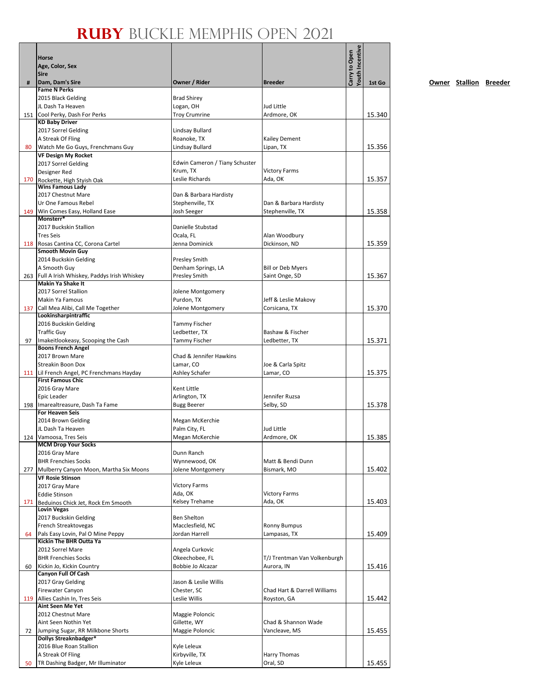| #   | <b>Horse</b><br>Age, Color, Sex<br><b>Sire</b><br>Dam, Dam's Sire      | Owner / Rider                       | <b>Breeder</b>                             | Youth Incentive<br>Carry to Open | 1st Go |
|-----|------------------------------------------------------------------------|-------------------------------------|--------------------------------------------|----------------------------------|--------|
|     | <b>Fame N Perks</b>                                                    |                                     |                                            |                                  |        |
|     | 2015 Black Gelding                                                     | <b>Brad Shirey</b>                  |                                            |                                  |        |
|     | JL Dash Ta Heaven                                                      | Logan, OH                           | Jud Little                                 |                                  |        |
|     | 151 Cool Perky, Dash For Perks<br><b>KD Baby Driver</b>                | <b>Troy Crumrine</b>                | Ardmore, OK                                |                                  | 15.340 |
|     | 2017 Sorrel Gelding                                                    | Lindsay Bullard                     |                                            |                                  |        |
|     | A Streak Of Fling                                                      | Roanoke, TX                         | Kailey Dement                              |                                  |        |
| 80  | Watch Me Go Guys, Frenchmans Guy                                       | Lindsay Bullard                     | Lipan, TX                                  |                                  | 15.356 |
|     | <b>VF Design My Rocket</b><br>2017 Sorrel Gelding                      | Edwin Cameron / Tiany Schuster      |                                            |                                  |        |
|     | Designer Red                                                           | Krum, TX                            | <b>Victory Farms</b>                       |                                  |        |
|     | 170 Rockette, High Styish Oak                                          | Leslie Richards                     | Ada, OK                                    |                                  | 15.357 |
|     | <b>Wins Famous Lady</b><br>2017 Chestnut Mare                          | Dan & Barbara Hardisty              |                                            |                                  |        |
|     | Ur One Famous Rebel                                                    | Stephenville, TX                    | Dan & Barbara Hardisty                     |                                  |        |
|     | 149 Win Comes Easy, Holland Ease                                       | Josh Seeger                         | Stephenville, TX                           |                                  | 15.358 |
|     | Monsterr*<br>2017 Buckskin Stallion                                    | Danielle Stubstad                   |                                            |                                  |        |
|     | <b>Tres Seis</b>                                                       | Ocala, FL                           | Alan Woodbury                              |                                  |        |
|     | 118 Rosas Cantina CC, Corona Cartel                                    | Jenna Dominick                      | Dickinson, ND                              |                                  | 15.359 |
|     | <b>Smooth Movin Guy</b>                                                |                                     |                                            |                                  |        |
|     | 2014 Buckskin Gelding                                                  | <b>Presley Smith</b>                |                                            |                                  |        |
|     | A Smooth Guy<br>263 Full A Irish Whiskey, Paddys Irish Whiskey         | Denham Springs, LA<br>Presley Smith | <b>Bill or Deb Myers</b><br>Saint Onge, SD |                                  | 15.367 |
|     | <b>Makin Ya Shake It</b>                                               |                                     |                                            |                                  |        |
|     | 2017 Sorrel Stallion                                                   | Jolene Montgomery                   |                                            |                                  |        |
|     | Makin Ya Famous                                                        | Purdon, TX                          | Jeff & Leslie Makovy                       |                                  |        |
|     | 137 Call Mea Alibi, Call Me Together<br>Lookinsharpintraffic           | Jolene Montgomery                   | Corsicana, TX                              |                                  | 15.370 |
|     | 2016 Buckskin Gelding                                                  | <b>Tammy Fischer</b>                |                                            |                                  |        |
|     | <b>Traffic Guy</b>                                                     | Ledbetter, TX                       | Bashaw & Fischer                           |                                  |        |
| 97  | Imakeitlookeasy, Scooping the Cash<br><b>Boons French Angel</b>        | <b>Tammy Fischer</b>                | Ledbetter, TX                              |                                  | 15.371 |
|     | 2017 Brown Mare                                                        | Chad & Jennifer Hawkins             |                                            |                                  |        |
|     | Streakin Boon Dox                                                      | Lamar, CO                           | Joe & Carla Spitz                          |                                  |        |
|     | 111 Lil French Angel, PC Frenchmans Hayday<br><b>First Famous Chic</b> | Ashley Schafer                      | Lamar, CO                                  |                                  | 15.375 |
|     | 2016 Gray Mare                                                         | Kent Little                         |                                            |                                  |        |
|     | Epic Leader                                                            | Arlington, TX                       | Jennifer Ruzsa                             |                                  |        |
|     | 198   Imarealtreasure, Dash Ta Fame                                    | Bugg Beerer                         | Selby, SD                                  |                                  | 15.378 |
|     | <b>For Heaven Seis</b><br>2014 Brown Gelding                           | Megan McKerchie                     |                                            |                                  |        |
|     | JL Dash Ta Heaven                                                      | Palm City, FL                       | Jud Little                                 |                                  |        |
|     | 124 Vamoosa, Tres Seis                                                 | Megan McKerchie                     | Ardmore, OK                                |                                  | 15.385 |
|     | <b>MCM Drop Your Socks</b>                                             |                                     |                                            |                                  |        |
|     | 2016 Gray Mare<br><b>BHR Frenchies Socks</b>                           | Dunn Ranch<br>Wynnewood, OK         | Matt & Bendi Dunn                          |                                  |        |
| 277 | Mulberry Canyon Moon, Martha Six Moons                                 | Jolene Montgomery                   | Bismark, MO                                |                                  | 15.402 |
|     | <b>VF Rosie Stinson</b>                                                |                                     |                                            |                                  |        |
|     | 2017 Gray Mare                                                         | <b>Victory Farms</b>                |                                            |                                  |        |
| 171 | <b>Eddie Stinson</b><br>Beduinos Chick Jet, Rock Em Smooth             | Ada, OK<br>Kelsey Trehame           | <b>Victory Farms</b><br>Ada, OK            |                                  | 15.403 |
|     | <b>Lovin Vegas</b>                                                     |                                     |                                            |                                  |        |
|     | 2017 Buckskin Gelding                                                  | <b>Ben Shelton</b>                  |                                            |                                  |        |
|     | French Streaktovegas                                                   | Macclesfield, NC<br>Jordan Harrell  | <b>Ronny Bumpus</b><br>Lampasas, TX        |                                  | 15.409 |
| 64  | Pals Easy Lovin, Pal O Mine Peppy<br>Kickin The BHR Outta Ya           |                                     |                                            |                                  |        |
|     | 2012 Sorrel Mare                                                       | Angela Curkovic                     |                                            |                                  |        |
|     | <b>BHR Frenchies Socks</b>                                             | Okeechobee, FL                      | T/J Trentman Van Volkenburgh               |                                  |        |
| 60  | Kickin Jo, Kickin Country<br><b>Canyon Full Of Cash</b>                | Bobbie Jo Alcazar                   | Aurora, IN                                 |                                  | 15.416 |
|     | 2017 Gray Gelding                                                      | Jason & Leslie Willis               |                                            |                                  |        |
|     | Firewater Canyon                                                       | Chester, SC                         | Chad Hart & Darrell Williams               |                                  |        |
|     | 119 Allies Cashin In, Tres Seis                                        | Leslie Willis                       | Royston, GA                                |                                  | 15.442 |
|     | Aint Seen Me Yet<br>2012 Chestnut Mare                                 | Maggie Poloncic                     |                                            |                                  |        |
|     | Aint Seen Nothin Yet                                                   | Gillette, WY                        | Chad & Shannon Wade                        |                                  |        |
| 72  | Jumping Sugar, RR Milkbone Shorts                                      | Maggie Poloncic                     | Vancleave, MS                              |                                  | 15.455 |
|     | Dollys Streaknbadger*                                                  |                                     |                                            |                                  |        |
|     | 2016 Blue Roan Stallion<br>A Streak Of Fling                           | Kyle Leleux<br>Kirbyville, TX       | Harry Thomas                               |                                  |        |
| 50  | TR Dashing Badger, Mr Illuminator                                      | Kyle Leleux                         | Oral, SD                                   |                                  | 15.455 |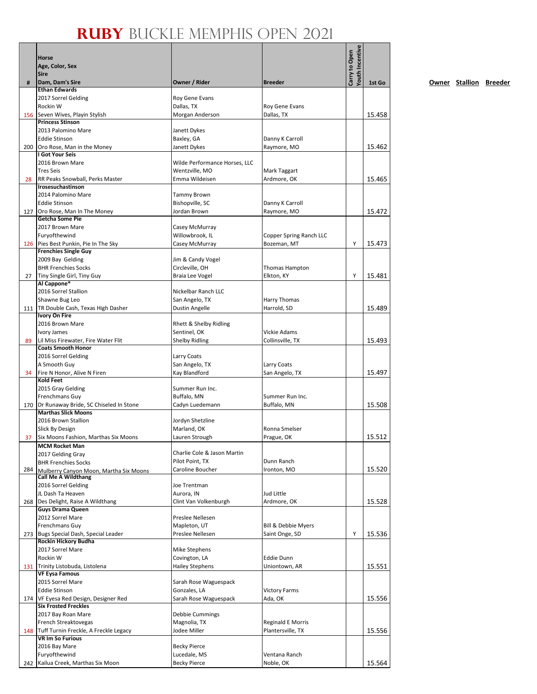|     | Horse<br>Age, Color, Sex<br><b>Sire</b>                              |                                         | <b>Breeder</b>                     | <b><i>routh</i></b> Incentive<br>Carry to Open |        |
|-----|----------------------------------------------------------------------|-----------------------------------------|------------------------------------|------------------------------------------------|--------|
| #   | Dam, Dam's Sire<br><b>Ethan Edwards</b>                              | Owner / Rider                           |                                    |                                                | 1st Go |
|     | 2017 Sorrel Gelding                                                  | Roy Gene Evans                          |                                    |                                                |        |
|     | Rockin W                                                             | Dallas, TX                              | Roy Gene Evans                     |                                                |        |
|     | 156 Seven Wives, Playin Stylish                                      | Morgan Anderson                         | Dallas, TX                         |                                                | 15.458 |
|     | <b>Princess Stinson</b>                                              |                                         |                                    |                                                |        |
|     | 2013 Palomino Mare                                                   | Janett Dykes                            |                                    |                                                |        |
|     | <b>Eddie Stinson</b>                                                 | Baxley, GA                              | Danny K Carroll                    |                                                |        |
|     | 200 Oro Rose, Man in the Money<br>I Got Your Seis                    | Janett Dykes                            | Raymore, MO                        |                                                | 15.462 |
|     | 2016 Brown Mare                                                      | Wilde Performance Horses, LLC           |                                    |                                                |        |
|     | <b>Tres Seis</b>                                                     | Wentzville, MO                          | Mark Taggart                       |                                                |        |
| 28  | RR Peaks Snowball, Perks Master                                      | Emma Wildeisen                          | Ardmore, OK                        |                                                | 15.465 |
|     | Irosesuchastinson                                                    |                                         |                                    |                                                |        |
|     | 2014 Palomino Mare                                                   | <b>Tammy Brown</b>                      |                                    |                                                |        |
|     | <b>Eddie Stinson</b>                                                 | Bishopville, SC                         | Danny K Carroll                    |                                                |        |
|     | 127 Oro Rose, Man In The Money<br><b>Getcha Some Pie</b>             | Jordan Brown                            | Raymore, MO                        |                                                | 15.472 |
|     | 2017 Brown Mare                                                      | Casey McMurray                          |                                    |                                                |        |
|     | Furyofthewind                                                        | Willowbrook, IL                         | Copper Spring Ranch LLC            |                                                |        |
|     | 126 Pies Best Punkin, Pie In The Sky                                 | Casey McMurray                          | Bozeman, MT                        | Υ                                              | 15.473 |
|     | <b>Frenchies Single Guy</b>                                          |                                         |                                    |                                                |        |
|     | 2009 Bay Gelding                                                     | Jim & Candy Vogel                       |                                    |                                                |        |
|     | <b>BHR Frenchies Socks</b>                                           | Circleville, OH                         | Thomas Hampton                     |                                                |        |
| 27  | Tiny Single Girl, Tiny Guy                                           | Braia Lee Vogel                         | Elkton, KY                         | Y                                              | 15.481 |
|     | Al Cappone*<br>2016 Sorrel Stallion                                  | Nickelbar Ranch LLC                     |                                    |                                                |        |
|     | Shawne Bug Leo                                                       | San Angelo, TX                          | Harry Thomas                       |                                                |        |
|     | 111   TR Double Cash, Texas High Dasher                              | Dustin Angelle                          | Harrold, SD                        |                                                | 15.489 |
|     | <b>Ivory On Fire</b>                                                 |                                         |                                    |                                                |        |
|     | 2016 Brown Mare                                                      | Rhett & Shelby Ridling                  |                                    |                                                |        |
|     | Ivory James                                                          | Sentinel, OK                            | <b>Vickie Adams</b>                |                                                |        |
| 89  | Lil Miss Firewater, Fire Water Flit                                  | <b>Shelby Ridling</b>                   | Collinsville, TX                   |                                                | 15.493 |
|     | <b>Coats Smooth Honor</b>                                            |                                         |                                    |                                                |        |
|     | 2016 Sorrel Gelding<br>A Smooth Guy                                  | Larry Coats<br>San Angelo, TX           | Larry Coats                        |                                                |        |
| 34  | Fire N Honor, Alive N Firen                                          | Kay Blandford                           | San Angelo, TX                     |                                                | 15.497 |
|     | <b>Kold Feet</b>                                                     |                                         |                                    |                                                |        |
|     | 2015 Gray Gelding                                                    | Summer Run Inc.                         |                                    |                                                |        |
|     | Frenchmans Guy                                                       | Buffalo, MN                             | Summer Run Inc.                    |                                                |        |
|     | 170 Dr Runaway Bride, SC Chiseled In Stone                           | Cadyn Luedemann                         | Buffalo, MN                        |                                                | 15.508 |
|     | <b>Marthas Slick Moons</b>                                           |                                         |                                    |                                                |        |
|     | 2016 Brown Stallion                                                  | Jordyn Shetzline<br>Marland, OK         | Ronna Smelser                      |                                                |        |
| 37  | Slick By Design<br>Six Moons Fashion, Marthas Six Moons              | Lauren Strough                          | Prague, OK                         |                                                | 15.512 |
|     | <b>MCM Rocket Man</b>                                                |                                         |                                    |                                                |        |
|     | 2017 Gelding Gray                                                    | Charlie Cole & Jason Martin             |                                    |                                                |        |
|     | <b>BHR Frenchies Socks</b>                                           | Pilot Point, TX                         | Dunn Ranch                         |                                                |        |
| 284 | Mulberry Canyon Moon, Martha Six Moons                               | Caroline Boucher                        | Ironton, MO                        |                                                | 15.520 |
|     | <b>Call Me A Wildthang</b>                                           |                                         |                                    |                                                |        |
|     | 2016 Sorrel Gelding                                                  | Joe Trentman                            |                                    |                                                |        |
|     | JL Dash Ta Heaven<br>268 Des Delight, Raise A Wildthang              | Aurora, IN<br>Clint Van Volkenburgh     | Jud Little<br>Ardmore, OK          |                                                | 15.528 |
|     | <b>Guys Drama Queen</b>                                              |                                         |                                    |                                                |        |
|     | 2012 Sorrel Mare                                                     | Preslee Nellesen                        |                                    |                                                |        |
|     | Frenchmans Guy                                                       | Mapleton, UT                            | <b>Bill &amp; Debbie Myers</b>     |                                                |        |
|     | 273 Bugs Special Dash, Special Leader                                | Preslee Nellesen                        | Saint Onge, SD                     | Υ                                              | 15.536 |
|     | Rockin Hickory Budha                                                 |                                         |                                    |                                                |        |
|     | 2017 Sorrel Mare                                                     | Mike Stephens                           |                                    |                                                |        |
|     | Rockin W<br>131 Trinity Listobuda, Listolena                         | Covington, LA<br><b>Hailey Stephens</b> | <b>Eddie Dunn</b><br>Uniontown, AR |                                                |        |
|     | <b>VF Eysa Famous</b>                                                |                                         |                                    |                                                | 15.551 |
|     | 2015 Sorrel Mare                                                     | Sarah Rose Waguespack                   |                                    |                                                |        |
|     | <b>Eddie Stinson</b>                                                 | Gonzales, LA                            | <b>Victory Farms</b>               |                                                |        |
|     | 174   VF Eyesa Red Design, Designer Red                              | Sarah Rose Waguespack                   | Ada, OK                            |                                                | 15.556 |
|     | <b>Six Frosted Freckles</b>                                          |                                         |                                    |                                                |        |
|     | 2017 Bay Roan Mare                                                   | Debbie Cummings                         |                                    |                                                |        |
|     | French Streaktovegas                                                 | Magnolia, TX                            | <b>Reginald E Morris</b>           |                                                |        |
|     | 148 Tuff Turnin Freckle, A Freckle Legacy<br><b>VR Im So Furious</b> | Jodee Miller                            | Plantersville, TX                  |                                                | 15.556 |
|     | 2016 Bay Mare                                                        | <b>Becky Pierce</b>                     |                                    |                                                |        |
|     | Furyofthewind                                                        | Lucedale, MS                            | Ventana Ranch                      |                                                |        |
|     | 242 Kailua Creek, Marthas Six Moon                                   | <b>Becky Pierce</b>                     | Noble, OK                          |                                                | 15.564 |
|     |                                                                      |                                         |                                    |                                                |        |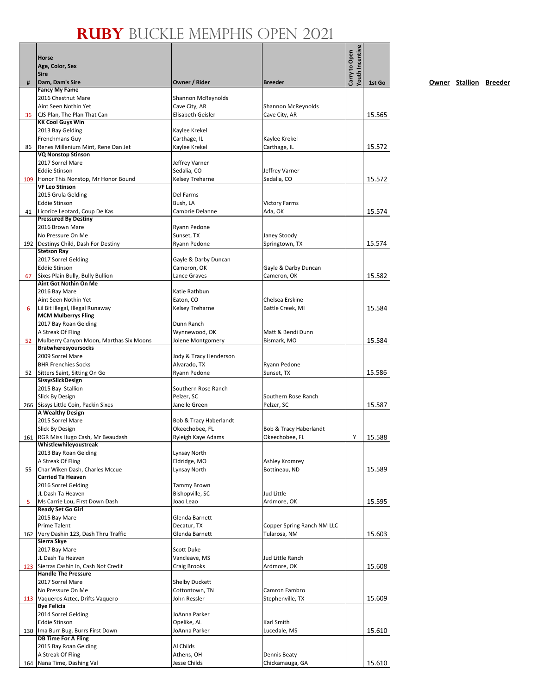|     |                                                                       |                                     |                                   | Youth Incentive |        |
|-----|-----------------------------------------------------------------------|-------------------------------------|-----------------------------------|-----------------|--------|
|     | Horse<br>Age, Color, Sex                                              |                                     |                                   | Carry to Open   |        |
|     | <b>Sire</b>                                                           |                                     |                                   |                 |        |
| #   | Dam, Dam's Sire                                                       | Owner / Rider                       | <b>Breeder</b>                    |                 | 1st Go |
|     | <b>Fancy My Fame</b>                                                  |                                     |                                   |                 |        |
|     | 2016 Chestnut Mare<br>Aint Seen Nothin Yet                            | Shannon McReynolds<br>Cave City, AR | <b>Shannon McReynolds</b>         |                 |        |
| 36  | CJS Plan, The Plan That Can                                           | Elisabeth Geisler                   | Cave City, AR                     |                 | 15.565 |
|     | <b>KK Cool Guys Win</b>                                               |                                     |                                   |                 |        |
|     | 2013 Bay Gelding                                                      | Kaylee Krekel                       |                                   |                 |        |
|     | Frenchmans Guy                                                        | Carthage, IL                        | Kaylee Krekel                     |                 |        |
| 86  | Renes Millenium Mint, Rene Dan Jet<br><b>VQ Nonstop Stinson</b>       | Kaylee Krekel                       | Carthage, IL                      |                 | 15.572 |
|     | 2017 Sorrel Mare                                                      | Jeffrey Varner                      |                                   |                 |        |
|     | <b>Eddie Stinson</b>                                                  | Sedalia, CO                         | Jeffrey Varner                    |                 |        |
|     | 109 Honor This Nonstop, Mr Honor Bound                                | Kelsey Treharne                     | Sedalia, CO                       |                 | 15.572 |
|     | <b>VF Leo Stinson</b>                                                 |                                     |                                   |                 |        |
|     | 2015 Grula Gelding<br><b>Eddie Stinson</b>                            | Del Farms<br>Bush, LA               | <b>Victory Farms</b>              |                 |        |
| 41  | Licorice Leotard, Coup De Kas                                         | Cambrie Delanne                     | Ada, OK                           |                 | 15.574 |
|     | <b>Pressured By Destiny</b>                                           |                                     |                                   |                 |        |
|     | 2016 Brown Mare                                                       | Ryann Pedone                        |                                   |                 |        |
|     | No Pressure On Me                                                     | Sunset, TX                          | Janey Stoody                      |                 |        |
|     | 192 Destinys Child, Dash For Destiny<br><b>Stetson Ray</b>            | Ryann Pedone                        | Springtown, TX                    |                 | 15.574 |
|     | 2017 Sorrel Gelding                                                   | Gayle & Darby Duncan                |                                   |                 |        |
|     | <b>Eddie Stinson</b>                                                  | Cameron, OK                         | Gayle & Darby Duncan              |                 |        |
| 67  | Sixes Plain Bully, Bully Bullion                                      | Lance Graves                        | Cameron, OK                       |                 | 15.582 |
|     | Aint Got Nothin On Me                                                 |                                     |                                   |                 |        |
|     | 2016 Bay Mare<br>Aint Seen Nothin Yet                                 | Katie Rathbun<br>Eaton, CO          | Chelsea Erskine                   |                 |        |
| 6   | Lil Bit Illegal, Illegal Runaway                                      | Kelsey Treharne                     | Battle Creek, MI                  |                 | 15.584 |
|     | <b>MCM Mulberrys Fling</b>                                            |                                     |                                   |                 |        |
|     | 2017 Bay Roan Gelding                                                 | Dunn Ranch                          |                                   |                 |        |
|     | A Streak Of Fling                                                     | Wynnewood, OK                       | Matt & Bendi Dunn                 |                 |        |
| 52  | Mulberry Canyon Moon, Marthas Six Moons<br><b>Bratwheresyoursocks</b> | Jolene Montgomery                   | Bismark, MO                       |                 | 15.584 |
|     | 2009 Sorrel Mare                                                      | Jody & Tracy Henderson              |                                   |                 |        |
|     | <b>BHR Frenchies Socks</b>                                            | Alvarado, TX                        | Ryann Pedone                      |                 |        |
| 52  | Sitters Saint, Sitting On Go                                          | Ryann Pedone                        | Sunset, TX                        |                 | 15.586 |
|     | SissysSlickDesign                                                     |                                     |                                   |                 |        |
|     | 2015 Bay Stallion<br>Slick By Design                                  | Southern Rose Ranch<br>Pelzer, SC   | Southern Rose Ranch               |                 |        |
|     | 266 Sissys Little Coin, Packin Sixes                                  | Janelle Green                       | Pelzer, SC                        |                 | 15.587 |
|     | <b>A Wealthy Design</b>                                               |                                     |                                   |                 |        |
|     | 2015 Sorrel Mare                                                      | Bob & Tracy Haberlandt              |                                   |                 |        |
|     | <b>Slick By Design</b>                                                | Okeechobee, FL                      | <b>Bob &amp; Tracy Haberlandt</b> |                 |        |
|     | 161 RGR Miss Hugo Cash, Mr Beaudash<br>Whistlewhileyoustreak          | Ryleigh Kaye Adams                  | Okeechobee, FL                    | Y.              | 15.588 |
|     | 2013 Bay Roan Gelding                                                 | Lynsay North                        |                                   |                 |        |
|     | A Streak Of Fling                                                     | Eldridge, MO                        | Ashley Kromrey                    |                 |        |
| 55  | Char Wiken Dash, Charles Mccue                                        | Lynsay North                        | Bottineau, ND                     |                 | 15.589 |
|     | <b>Carried Ta Heaven</b>                                              |                                     |                                   |                 |        |
|     | 2016 Sorrel Gelding<br>JL Dash Ta Heaven                              | Tammy Brown<br>Bishopville, SC      | Jud Little                        |                 |        |
| 5   | Ms Carrie Lou, First Down Dash                                        | Joao Leao                           | Ardmore, OK                       |                 | 15.595 |
|     | <b>Ready Set Go Girl</b>                                              |                                     |                                   |                 |        |
|     | 2015 Bay Mare                                                         | Glenda Barnett                      |                                   |                 |        |
|     | <b>Prime Talent</b>                                                   | Decatur, TX                         | Copper Spring Ranch NM LLC        |                 |        |
|     | 162 Very Dashin 123, Dash Thru Traffic<br>Sierra Skye                 | Glenda Barnett                      | Tularosa, NM                      |                 | 15.603 |
|     | 2017 Bay Mare                                                         | Scott Duke                          |                                   |                 |        |
|     | JL Dash Ta Heaven                                                     | Vancleave, MS                       | Jud Little Ranch                  |                 |        |
|     | 123 Sierras Cashin In, Cash Not Credit                                | Craig Brooks                        | Ardmore, OK                       |                 | 15.608 |
|     | <b>Handle The Pressure</b>                                            |                                     |                                   |                 |        |
|     | 2017 Sorrel Mare                                                      | <b>Shelby Duckett</b>               |                                   |                 |        |
|     | No Pressure On Me<br>113 Vaqueros Aztec, Drifts Vaquero               | Cottontown, TN<br>John Ressler      | Camron Fambro<br>Stephenville, TX |                 | 15.609 |
|     | <b>Bye Felicia</b>                                                    |                                     |                                   |                 |        |
|     | 2014 Sorrel Gelding                                                   | JoAnna Parker                       |                                   |                 |        |
|     | <b>Eddie Stinson</b>                                                  | Opelike, AL                         | Karl Smith                        |                 |        |
|     | 130 Ima Burr Bug, Burrs First Down                                    | JoAnna Parker                       | Lucedale, MS                      |                 | 15.610 |
|     | <b>DB Time For A Fling</b><br>2015 Bay Roan Gelding                   | Al Childs                           |                                   |                 |        |
|     | A Streak Of Fling                                                     | Athens, OH                          | Dennis Beaty                      |                 |        |
| 164 | Nana Time, Dashing Val                                                | Jesse Childs                        | Chickamauga, GA                   |                 | 15.610 |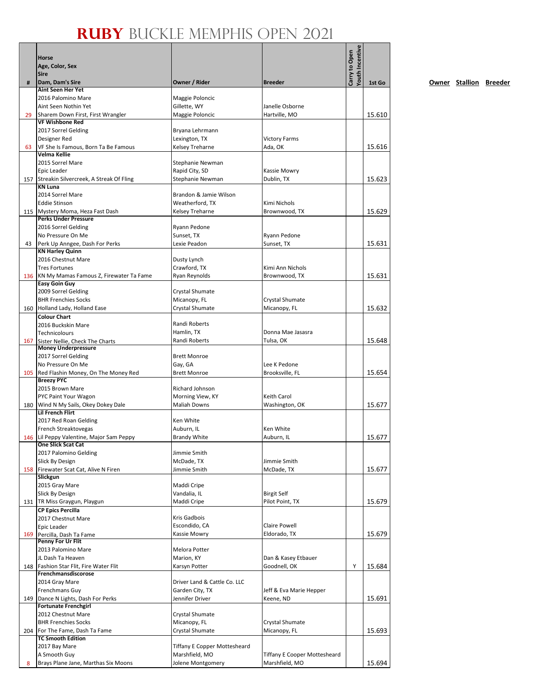|     | Horse<br>Age, Color, Sex                                            |                                                       |                                     | <b>routh Incentive</b><br>Carry to Open |        |
|-----|---------------------------------------------------------------------|-------------------------------------------------------|-------------------------------------|-----------------------------------------|--------|
| #   | <b>Sire</b><br>Dam, Dam's Sire                                      | Owner / Rider                                         | <b>Breeder</b>                      |                                         | 1st Go |
|     | <b>Aint Seen Her Yet</b><br>2016 Palomino Mare                      | Maggie Poloncic                                       |                                     |                                         |        |
|     | Aint Seen Nothin Yet                                                | Gillette, WY                                          | Janelle Osborne                     |                                         |        |
| 29  | Sharem Down First, First Wrangler                                   | Maggie Poloncic                                       | Hartville, MO                       |                                         | 15.610 |
|     | <b>VF Wishbone Red</b>                                              |                                                       |                                     |                                         |        |
|     | 2017 Sorrel Gelding                                                 | Bryana Lehrmann                                       |                                     |                                         |        |
| 63  | Designer Red<br>VF She Is Famous, Born Ta Be Famous                 | Lexington, TX<br>Kelsey Treharne                      | <b>Victory Farms</b><br>Ada, OK     |                                         | 15.616 |
|     | Velma Kellie                                                        |                                                       |                                     |                                         |        |
|     | 2015 Sorrel Mare                                                    | Stephanie Newman                                      |                                     |                                         |        |
|     | Epic Leader                                                         | Rapid City, SD                                        | Kassie Mowry                        |                                         |        |
|     | 157 Streakin Silvercreek, A Streak Of Fling<br><b>KN Luna</b>       | Stephanie Newman                                      | Dublin, TX                          |                                         | 15.623 |
|     | 2014 Sorrel Mare                                                    | Brandon & Jamie Wilson                                |                                     |                                         |        |
|     | <b>Eddie Stinson</b>                                                | Weatherford, TX                                       | Kimi Nichols                        |                                         |        |
|     | 115 Mystery Moma, Heza Fast Dash                                    | Kelsey Treharne                                       | Brownwood, TX                       |                                         | 15.629 |
|     | <b>Perks Under Pressure</b>                                         |                                                       |                                     |                                         |        |
|     | 2016 Sorrel Gelding<br>No Pressure On Me                            | Ryann Pedone<br>Sunset, TX                            | Ryann Pedone                        |                                         |        |
| 43  | Perk Up Anngee, Dash For Perks                                      | Lexie Peadon                                          | Sunset, TX                          |                                         | 15.631 |
|     | <b>KN Harley Quinn</b>                                              |                                                       |                                     |                                         |        |
|     | 2016 Chestnut Mare                                                  | Dusty Lynch                                           |                                     |                                         |        |
|     | <b>Tres Fortunes</b>                                                | Crawford, TX                                          | Kimi Ann Nichols                    |                                         |        |
|     | 136 KN My Mamas Famous Z, Firewater Ta Fame<br><b>Easy Goin Guy</b> | Ryan Reynolds                                         | Brownwood, TX                       |                                         | 15.631 |
|     | 2009 Sorrel Gelding                                                 | Crystal Shumate                                       |                                     |                                         |        |
|     | <b>BHR Frenchies Socks</b>                                          | Micanopy, FL                                          | Crystal Shumate                     |                                         |        |
|     | 160 Holland Lady, Holland Ease                                      | Crystal Shumate                                       | Micanopy, FL                        |                                         | 15.632 |
|     | <b>Colour Chart</b>                                                 |                                                       |                                     |                                         |        |
|     | 2016 Buckskin Mare<br>Technicolours                                 | Randi Roberts<br>Hamlin, TX                           | Donna Mae Jasasra                   |                                         |        |
| 167 | Sister Nellie, Check The Charts                                     | Randi Roberts                                         | Tulsa, OK                           |                                         | 15.648 |
|     | <b>Money Underpressure</b>                                          |                                                       |                                     |                                         |        |
|     | 2017 Sorrel Gelding                                                 | <b>Brett Monroe</b>                                   |                                     |                                         |        |
|     | No Pressure On Me                                                   | Gay, GA                                               | Lee K Pedone                        |                                         |        |
|     | 105 Red Flashin Money, On The Money Red<br><b>Breezy PYC</b>        | <b>Brett Monroe</b>                                   | Brooksville, FL                     |                                         | 15.654 |
|     | 2015 Brown Mare                                                     | Richard Johnson                                       |                                     |                                         |        |
|     | PYC Paint Your Wagon                                                | Morning View, KY                                      | Keith Carol                         |                                         |        |
|     | 180 Wind N My Sails, Okey Dokey Dale                                | <b>Maliah Downs</b>                                   | Washington, OK                      |                                         | 15.677 |
|     | <b>Lil French Flirt</b><br>2017 Red Roan Gelding                    | Ken White                                             |                                     |                                         |        |
|     | French Streaktovegas                                                | Auburn, IL                                            | Ken White                           |                                         |        |
|     | 146 Lil Peppy Valentine, Major Sam Peppy                            | <b>Brandy White</b>                                   | Auburn, IL                          |                                         | 15.677 |
|     | <b>One Slick Scat Cat</b>                                           |                                                       |                                     |                                         |        |
|     | 2017 Palomino Gelding                                               | Jimmie Smith                                          |                                     |                                         |        |
|     | Slick By Design<br>158 Firewater Scat Cat, Alive N Firen            | McDade, TX<br>Jimmie Smith                            | Jimmie Smith<br>McDade, TX          |                                         | 15.677 |
|     | Slickgun                                                            |                                                       |                                     |                                         |        |
|     | 2015 Gray Mare                                                      | Maddi Cripe                                           |                                     |                                         |        |
|     | Slick By Design                                                     | Vandalia, IL                                          | <b>Birgit Self</b>                  |                                         |        |
|     | 131   TR Miss Graygun, Playgun<br><b>CP Epics Percilla</b>          | Maddi Cripe                                           | Pilot Point, TX                     |                                         | 15.679 |
|     | 2017 Chestnut Mare                                                  | Kris Gadbois                                          |                                     |                                         |        |
|     | Epic Leader                                                         | Escondido, CA                                         | <b>Claire Powell</b>                |                                         |        |
| 169 | Percilla, Dash Ta Fame                                              | Kassie Mowry                                          | Eldorado, TX                        |                                         | 15.679 |
|     | Penny For Ur Flit                                                   |                                                       |                                     |                                         |        |
|     | 2013 Palomino Mare<br>JL Dash Ta Heaven                             | Melora Potter<br>Marion, KY                           | Dan & Kasey Etbauer                 |                                         |        |
|     | 148   Fashion Star Flit, Fire Water Flit                            | Karsyn Potter                                         | Goodnell, OK                        | Υ                                       | 15.684 |
|     | Frenchmansdiscorose                                                 |                                                       |                                     |                                         |        |
|     | 2014 Gray Mare                                                      | Driver Land & Cattle Co. LLC                          |                                     |                                         |        |
|     | Frenchmans Guy                                                      | Garden City, TX                                       | Jeff & Eva Marie Hepper             |                                         |        |
|     | 149 Dance N Lights, Dash For Perks<br><b>Fortunate Frenchgirl</b>   | Jennifer Driver                                       | Keene, ND                           |                                         | 15.691 |
|     | 2012 Chestnut Mare                                                  | Crystal Shumate                                       |                                     |                                         |        |
|     | <b>BHR Frenchies Socks</b>                                          | Micanopy, FL                                          | Crystal Shumate                     |                                         |        |
|     | 204 For The Fame, Dash Ta Fame                                      | Crystal Shumate                                       | Micanopy, FL                        |                                         | 15.693 |
|     | <b>TC Smooth Edition</b>                                            |                                                       |                                     |                                         |        |
|     | 2017 Bay Mare<br>A Smooth Guy                                       | <b>Tiffany E Copper Mottesheard</b><br>Marshfield, MO | <b>Tiffany E Cooper Mottesheard</b> |                                         |        |
| 8   | Brays Plane Jane, Marthas Six Moons                                 | Jolene Montgomery                                     | Marshfield, MO                      |                                         | 15.694 |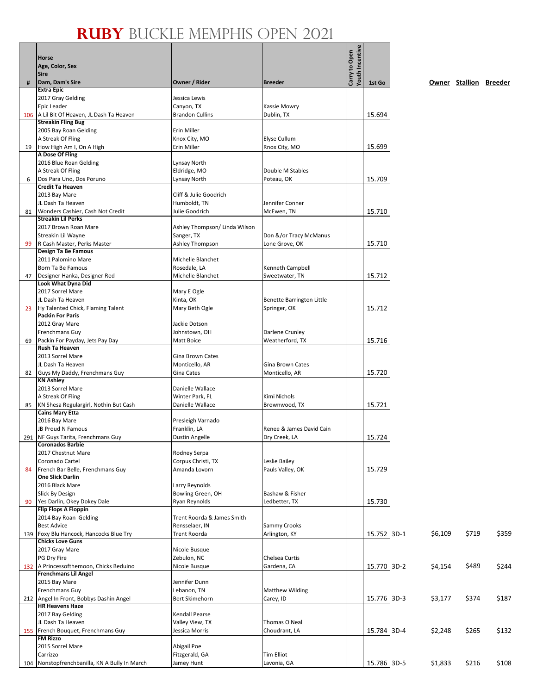|    |                                                                    |                                        |                                          | Youth Incentive |             |         |                        |       |
|----|--------------------------------------------------------------------|----------------------------------------|------------------------------------------|-----------------|-------------|---------|------------------------|-------|
|    | <b>Horse</b>                                                       |                                        |                                          | Carry to Open   |             |         |                        |       |
|    | Age, Color, Sex<br><b>Sire</b>                                     |                                        |                                          |                 |             |         |                        |       |
| #  | Dam, Dam's Sire                                                    | Owner / Rider                          | <b>Breeder</b>                           |                 | 1st Go      |         | Owner Stallion Breeder |       |
|    | <b>Extra Epic</b>                                                  |                                        |                                          |                 |             |         |                        |       |
|    | 2017 Gray Gelding                                                  | Jessica Lewis                          |                                          |                 |             |         |                        |       |
|    | Epic Leader<br>106   A Lil Bit Of Heaven, JL Dash Ta Heaven        | Canyon, TX<br><b>Brandon Cullins</b>   | Kassie Mowry<br>Dublin, TX               |                 | 15.694      |         |                        |       |
|    | <b>Streakin Fling Bug</b>                                          |                                        |                                          |                 |             |         |                        |       |
|    | 2005 Bay Roan Gelding                                              | Erin Miller                            |                                          |                 |             |         |                        |       |
|    | A Streak Of Fling                                                  | Knox City, MO                          | Elyse Cullum                             |                 |             |         |                        |       |
| 19 | How High Am I, On A High<br>A Dose Of Fling                        | Erin Miller                            | Rnox City, MO                            |                 | 15.699      |         |                        |       |
|    | 2016 Blue Roan Gelding                                             | Lynsay North                           |                                          |                 |             |         |                        |       |
|    | A Streak Of Fling                                                  | Eldridge, MO                           | Double M Stables                         |                 |             |         |                        |       |
| 6  | Dos Para Uno, Dos Poruno                                           | Lynsay North                           | Poteau, OK                               |                 | 15.709      |         |                        |       |
|    | <b>Credit Ta Heaven</b>                                            |                                        |                                          |                 |             |         |                        |       |
|    | 2013 Bay Mare<br>JL Dash Ta Heaven                                 | Cliff & Julie Goodrich<br>Humboldt, TN | Jennifer Conner                          |                 |             |         |                        |       |
| 81 | Wonders Cashier, Cash Not Credit                                   | Julie Goodrich                         | McEwen, TN                               |                 | 15.710      |         |                        |       |
|    | <b>Streakin Lil Perks</b>                                          |                                        |                                          |                 |             |         |                        |       |
|    | 2017 Brown Roan Mare                                               | Ashley Thompson/ Linda Wilson          |                                          |                 |             |         |                        |       |
| 99 | Streakin Lil Wayne<br>R Cash Master, Perks Master                  | Sanger, TX<br>Ashley Thompson          | Don &/or Tracy McManus<br>Lone Grove, OK |                 | 15.710      |         |                        |       |
|    | Design Ta Be Famous                                                |                                        |                                          |                 |             |         |                        |       |
|    | 2011 Palomino Mare                                                 | Michelle Blanchet                      |                                          |                 |             |         |                        |       |
|    | Born Ta Be Famous                                                  | Rosedale, LA                           | Kenneth Campbell                         |                 |             |         |                        |       |
| 47 | Designer Hanka, Designer Red                                       | Michelle Blanchet                      | Sweetwater, TN                           |                 | 15.712      |         |                        |       |
|    | Look What Dyna Did<br>2017 Sorrel Mare                             | Mary E Ogle                            |                                          |                 |             |         |                        |       |
|    | JL Dash Ta Heaven                                                  | Kinta, OK                              | Benette Barrington Little                |                 |             |         |                        |       |
| 23 | Hy Talented Chick, Flaming Talent                                  | Mary Beth Ogle                         | Springer, OK                             |                 | 15.712      |         |                        |       |
|    | <b>Packin For Paris</b>                                            |                                        |                                          |                 |             |         |                        |       |
|    | 2012 Gray Mare<br>Frenchmans Guy                                   | Jackie Dotson<br>Johnstown, OH         | Darlene Crunley                          |                 |             |         |                        |       |
| 69 | Packin For Payday, Jets Pay Day                                    | Matt Boice                             | Weatherford, TX                          |                 | 15.716      |         |                        |       |
|    | <b>Rush Ta Heaven</b>                                              |                                        |                                          |                 |             |         |                        |       |
|    | 2013 Sorrel Mare                                                   | Gina Brown Cates                       |                                          |                 |             |         |                        |       |
|    | JL Dash Ta Heaven                                                  | Monticello, AR                         | Gina Brown Cates                         |                 |             |         |                        |       |
| 82 | Guys My Daddy, Frenchmans Guy<br><b>KN Ashley</b>                  | Gina Cates                             | Monticello, AR                           |                 | 15.720      |         |                        |       |
|    | 2013 Sorrel Mare                                                   | Danielle Wallace                       |                                          |                 |             |         |                        |       |
|    | A Streak Of Fling                                                  | Winter Park, FL                        | Kimi Nichols                             |                 |             |         |                        |       |
| 85 | KN Shesa Regulargirl, Nothin But Cash<br><b>Cains Mary Etta</b>    | Danielle Wallace                       | Brownwood, TX                            |                 | 15.721      |         |                        |       |
|    | 2016 Bay Mare                                                      | Presleigh Varnado                      |                                          |                 |             |         |                        |       |
|    | JB Proud N Famous                                                  | Franklin, LA                           | Renee & James David Cain                 |                 |             |         |                        |       |
|    | 291 NF Guys Tarita, Frenchmans Guy                                 | Dustin Angelle                         | Dry Creek, LA                            |                 | 15.724      |         |                        |       |
|    | <b>Coronados Barbie</b><br>2017 Chestnut Mare                      | Rodney Serpa                           |                                          |                 |             |         |                        |       |
|    | Coronado Cartel                                                    | Corpus Christi, TX                     | Leslie Bailey                            |                 |             |         |                        |       |
| 84 | French Bar Belle, Frenchmans Guy                                   | Amanda Lovorn                          | Pauls Valley, OK                         |                 | 15.729      |         |                        |       |
|    | <b>One Slick Darlin</b>                                            |                                        |                                          |                 |             |         |                        |       |
|    | 2016 Black Mare                                                    | Larry Reynolds                         |                                          |                 |             |         |                        |       |
| 90 | Slick By Design<br>Yes Darlin, Okey Dokey Dale                     | Bowling Green, OH<br>Ryan Reynolds     | Bashaw & Fisher<br>Ledbetter, TX         |                 | 15.730      |         |                        |       |
|    | <b>Flip Flops A Floppin</b>                                        |                                        |                                          |                 |             |         |                        |       |
|    | 2014 Bay Roan Gelding                                              | Trent Roorda & James Smith             |                                          |                 |             |         |                        |       |
|    | <b>Best Advice</b>                                                 | Rensselaer, IN                         | Sammy Crooks                             |                 |             |         |                        |       |
|    | 139 Foxy Blu Hancock, Hancocks Blue Try<br><b>Chicks Love Guns</b> | Trent Roorda                           | Arlington, KY                            |                 | 15.752 3D-1 | \$6,109 | \$719                  | \$359 |
|    | 2017 Gray Mare                                                     | Nicole Busque                          |                                          |                 |             |         |                        |       |
|    | PG Dry Fire                                                        | Zebulon, NC                            | Chelsea Curtis                           |                 |             |         |                        |       |
|    | 132   A Princessofthemoon, Chicks Beduino                          | Nicole Busque                          | Gardena, CA                              |                 | 15.770 3D-2 | \$4,154 | \$489                  | \$244 |
|    | <b>Frenchmans Lil Angel</b><br>2015 Bay Mare                       | Jennifer Dunn                          |                                          |                 |             |         |                        |       |
|    | Frenchmans Guy                                                     | Lebanon, TN                            | <b>Matthew Wilding</b>                   |                 |             |         |                        |       |
|    | 212 Angel In Front, Bobbys Dashin Angel                            | Bert Skimehorn                         | Carey, ID                                |                 | 15.776 3D-3 | \$3,177 | \$374                  | \$187 |
|    | <b>HR Heavens Haze</b>                                             |                                        |                                          |                 |             |         |                        |       |
|    | 2017 Bay Gelding<br>JL Dash Ta Heaven                              | Kendall Pearse<br>Valley View, TX      | Thomas O'Neal                            |                 |             |         |                        |       |
|    | 155 French Bouquet, Frenchmans Guy                                 | Jessica Morris                         | Choudrant, LA                            |                 | 15.784 3D-4 | \$2,248 | \$265                  | \$132 |
|    | <b>FM Rizzo</b>                                                    |                                        |                                          |                 |             |         |                        |       |
|    | 2015 Sorrel Mare                                                   | Abigail Poe                            |                                          |                 |             |         |                        |       |
|    | Carrizzo                                                           | Fitzgerald, GA                         | <b>Tim Elliot</b>                        |                 |             |         |                        |       |
|    | 104 Nonstopfrenchbanilla, KN A Bully In March                      | Jamey Hunt                             | Lavonia, GA                              |                 | 15.786 3D-5 | \$1,833 | \$216                  | \$108 |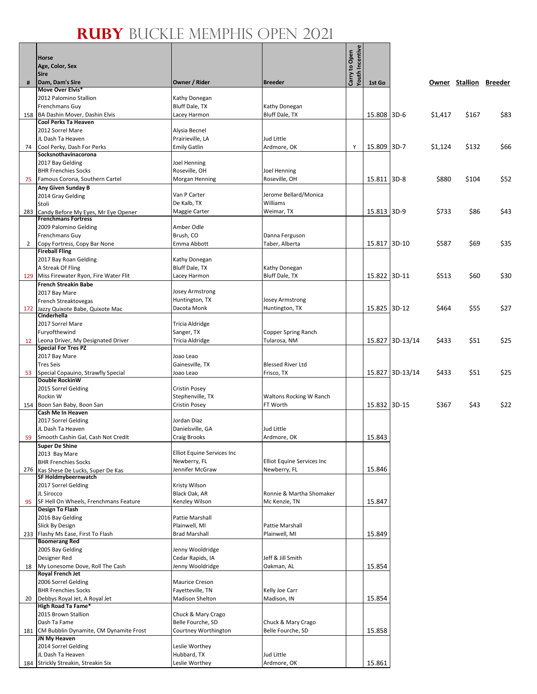|     | Horse                                                             |                                   |                            | <b>Youth Incentive</b><br>Carry to Open |              |                 |         |       |                        |
|-----|-------------------------------------------------------------------|-----------------------------------|----------------------------|-----------------------------------------|--------------|-----------------|---------|-------|------------------------|
|     | Age, Color, Sex                                                   |                                   |                            |                                         |              |                 |         |       |                        |
|     | <b>Sire</b>                                                       |                                   |                            |                                         |              |                 |         |       |                        |
| #   | Dam, Dam's Sire<br>Move Over Elvis*                               | Owner / Rider                     | <b>Breeder</b>             |                                         | 1st Go       |                 |         |       | Owner Stallion Breeder |
|     | 2012 Palomino Stallion                                            | Kathy Donegan                     |                            |                                         |              |                 |         |       |                        |
|     | Frenchmans Guy                                                    | Bluff Dale, TX                    | Kathy Donegan              |                                         |              |                 |         |       |                        |
| 158 | BA Dashin Mover, Dashin Elvis                                     | Lacey Harmon                      | Bluff Dale, TX             |                                         | 15.808 3D-6  |                 | \$1,417 | \$167 | \$83                   |
|     | Cool Perks Ta Heaven                                              |                                   |                            |                                         |              |                 |         |       |                        |
|     | 2012 Sorrel Mare                                                  | Alysia Becnel                     |                            |                                         |              |                 |         |       |                        |
|     | JL Dash Ta Heaven                                                 | Prairieville, LA                  | Jud Little                 |                                         |              |                 |         |       |                        |
| 74  | Cool Perky, Dash For Perks<br>Socksnothavinacorona                | <b>Emily Gatlin</b>               | Ardmore, OK                | Y                                       | 15.809       | $3D-7$          | \$1,124 | \$132 | \$66                   |
|     | 2017 Bay Gelding                                                  | Joel Henning                      |                            |                                         |              |                 |         |       |                        |
|     | <b>BHR Frenchies Socks</b>                                        | Roseville, OH                     | Joel Henning               |                                         |              |                 |         |       |                        |
| 75  | Famous Corona, Southern Cartel                                    | Morgan Henning                    | Roseville, OH              |                                         | 15.811 3D-8  |                 | \$880   | \$104 | \$52                   |
|     | Any Given Sunday B                                                |                                   |                            |                                         |              |                 |         |       |                        |
|     | 2014 Gray Gelding                                                 | Van P Carter                      | Jerome Bellard/Monica      |                                         |              |                 |         |       |                        |
|     | Stoli                                                             | De Kalb, TX                       | Williams                   |                                         |              |                 |         |       |                        |
| 283 | Candy Before My Eyes, Mr Eye Opener<br><b>Frenchmans Fortress</b> | Maggie Carter                     | Weimar, TX                 |                                         | 15.813 3D-9  |                 | \$733   | \$86  | \$43                   |
|     | 2009 Palomino Gelding                                             | Amber Odle                        |                            |                                         |              |                 |         |       |                        |
|     | Frenchmans Guy                                                    | Brush, CO                         | Danna Ferguson             |                                         |              |                 |         |       |                        |
| 2   | Copy Fortress, Copy Bar None                                      | Emma Abbott                       | Taber, Alberta             |                                         | 15.817 3D-10 |                 | \$587   | \$69  | \$35                   |
|     | <b>Fireball Fling</b>                                             |                                   |                            |                                         |              |                 |         |       |                        |
|     | 2017 Bay Roan Gelding                                             | Kathy Donegan                     |                            |                                         |              |                 |         |       |                        |
|     | A Streak Of Fling                                                 | Bluff Dale, TX                    | Kathy Donegan              |                                         |              |                 |         |       |                        |
|     | 129 Miss Firewater Ryon, Fire Water Flit                          | Lacey Harmon                      | Bluff Dale, TX             |                                         | 15.822 3D-11 |                 | \$513   | \$60  | \$30                   |
|     | <b>French Streakin Babe</b>                                       | Josey Armstrong                   |                            |                                         |              |                 |         |       |                        |
|     | 2017 Bay Mare<br>French Streaktovegas                             | Huntington, TX                    | Josey Armstrong            |                                         |              |                 |         |       |                        |
| 172 | Jazzy Quixote Babe, Quixote Mac                                   | Dacota Monk                       | Huntington, TX             |                                         | 15.825 3D-12 |                 | \$464   | \$55  | \$27                   |
|     | Cinderhella                                                       |                                   |                            |                                         |              |                 |         |       |                        |
|     | 2017 Sorrel Mare                                                  | Tricia Aldridge                   |                            |                                         |              |                 |         |       |                        |
|     | Furyofthewind                                                     | Sanger, TX                        | Copper Spring Ranch        |                                         |              |                 |         |       |                        |
| 12  | Leona Driver, My Designated Driver                                | Tricia Aldridge                   | Tularosa, NM               |                                         |              | 15.827 3D-13/14 | \$433   | \$51  | \$25                   |
|     | <b>Special For Tres PZ</b><br>2017 Bay Mare                       | Joao Leao                         |                            |                                         |              |                 |         |       |                        |
|     | <b>Tres Seis</b>                                                  | Gainesville, TX                   | <b>Blessed River Ltd</b>   |                                         |              |                 |         |       |                        |
| 53  | Special Copauino, Strawfly Special                                | Joao Leao                         | Frisco, TX                 |                                         | 15.827       | $3D-13/14$      | \$433   | \$51  | \$25                   |
|     | <b>Double RockinW</b>                                             |                                   |                            |                                         |              |                 |         |       |                        |
|     | 2015 Sorrel Gelding                                               | <b>Cristin Posey</b>              |                            |                                         |              |                 |         |       |                        |
|     | Rockin W                                                          | Stephenville, TX                  | Waltons Rocking W Ranch    |                                         |              |                 |         |       |                        |
|     | 154 Boon San Baby, Boon San                                       | <b>Cristin Posey</b>              | FT Worth                   |                                         | 15.832 3D-15 |                 | \$367   | \$43  | \$22                   |
|     | Cash Me In Heaven<br>2017 Sorrel Gelding                          | Jordan Diaz                       |                            |                                         |              |                 |         |       |                        |
|     | JL Dash Ta Heaven                                                 | Danielsville, GA                  | Jud Little                 |                                         |              |                 |         |       |                        |
| 59  | Smooth Cashin Gal, Cash Not Credit                                | <b>Craig Brooks</b>               | Ardmore, OK                |                                         | 15.843       |                 |         |       |                        |
|     | <b>Super De Shine</b>                                             |                                   |                            |                                         |              |                 |         |       |                        |
|     | 2013 Bay Mare                                                     | <b>Elliot Equine Services Inc</b> |                            |                                         |              |                 |         |       |                        |
|     | <b>BHR Frenchies Socks</b>                                        | Newberry, FL                      | Elliot Equine Services Inc |                                         |              |                 |         |       |                        |
| 276 | Kas Shese De Lucks, Super De Kas                                  | Jennifer McGraw                   | Newberry, FL               |                                         | 15.846       |                 |         |       |                        |
|     | SF Holdmybeernwatch<br>2017 Sorrel Gelding                        | Kristy Wilson                     |                            |                                         |              |                 |         |       |                        |
|     | JL Sirocco                                                        | Black Oak, AR                     | Ronnie & Martha Shomaker   |                                         |              |                 |         |       |                        |
| 95  | SF Hell On Wheels, Frenchmans Feature                             | Kenzley Wilson                    | Mc Kenzie, TN              |                                         | 15.847       |                 |         |       |                        |
|     | Design To Flash                                                   |                                   |                            |                                         |              |                 |         |       |                        |
|     | 2016 Bay Gelding                                                  | Pattie Marshall                   |                            |                                         |              |                 |         |       |                        |
|     | Slick By Design                                                   | Plainwell, MI                     | Pattie Marshall            |                                         |              |                 |         |       |                        |
|     | 233 Flashy Ms Ease, First To Flash<br><b>Boomerang Red</b>        | <b>Brad Marshall</b>              | Plainwell, MI              |                                         | 15.849       |                 |         |       |                        |
|     | 2005 Bay Gelding                                                  | Jenny Wooldridge                  |                            |                                         |              |                 |         |       |                        |
|     | Designer Red                                                      | Cedar Rapids, IA                  | Jeff & Jill Smith          |                                         |              |                 |         |       |                        |
| 18  | My Lonesome Dove, Roll The Cash                                   | Jenny Wooldridge                  | Oakman, AL                 |                                         | 15.854       |                 |         |       |                        |
|     | <b>Royal French Jet</b>                                           |                                   |                            |                                         |              |                 |         |       |                        |
|     | 2006 Sorrel Gelding                                               | <b>Maurice Creson</b>             |                            |                                         |              |                 |         |       |                        |
|     | <b>BHR Frenchies Socks</b>                                        | Fayetteville, TN                  | Kelly Joe Carr             |                                         |              |                 |         |       |                        |
| 20  | Debbys Royal Jet, A Royal Jet                                     | <b>Madison Shelton</b>            | Madison, IN                |                                         | 15.854       |                 |         |       |                        |
|     | High Road Ta Fame*<br>2015 Brown Stallion                         | Chuck & Mary Crago                |                            |                                         |              |                 |         |       |                        |
|     | Dash Ta Fame                                                      | Belle Fourche, SD                 | Chuck & Mary Crago         |                                         |              |                 |         |       |                        |
| 181 | CM Bubblin Dynamite, CM Dynamite Frost                            | Courtney Worthington              | Belle Fourche, SD          |                                         | 15.858       |                 |         |       |                        |
|     | JN My Heaven                                                      |                                   |                            |                                         |              |                 |         |       |                        |
|     | 2014 Sorrel Gelding                                               | Leslie Worthey                    |                            |                                         |              |                 |         |       |                        |
|     | JL Dash Ta Heaven                                                 | Hubbard, TX                       | Jud Little                 |                                         |              |                 |         |       |                        |
|     | 184 Strickly Streakin, Streakin Six                               | Leslie Worthey                    | Ardmore, OK                |                                         | 15.861       |                 |         |       |                        |

 $\frac{1}{1}$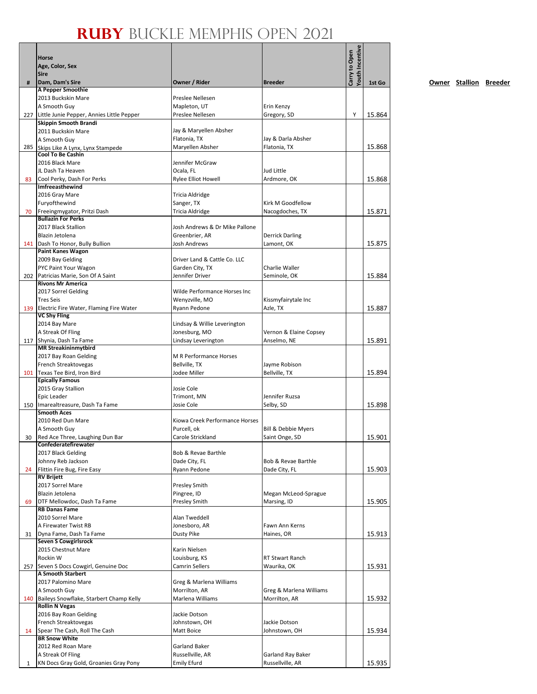|    | Horse<br>Age, Color, Sex<br><b>Sire</b>                         |                                         |                                      | Youth Incentive<br>Carry to Open |        |
|----|-----------------------------------------------------------------|-----------------------------------------|--------------------------------------|----------------------------------|--------|
| #  | Dam, Dam's Sire<br>A Pepper Smoothie                            | Owner / Rider                           | <b>Breeder</b>                       |                                  | 1st Go |
|    | 2013 Buckskin Mare                                              | Preslee Nellesen                        |                                      |                                  |        |
|    | A Smooth Guy                                                    | Mapleton, UT                            | Erin Kenzy                           |                                  |        |
|    | 227 Little Junie Pepper, Annies Little Pepper                   | Preslee Nellesen                        | Gregory, SD                          | Υ                                | 15.864 |
|    | Skippin Smooth Brandi                                           |                                         |                                      |                                  |        |
|    | 2011 Buckskin Mare                                              | Jay & Maryellen Absher<br>Flatonia, TX  | Jay & Darla Absher                   |                                  |        |
|    | A Smooth Guy<br>285 Skips Like A Lynx, Lynx Stampede            | Maryellen Absher                        | Flatonia, TX                         |                                  | 15.868 |
|    | <b>Cool To Be Cashin</b>                                        |                                         |                                      |                                  |        |
|    | 2016 Black Mare                                                 | Jennifer McGraw                         |                                      |                                  |        |
|    | JL Dash Ta Heaven                                               | Ocala, FL                               | Jud Little                           |                                  |        |
| 83 | Cool Perky, Dash For Perks<br>Imfreeasthewind                   | <b>Rylee Elliot Howell</b>              | Ardmore, OK                          |                                  | 15.868 |
|    | 2016 Gray Mare                                                  | Tricia Aldridge                         |                                      |                                  |        |
|    | Furyofthewind                                                   | Sanger, TX                              | Kirk M Goodfellow                    |                                  |        |
| 70 | Freeingmygator, Pritzi Dash                                     | Tricia Aldridge                         | Nacogdoches, TX                      |                                  | 15.871 |
|    | <b>Bullazin For Perks</b>                                       |                                         |                                      |                                  |        |
|    | 2017 Black Stallion                                             | Josh Andrews & Dr Mike Pallone          |                                      |                                  |        |
|    | Blazin Jetolena                                                 | Greenbrier, AR                          | <b>Derrick Darling</b>               |                                  |        |
|    | 141 Dash To Honor, Bully Bullion<br><b>Paint Kanes Wagon</b>    | Josh Andrews                            | Lamont, OK                           |                                  | 15.875 |
|    | 2009 Bay Gelding                                                | Driver Land & Cattle Co. LLC            |                                      |                                  |        |
|    | PYC Paint Your Wagon                                            | Garden City, TX                         | Charlie Waller                       |                                  |        |
|    | 202 Patricias Marie, Son Of A Saint                             | Jennifer Driver                         | Seminole, OK                         |                                  | 15.884 |
|    | <b>Rivons Mr America</b>                                        |                                         |                                      |                                  |        |
|    | 2017 Sorrel Gelding                                             | Wilde Performance Horses Inc            |                                      |                                  |        |
|    | <b>Tres Seis</b><br>139 Electric Fire Water, Flaming Fire Water | Wenyzville, MO<br>Ryann Pedone          | Kissmyfairytale Inc<br>Azle, TX      |                                  | 15.887 |
|    | <b>VC Shy Fling</b>                                             |                                         |                                      |                                  |        |
|    | 2014 Bay Mare                                                   | Lindsay & Willie Leverington            |                                      |                                  |        |
|    | A Streak Of Fling                                               | Jonesburg, MO                           | Vernon & Elaine Copsey               |                                  |        |
|    | 117 Shynia, Dash Ta Fame                                        | Lindsay Leverington                     | Anselmo, NE                          |                                  | 15.891 |
|    | <b>MR Streakininmytbird</b>                                     |                                         |                                      |                                  |        |
|    | 2017 Bay Roan Gelding<br>French Streaktovegas                   | M R Performance Horses<br>Bellville, TX | Jayme Robison                        |                                  |        |
|    | 101 Texas Tee Bird, Iron Bird                                   | Jodee Miller                            | Bellville, TX                        |                                  | 15.894 |
|    | <b>Epically Famous</b>                                          |                                         |                                      |                                  |        |
|    | 2015 Gray Stallion                                              | Josie Cole                              |                                      |                                  |        |
|    | Epic Leader                                                     | Trimont, MN                             | Jennifer Ruzsa                       |                                  |        |
|    | 150   Imarealtreasure, Dash Ta Fame<br><b>Smooth Aces</b>       | Josie Cole                              | Selby, SD                            |                                  | 15.898 |
|    | 2010 Red Dun Mare                                               | Kiowa Creek Performance Horses          |                                      |                                  |        |
|    | A Smooth Guy                                                    | Purcell, ok                             | Bill & Debbie Myers                  |                                  |        |
| 30 | Red Ace Three, Laughing Dun Bar                                 | Carole Strickland                       | Saint Onge, SD                       |                                  | 15.901 |
|    | Confederatefirewater                                            |                                         |                                      |                                  |        |
|    | 2017 Black Gelding                                              | Bob & Revae Barthle                     |                                      |                                  |        |
| 24 | Johnny Reb Jackson<br>Flittin Fire Bug, Fire Easy               | Dade City, FL<br>Ryann Pedone           | Bob & Revae Barthle<br>Dade City, FL |                                  | 15.903 |
|    | <b>RV Brijett</b>                                               |                                         |                                      |                                  |        |
|    | 2017 Sorrel Mare                                                | Presley Smith                           |                                      |                                  |        |
|    | Blazin Jetolena                                                 | Pingree, ID                             | Megan McLeod-Sprague                 |                                  |        |
| 69 | DTF Mellowdoc, Dash Ta Fame                                     | Presley Smith                           | Marsing, ID                          |                                  | 15.905 |
|    | <b>RB Danas Fame</b><br>2010 Sorrel Mare                        | Alan Tweddell                           |                                      |                                  |        |
|    | A Firewater Twist RB                                            | Jonesboro, AR                           | Fawn Ann Kerns                       |                                  |        |
| 31 | Dyna Fame, Dash Ta Fame                                         | Dusty Pike                              | Haines, OR                           |                                  | 15.913 |
|    | <b>Seven S Cowgirlsrock</b>                                     |                                         |                                      |                                  |        |
|    | 2015 Chestnut Mare                                              | Karin Nielsen                           |                                      |                                  |        |
|    | Rockin W                                                        | Louisburg, KS                           | RT Stwart Ranch                      |                                  |        |
|    | 257 Seven S Docs Cowgirl, Genuine Doc<br>A Smooth Starbert      | <b>Camrin Sellers</b>                   | Waurika, OK                          |                                  | 15.931 |
|    | 2017 Palomino Mare                                              | Greg & Marlena Williams                 |                                      |                                  |        |
|    | A Smooth Guy                                                    | Morrilton, AR                           | Greg & Marlena Williams              |                                  |        |
|    | 140 Baileys Snowflake, Starbert Champ Kelly                     | Marlena Williams                        | Morrilton, AR                        |                                  | 15.932 |
|    | <b>Rollin N Vegas</b>                                           |                                         |                                      |                                  |        |
|    | 2016 Bay Roan Gelding                                           | Jackie Dotson                           |                                      |                                  |        |
|    | French Streaktovegas                                            | Johnstown, OH                           | Jackie Dotson                        |                                  |        |
| 14 | Spear The Cash, Roll The Cash<br><b>BR Snow White</b>           | Matt Boice                              | Johnstown, OH                        |                                  | 15.934 |
|    | 2012 Red Roan Mare                                              | Garland Baker                           |                                      |                                  |        |
|    | A Streak Of Fling                                               | Russellville, AR                        | Garland Ray Baker                    |                                  |        |
| 1  | KN Docs Gray Gold, Groanies Gray Pony                           | <b>Emily Efurd</b>                      | Russellville, AR                     |                                  | 15.935 |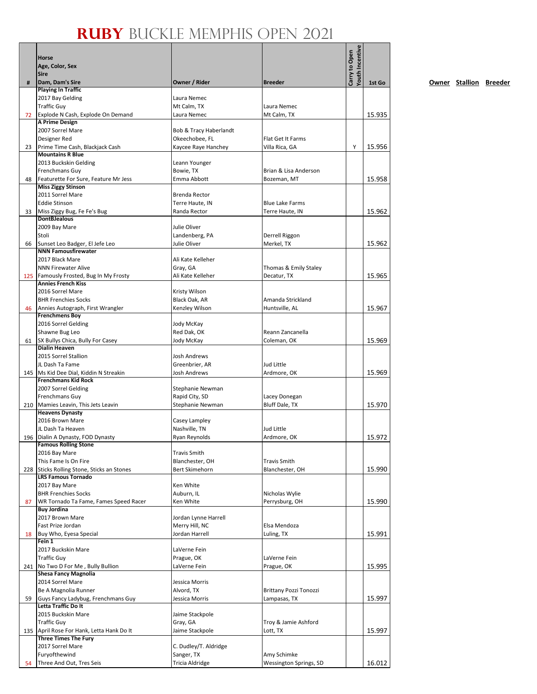|     | Horse<br>Age, Color, Sex                                          |                                        |                               | Youth Incentive<br>Carry to Open |        |
|-----|-------------------------------------------------------------------|----------------------------------------|-------------------------------|----------------------------------|--------|
|     | Sire                                                              |                                        |                               |                                  |        |
| #   | Dam, Dam's Sire                                                   | Owner / Rider                          | <b>Breeder</b>                |                                  | 1st Go |
|     | <b>Playing In Traffic</b>                                         |                                        |                               |                                  |        |
|     | 2017 Bay Gelding                                                  | Laura Nemec                            |                               |                                  |        |
|     | <b>Traffic Guy</b>                                                | Mt Calm, TX                            | Laura Nemec                   |                                  |        |
| 72  | Explode N Cash, Explode On Demand<br>A Prime Design               | Laura Nemec                            | Mt Calm, TX                   |                                  | 15.935 |
|     | 2007 Sorrel Mare                                                  | Bob & Tracy Haberlandt                 |                               |                                  |        |
|     | Designer Red                                                      | Okeechobee, FL                         | Flat Get It Farms             |                                  |        |
| 23  | Prime Time Cash, Blackjack Cash                                   | Kaycee Raye Hanchey                    | Villa Rica, GA                | Υ                                | 15.956 |
|     | <b>Mountains R Blue</b>                                           |                                        |                               |                                  |        |
|     | 2013 Buckskin Gelding                                             | Leann Younger                          |                               |                                  |        |
|     | Frenchmans Guy                                                    | Bowie, TX                              | Brian & Lisa Anderson         |                                  |        |
| 48  | Featurette For Sure, Feature Mr Jess<br><b>Miss Ziggy Stinson</b> | Emma Abbott                            | Bozeman, MT                   |                                  | 15.958 |
|     | 2011 Sorrel Mare                                                  | Brenda Rector                          |                               |                                  |        |
|     | <b>Eddie Stinson</b>                                              | Terre Haute, IN                        | <b>Blue Lake Farms</b>        |                                  |        |
| 33  | Miss Ziggy Bug, Fe Fe's Bug                                       | Randa Rector                           | Terre Haute, IN               |                                  | 15.962 |
|     | <b>DontBJealous</b>                                               |                                        |                               |                                  |        |
|     | 2009 Bay Mare                                                     | Julie Oliver                           |                               |                                  |        |
|     | Stoli                                                             | Landenberg, PA                         | Derrell Riggon                |                                  |        |
| 66  | Sunset Leo Badger, El Jefe Leo<br><b>NNN Famousfirewater</b>      | Julie Oliver                           | Merkel, TX                    |                                  | 15.962 |
|     | 2017 Black Mare                                                   | Ali Kate Kelleher                      |                               |                                  |        |
|     | <b>NNN Firewater Alive</b>                                        | Gray, GA                               | Thomas & Emily Staley         |                                  |        |
|     | 125 Famously Frosted, Bug In My Frosty                            | Ali Kate Kelleher                      | Decatur, TX                   |                                  | 15.965 |
|     | <b>Annies French Kiss</b>                                         |                                        |                               |                                  |        |
|     | 2016 Sorrel Mare                                                  | Kristy Wilson                          |                               |                                  |        |
|     | <b>BHR Frenchies Socks</b>                                        | Black Oak, AR                          | Amanda Strickland             |                                  |        |
| 46  | Annies Autograph, First Wrangler                                  | Kenzley Wilson                         | Huntsville, AL                |                                  | 15.967 |
|     | <b>Frenchmens Boy</b><br>2016 Sorrel Gelding                      | Jody McKay                             |                               |                                  |        |
|     | Shawne Bug Leo                                                    | Red Dak, OK                            | Reann Zancanella              |                                  |        |
| 61  | SX Bullys Chica, Bully For Casey                                  | Jody McKay                             | Coleman, OK                   |                                  | 15.969 |
|     | <b>Dialin Heaven</b>                                              |                                        |                               |                                  |        |
|     | 2015 Sorrel Stallion                                              | Josh Andrews                           |                               |                                  |        |
|     | JL Dash Ta Fame                                                   | Greenbrier, AR                         | Jud Little                    |                                  |        |
|     | 145   Ms Kid Dee Dial, Kiddin N Streakin                          | Josh Andrews                           | Ardmore, OK                   |                                  | 15.969 |
|     | <b>Frenchmans Kid Rock</b><br>2007 Sorrel Gelding                 | Stephanie Newman                       |                               |                                  |        |
|     | Frenchmans Guy                                                    | Rapid City, SD                         | Lacey Donegan                 |                                  |        |
|     | 210 Mamies Leavin, This Jets Leavin                               | Stephanie Newman                       | Bluff Dale, TX                |                                  | 15.970 |
|     | <b>Heavens Dynasty</b>                                            |                                        |                               |                                  |        |
|     | 2016 Brown Mare                                                   | Casey Lampley                          |                               |                                  |        |
|     | JL Dash Ta Heaven                                                 | Nashville, TN                          | Jud Little                    |                                  |        |
|     | 196   Dialin A Dynasty, FOD Dynasty                               | Ryan Reynolds                          | Ardmore, OK                   |                                  | 15.972 |
|     | <b>Famous Rolling Stone</b><br>2016 Bay Mare                      |                                        |                               |                                  |        |
|     | This Fame Is On Fire                                              | <b>Travis Smith</b><br>Blanchester, OH | <b>Travis Smith</b>           |                                  |        |
| 228 | Sticks Rolling Stone, Sticks an Stones                            | <b>Bert Skimehorn</b>                  | Blanchester, OH               |                                  | 15.990 |
|     | <b>LRS Famous Tornado</b>                                         |                                        |                               |                                  |        |
|     | 2017 Bay Mare                                                     | Ken White                              |                               |                                  |        |
|     | <b>BHR Frenchies Socks</b>                                        | Auburn, IL                             | Nicholas Wylie                |                                  |        |
| 87  | WR Tornado Ta Fame, Fames Speed Racer                             | Ken White                              | Perrysburg, OH                |                                  | 15.990 |
|     | <b>Buy Jordina</b>                                                |                                        |                               |                                  |        |
|     | 2017 Brown Mare<br>Fast Prize Jordan                              | Jordan Lynne Harrell<br>Merry Hill, NC | Elsa Mendoza                  |                                  |        |
| 18  | Buy Who, Eyesa Special                                            | Jordan Harrell                         | Luling, TX                    |                                  | 15.991 |
|     | Fein 1                                                            |                                        |                               |                                  |        |
|     | 2017 Buckskin Mare                                                | LaVerne Fein                           |                               |                                  |        |
|     | <b>Traffic Guy</b>                                                | Prague, OK                             | LaVerne Fein                  |                                  |        |
|     | 241 No Two D For Me, Bully Bullion                                | LaVerne Fein                           | Prague, OK                    |                                  | 15.995 |
|     | Shesa Fancy Magnolia                                              |                                        |                               |                                  |        |
|     | 2014 Sorrel Mare                                                  | Jessica Morris                         |                               |                                  |        |
|     | Be A Magnolia Runner                                              | Alvord, TX                             | <b>Brittany Pozzi Tonozzi</b> |                                  |        |
| 59  | Guys Fancy Ladybug, Frenchmans Guy<br>Letta Traffic Do It         | Jessica Morris                         | Lampasas, TX                  |                                  | 15.997 |
|     | 2015 Buckskin Mare                                                | Jaime Stackpole                        |                               |                                  |        |
|     | <b>Traffic Guy</b>                                                | Gray, GA                               | Troy & Jamie Ashford          |                                  |        |
|     | 135 April Rose For Hank, Letta Hank Do It                         | Jaime Stackpole                        | Lott, TX                      |                                  | 15.997 |
|     | <b>Three Times The Fury</b>                                       |                                        |                               |                                  |        |
|     | 2017 Sorrel Mare                                                  | C. Dudley/T. Aldridge                  |                               |                                  |        |
|     | Furyofthewind                                                     | Sanger, TX                             | Amy Schimke                   |                                  |        |
| 54  | Three And Out, Tres Seis                                          | <b>Tricia Aldridge</b>                 | Wessington Springs, SD        |                                  | 16.012 |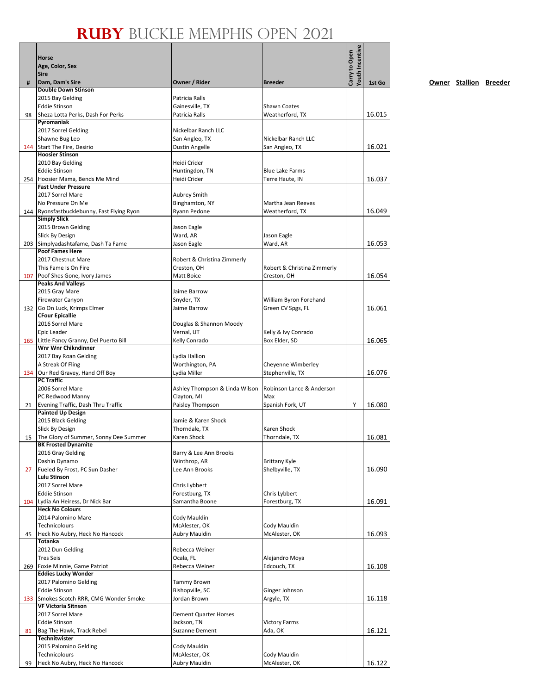|     | Horse<br>Age, Color, Sex<br><b>Sire</b>                            |                                            |                                       | Youth Incentive<br>Carry to Open |        |
|-----|--------------------------------------------------------------------|--------------------------------------------|---------------------------------------|----------------------------------|--------|
| #   | Dam, Dam's Sire                                                    | Owner / Rider                              | <b>Breeder</b>                        |                                  | 1st Go |
|     | <b>Double Down Stinson</b><br>2015 Bay Gelding                     | Patricia Ralls                             |                                       |                                  |        |
|     | <b>Eddie Stinson</b>                                               | Gainesville, TX                            | <b>Shawn Coates</b>                   |                                  |        |
| 98  | Sheza Lotta Perks, Dash For Perks                                  | Patricia Ralls                             | Weatherford, TX                       |                                  | 16.015 |
|     | Pyromaniak                                                         |                                            |                                       |                                  |        |
|     | 2017 Sorrel Gelding                                                | Nickelbar Ranch LLC                        |                                       |                                  |        |
|     | Shawne Bug Leo                                                     | San Angleo, TX                             | Nickelbar Ranch LLC                   |                                  |        |
|     | 144 Start The Fire, Desirio<br><b>Hoosier Stinson</b>              | <b>Dustin Angelle</b>                      | San Angleo, TX                        |                                  | 16.021 |
|     | 2010 Bay Gelding                                                   | Heidi Crider                               |                                       |                                  |        |
|     | <b>Eddie Stinson</b>                                               | Huntingdon, TN                             | <b>Blue Lake Farms</b>                |                                  |        |
|     | 254 Hoosier Mama, Bends Me Mind                                    | Heidi Crider                               | Terre Haute, IN                       |                                  | 16.037 |
|     | <b>Fast Under Pressure</b>                                         |                                            |                                       |                                  |        |
|     | 2017 Sorrel Mare                                                   | <b>Aubrey Smith</b>                        |                                       |                                  |        |
|     | No Pressure On Me<br>144 Ryonsfastbucklebunny, Fast Flying Ryon    | Binghamton, NY<br>Ryann Pedone             | Martha Jean Reeves<br>Weatherford, TX |                                  | 16.049 |
|     | <b>Simply Slick</b>                                                |                                            |                                       |                                  |        |
|     | 2015 Brown Gelding                                                 | Jason Eagle                                |                                       |                                  |        |
|     | Slick By Design                                                    | Ward, AR                                   | Jason Eagle                           |                                  |        |
|     | 203 Simplyadashtafame, Dash Ta Fame                                | Jason Eagle                                | Ward, AR                              |                                  | 16.053 |
|     | <b>Poof Fames Here</b>                                             |                                            |                                       |                                  |        |
|     | 2017 Chestnut Mare<br>This Fame Is On Fire                         | Robert & Christina Zimmerly<br>Creston, OH | Robert & Christina Zimmerly           |                                  |        |
| 107 | Poof Shes Gone, Ivory James                                        | Matt Boice                                 | Creston, OH                           |                                  | 16.054 |
|     | <b>Peaks And Valleys</b>                                           |                                            |                                       |                                  |        |
|     | 2015 Gray Mare                                                     | Jaime Barrow                               |                                       |                                  |        |
|     | Firewater Canyon                                                   | Snyder, TX                                 | William Byron Forehand                |                                  |        |
|     | 132 Go On Luck, Krimps Elmer                                       | Jaime Barrow                               | Green CV Spgs, FL                     |                                  | 16.061 |
|     | <b>CFour Epicallie</b><br>2016 Sorrel Mare                         | Douglas & Shannon Moody                    |                                       |                                  |        |
|     | Epic Leader                                                        | Vernal, UT                                 | Kelly & Ivy Conrado                   |                                  |        |
|     | 165 Little Fancy Granny, Del Puerto Bill                           | Kelly Conrado                              | Box Elder, SD                         |                                  | 16.065 |
|     | Wnr Wnr Chikndinner                                                |                                            |                                       |                                  |        |
|     | 2017 Bay Roan Gelding                                              | Lydia Hallion                              |                                       |                                  |        |
|     | A Streak Of Fling                                                  | Worthington, PA                            | Cheyenne Wimberley                    |                                  |        |
|     | 134 Our Red Gravey, Hand Off Boy<br><b>PC Traffic</b>              | Lydia Miller                               | Stephenville, TX                      |                                  | 16.076 |
|     | 2006 Sorrel Mare                                                   | Ashley Thompson & Linda Wilson             | Robinson Lance & Anderson             |                                  |        |
|     | PC Redwood Manny                                                   | Clayton, MI                                | Max                                   |                                  |        |
| 21  | Evening Traffic, Dash Thru Traffic                                 | Paisley Thompson                           | Spanish Fork, UT                      | Υ                                | 16.080 |
|     | <b>Painted Up Design</b>                                           |                                            |                                       |                                  |        |
|     | 2015 Black Gelding                                                 | Jamie & Karen Shock<br>Thorndale, TX       | Karen Shock                           |                                  |        |
|     | <b>Slick By Design</b><br>15 The Glory of Summer, Sonny Dee Summer | Karen Shock                                | Thorndale, TX                         |                                  | 16.081 |
|     | <b>BK Frosted Dynamite</b>                                         |                                            |                                       |                                  |        |
|     | 2016 Gray Gelding                                                  | Barry & Lee Ann Brooks                     |                                       |                                  |        |
|     | Dashin Dynamo                                                      | Winthrop, AR                               | <b>Brittany Kyle</b>                  |                                  |        |
| 27  | Fueled By Frost, PC Sun Dasher                                     | Lee Ann Brooks                             | Shelbyville, TX                       |                                  | 16.090 |
|     | <b>Lulu Stinson</b><br>2017 Sorrel Mare                            | Chris Lybbert                              |                                       |                                  |        |
|     | <b>Eddie Stinson</b>                                               | Forestburg, TX                             | Chris Lybbert                         |                                  |        |
|     | 104 Lydia An Heiress, Dr Nick Bar                                  | Samantha Boone                             | Forestburg, TX                        |                                  | 16.091 |
|     | <b>Heck No Colours</b>                                             |                                            |                                       |                                  |        |
|     | 2014 Palomino Mare                                                 | Cody Mauldin                               |                                       |                                  |        |
|     | Technicolours<br>Heck No Aubry, Heck No Hancock                    | McAlester, OK<br>Aubry Mauldin             | Cody Mauldin                          |                                  | 16.093 |
| 45  | <b>Totanka</b>                                                     |                                            | McAlester, OK                         |                                  |        |
|     | 2012 Dun Gelding                                                   | Rebecca Weiner                             |                                       |                                  |        |
|     | <b>Tres Seis</b>                                                   | Ocala, FL                                  | Alejandro Moya                        |                                  |        |
| 269 | Foxie Minnie, Game Patriot                                         | Rebecca Weiner                             | Edcouch, TX                           |                                  | 16.108 |
|     | <b>Eddies Lucky Wonder</b>                                         |                                            |                                       |                                  |        |
|     | 2017 Palomino Gelding                                              | <b>Tammy Brown</b>                         |                                       |                                  |        |
|     | <b>Eddie Stinson</b><br>133 Smokes Scotch RRR, CMG Wonder Smoke    | Bishopville, SC<br>Jordan Brown            | Ginger Johnson<br>Argyle, TX          |                                  | 16.118 |
|     | <b>VF Victoria Sitnson</b>                                         |                                            |                                       |                                  |        |
|     | 2017 Sorrel Mare                                                   | <b>Dement Quarter Horses</b>               |                                       |                                  |        |
|     | <b>Eddie Stinson</b>                                               | Jackson, TN                                | <b>Victory Farms</b>                  |                                  |        |
| 81  | Bag The Hawk, Track Rebel                                          | Suzanne Dement                             | Ada, OK                               |                                  | 16.121 |
|     | <b>Technitwister</b><br>2015 Palomino Gelding                      | Cody Mauldin                               |                                       |                                  |        |
|     | Technicolours                                                      | McAlester, OK                              | Cody Mauldin                          |                                  |        |
| 99  | Heck No Aubry, Heck No Hancock                                     | Aubry Mauldin                              | McAlester, OK                         |                                  | 16.122 |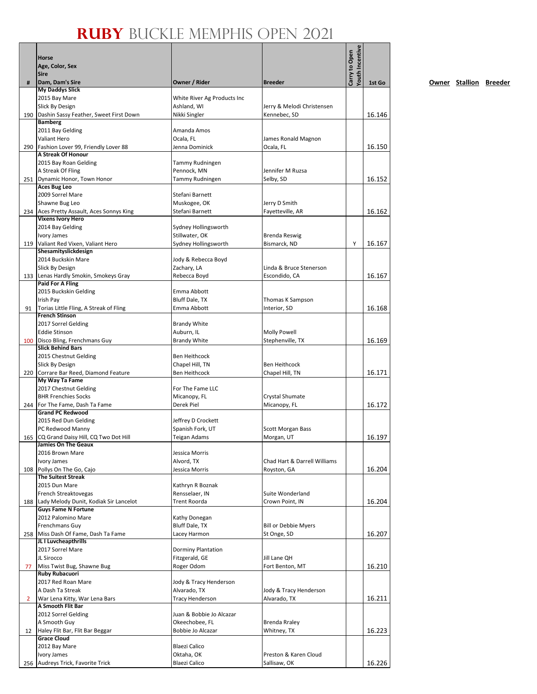|                | Horse<br>Age, Color, Sex<br>Sire                                         |                                             |                                             | Youth Incentive<br>Carry to Open |        |
|----------------|--------------------------------------------------------------------------|---------------------------------------------|---------------------------------------------|----------------------------------|--------|
| #              | Dam, Dam's Sire                                                          | Owner / Rider                               | <b>Breeder</b>                              |                                  | 1st Go |
|                | <b>My Daddys Slick</b><br>2015 Bay Mare                                  | White River Ag Products Inc                 |                                             |                                  |        |
|                | Slick By Design                                                          | Ashland, WI                                 | Jerry & Melodi Christensen                  |                                  |        |
|                | 190 Dashin Sassy Feather, Sweet First Down                               | Nikki Singler                               | Kennebec, SD                                |                                  | 16.146 |
|                | <b>Bamberg</b>                                                           |                                             |                                             |                                  |        |
|                | 2011 Bay Gelding                                                         | Amanda Amos                                 |                                             |                                  |        |
|                | Valiant Hero<br>290 Fashion Lover 99, Friendly Lover 88                  | Ocala, FL<br>Jenna Dominick                 | James Ronald Magnon<br>Ocala, FL            |                                  | 16.150 |
|                | <b>A Streak Of Honour</b>                                                |                                             |                                             |                                  |        |
|                | 2015 Bay Roan Gelding                                                    | Tammy Rudningen                             |                                             |                                  |        |
|                | A Streak Of Fling                                                        | Pennock, MN                                 | Jennifer M Ruzsa                            |                                  |        |
|                | 251   Dynamic Honor, Town Honor<br>Aces Bug Leo                          | Tammy Rudningen                             | Selby, SD                                   |                                  | 16.152 |
|                | 2009 Sorrel Mare                                                         | Stefani Barnett                             |                                             |                                  |        |
|                | Shawne Bug Leo                                                           | Muskogee, OK                                | Jerry D Smith                               |                                  |        |
|                | 234 Aces Pretty Assault, Aces Sonnys King                                | Stefani Barnett                             | Fayetteville, AR                            |                                  | 16.162 |
|                | <b>Vixens Ivory Hero</b>                                                 |                                             |                                             |                                  |        |
|                | 2014 Bay Gelding<br>Ivory James                                          | Sydney Hollingsworth<br>Stillwater, OK      | <b>Brenda Reswig</b>                        |                                  |        |
|                | 119 Valiant Red Vixen, Valiant Hero                                      | Sydney Hollingsworth                        | Bismarck, ND                                | Υ                                | 16.167 |
|                | Shesamityslickdesign                                                     |                                             |                                             |                                  |        |
|                | 2014 Buckskin Mare                                                       | Jody & Rebecca Boyd                         |                                             |                                  |        |
|                | Slick By Design                                                          | Zachary, LA                                 | Linda & Bruce Stenerson                     |                                  |        |
|                | 133 Lenas Hardly Smokin, Smokeys Gray<br>Paid For A Fling                | Rebecca Boyd                                | Escondido, CA                               |                                  | 16.167 |
|                | 2015 Buckskin Gelding                                                    | Emma Abbott                                 |                                             |                                  |        |
|                | <b>Irish Pay</b>                                                         | Bluff Dale, TX                              | Thomas K Sampson                            |                                  |        |
| 91             | Torias Little Fling, A Streak of Fling                                   | Emma Abbott                                 | Interior, SD                                |                                  | 16.168 |
|                | <b>French Stinson</b><br>2017 Sorrel Gelding                             | <b>Brandy White</b>                         |                                             |                                  |        |
|                | <b>Eddie Stinson</b>                                                     | Auburn, IL                                  | <b>Molly Powell</b>                         |                                  |        |
|                | 100 Disco Bling, Frenchmans Guy                                          | <b>Brandy White</b>                         | Stephenville, TX                            |                                  | 16.169 |
|                | <b>Slick Behind Bars</b>                                                 |                                             |                                             |                                  |        |
|                | 2015 Chestnut Gelding                                                    | Ben Heithcock                               |                                             |                                  |        |
|                | Slick By Design                                                          | Chapel Hill, TN                             | <b>Ben Heithcock</b>                        |                                  |        |
|                | 220 Corrare Bar Reed, Diamond Feature<br>My Way Ta Fame                  | <b>Ben Heithcock</b>                        | Chapel Hill, TN                             |                                  | 16.171 |
|                | 2017 Chestnut Gelding                                                    | For The Fame LLC                            |                                             |                                  |        |
|                | <b>BHR Frenchies Socks</b>                                               | Micanopy, FL                                | Crystal Shumate                             |                                  |        |
|                | 244 For The Fame, Dash Ta Fame<br><b>Grand PC Redwood</b>                | Derek Piel                                  | Micanopy, FL                                |                                  | 16.172 |
|                | 2015 Red Dun Gelding                                                     | Jeffrey D Crockett                          |                                             |                                  |        |
|                | PC Redwood Manny                                                         | Spanish Fork, UT                            | Scott Morgan Bass                           |                                  |        |
|                | 165 CQ Grand Daisy Hill, CQ Two Dot Hill                                 | Teigan Adams                                | Morgan, UT                                  |                                  | 16.197 |
|                | <b>Jamies On The Geaux</b>                                               |                                             |                                             |                                  |        |
|                | 2016 Brown Mare<br>Ivory James                                           | Jessica Morris                              |                                             |                                  |        |
| 108            | Pollys On The Go, Cajo                                                   | Alvord, TX<br>Jessica Morris                | Chad Hart & Darrell Williams<br>Royston, GA |                                  | 16.204 |
|                | <b>The Suitest Streak</b>                                                |                                             |                                             |                                  |        |
|                | 2015 Dun Mare                                                            | Kathryn R Boznak                            |                                             |                                  |        |
|                | French Streaktovegas                                                     | Rensselaer, IN                              | Suite Wonderland                            |                                  |        |
|                | 188 Lady Melody Dunit, Kodiak Sir Lancelot<br><b>Guys Fame N Fortune</b> | Trent Roorda                                | Crown Point, IN                             |                                  | 16.204 |
|                | 2012 Palomino Mare                                                       | Kathy Donegan                               |                                             |                                  |        |
|                | Frenchmans Guy                                                           | Bluff Dale, TX                              | <b>Bill or Debbie Myers</b>                 |                                  |        |
|                | 258 Miss Dash Of Fame, Dash Ta Fame                                      | Lacey Harmon                                | St Onge, SD                                 |                                  | 16.207 |
|                | JL I Luvcheapthrills                                                     |                                             |                                             |                                  |        |
|                | 2017 Sorrel Mare<br>JL Sirocco                                           | <b>Dorminy Plantation</b><br>Fitzgerald, GE | Jill Lane QH                                |                                  |        |
| 77             | Miss Twist Bug, Shawne Bug                                               | Roger Odom                                  | Fort Benton, MT                             |                                  | 16.210 |
|                | <b>Ruby Rubacuori</b>                                                    |                                             |                                             |                                  |        |
|                | 2017 Red Roan Mare                                                       | Jody & Tracy Henderson                      |                                             |                                  |        |
|                | A Dash Ta Streak                                                         | Alvarado, TX                                | Jody & Tracy Henderson                      |                                  |        |
| $\overline{2}$ | War Lena Kitty, War Lena Bars<br>A Smooth Flit Bar                       | <b>Tracy Henderson</b>                      | Alvarado, TX                                |                                  | 16.211 |
|                | 2012 Sorrel Gelding                                                      | Juan & Bobbie Jo Alcazar                    |                                             |                                  |        |
|                | A Smooth Guy                                                             | Okeechobee, FL                              | <b>Brenda Rraley</b>                        |                                  |        |
| 12             | Haley Flit Bar, Flit Bar Beggar                                          | Bobbie Jo Alcazar                           | Whitney, TX                                 |                                  | 16.223 |
|                | <b>Grace Cloud</b>                                                       |                                             |                                             |                                  |        |
|                | 2012 Bay Mare<br>Ivory James                                             | Blaezi Calico<br>Oktaha, OK                 | Preston & Karen Cloud                       |                                  |        |
| 256            | Audreys Trick, Favorite Trick                                            | Blaezi Calico                               | Sallisaw, OK                                |                                  | 16.226 |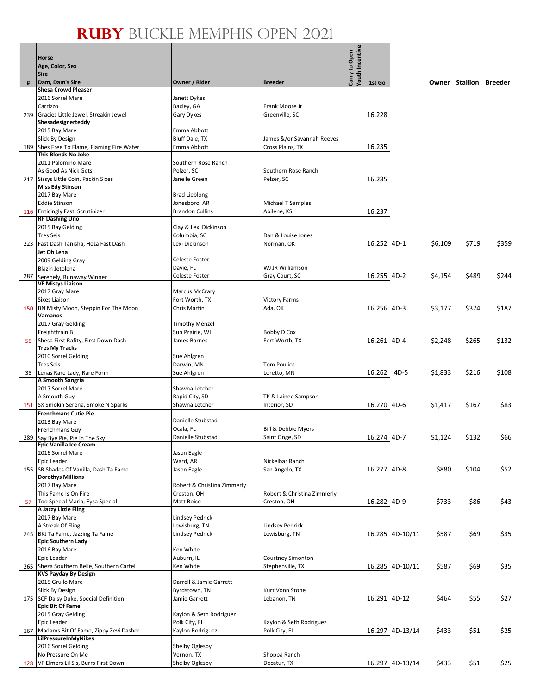|     | <b>Horse</b>                                                             |                                   |                                          |                                         |              |                 |         |                        |       |
|-----|--------------------------------------------------------------------------|-----------------------------------|------------------------------------------|-----------------------------------------|--------------|-----------------|---------|------------------------|-------|
|     | Age, Color, Sex                                                          |                                   |                                          |                                         |              |                 |         |                        |       |
| #   | <b>Sire</b><br>Dam, Dam's Sire                                           | Owner / Rider                     | <b>Breeder</b>                           | <b>routh Incentive</b><br>Carry to Open | 1st Go       |                 |         | Owner Stallion Breeder |       |
|     | <b>Shesa Crowd Pleaser</b>                                               |                                   |                                          |                                         |              |                 |         |                        |       |
|     | 2016 Sorrel Mare                                                         | Janett Dykes                      |                                          |                                         |              |                 |         |                        |       |
|     | Carrizzo                                                                 | Baxley, GA                        | Frank Moore Jr                           |                                         |              |                 |         |                        |       |
|     | 239 Gracies Little Jewel, Streakin Jewel                                 | Gary Dykes                        | Greenville, SC                           |                                         | 16.228       |                 |         |                        |       |
|     | Shesadesignerteddy                                                       | Emma Abbott                       |                                          |                                         |              |                 |         |                        |       |
|     | 2015 Bay Mare<br>Slick By Design                                         | <b>Bluff Dale, TX</b>             | James &/or Savannah Reeves               |                                         |              |                 |         |                        |       |
|     | 189 Shes Free To Flame, Flaming Fire Water                               | Emma Abbott                       | Cross Plains, TX                         |                                         | 16.235       |                 |         |                        |       |
|     | This Blonds No Joke                                                      |                                   |                                          |                                         |              |                 |         |                        |       |
|     | 2011 Palomino Mare                                                       | Southern Rose Ranch               |                                          |                                         |              |                 |         |                        |       |
|     | As Good As Nick Gets                                                     | Pelzer, SC                        | Southern Rose Ranch                      |                                         |              |                 |         |                        |       |
|     | 217 Sissys Little Coin, Packin Sixes                                     | Janelle Green                     | Pelzer, SC                               |                                         | 16.235       |                 |         |                        |       |
|     | <b>Miss Edy Stinson</b><br>2017 Bay Mare                                 | <b>Brad Lieblong</b>              |                                          |                                         |              |                 |         |                        |       |
|     | <b>Eddie Stinson</b>                                                     | Jonesboro, AR                     | Michael T Samples                        |                                         |              |                 |         |                        |       |
|     | 116 Enticingly Fast, Scrutinizer                                         | <b>Brandon Cullins</b>            | Abilene, KS                              |                                         | 16.237       |                 |         |                        |       |
|     | <b>RP Dashing Uno</b>                                                    |                                   |                                          |                                         |              |                 |         |                        |       |
|     | 2015 Bay Gelding                                                         | Clay & Lexi Dickinson             |                                          |                                         |              |                 |         |                        |       |
|     | <b>Tres Seis</b>                                                         | Columbia, SC                      | Dan & Louise Jones                       |                                         |              |                 |         |                        |       |
|     | 223 Fast Dash Tanisha, Heza Fast Dash                                    | Lexi Dickinson                    | Norman, OK                               |                                         | 16.252 4D-1  |                 | \$6,109 | \$719                  | \$359 |
|     | Jet Oh Lena<br>2009 Gelding Gray                                         | Celeste Foster                    |                                          |                                         |              |                 |         |                        |       |
|     | <b>Blazin Jetolena</b>                                                   | Davie, FL                         | WJ JR Williamson                         |                                         |              |                 |         |                        |       |
| 287 | Serenely, Runaway Winner                                                 | <b>Celeste Foster</b>             | Gray Court, SC                           |                                         | 16.255 4D-2  |                 | \$4,154 | \$489                  | \$244 |
|     | <b>VF Mistys Liaison</b>                                                 |                                   |                                          |                                         |              |                 |         |                        |       |
|     | 2017 Gray Mare                                                           | <b>Marcus McCrary</b>             |                                          |                                         |              |                 |         |                        |       |
| 150 | Sixes Liaison<br>BN Misty Moon, Steppin For The Moon                     | Fort Worth, TX<br>Chris Martin    | <b>Victory Farms</b><br>Ada, OK          |                                         | 16.256 4D-3  |                 | \$3,177 | \$374                  | \$187 |
|     | Vamanos                                                                  |                                   |                                          |                                         |              |                 |         |                        |       |
|     | 2017 Gray Gelding                                                        | <b>Timothy Menzel</b>             |                                          |                                         |              |                 |         |                        |       |
|     | Freighttrain B                                                           | Sun Prairie, WI                   | Bobby D Cox                              |                                         |              |                 |         |                        |       |
| 55  | Shesa First Rafity, First Down Dash                                      | James Barnes                      | Fort Worth, TX                           |                                         | 16.261 4D-4  |                 | \$2,248 | \$265                  | \$132 |
|     | <b>Tres My Tracks</b>                                                    |                                   |                                          |                                         |              |                 |         |                        |       |
|     | 2010 Sorrel Gelding<br><b>Tres Seis</b>                                  | Sue Ahlgren<br>Darwin, MN         | <b>Tom Pouliot</b>                       |                                         |              |                 |         |                        |       |
| 35  | Lenas Rare Lady, Rare Form                                               | Sue Ahlgren                       | Loretto, MN                              |                                         | 16.262       | 4D-5            | \$1,833 | \$216                  | \$108 |
|     | A Smooth Sangria                                                         |                                   |                                          |                                         |              |                 |         |                        |       |
|     | 2017 Sorrel Mare                                                         | Shawna Letcher                    |                                          |                                         |              |                 |         |                        |       |
|     | A Smooth Guy                                                             | Rapid City, SD                    | TK & Lainee Sampson                      |                                         |              |                 |         |                        |       |
|     | 151 SX Smokin Serena, Smoke N Sparks                                     | Shawna Letcher                    | Interior, SD                             |                                         | 16.270 4D-6  |                 | \$1,417 | \$167                  | \$83  |
|     | <b>Frenchmans Cutie Pie</b><br>2013 Bay Mare                             | Danielle Stubstad                 |                                          |                                         |              |                 |         |                        |       |
|     | Frenchmans Guy                                                           | Ocala, FL                         | Bill & Debbie Myers                      |                                         |              |                 |         |                        |       |
|     | 289 Say Bye Pie, Pie In The Sky                                          | Danielle Stubstad                 | Saint Onge, SD                           |                                         | 16.274 4D-7  |                 | \$1,124 | \$132                  | \$66  |
|     | Epic Vanilla Ice Cream                                                   |                                   |                                          |                                         |              |                 |         |                        |       |
|     | 2016 Sorrel Mare                                                         | Jason Eagle                       |                                          |                                         |              |                 |         |                        |       |
|     | Epic Leader<br>155 SR Shades Of Vanilla, Dash Ta Fame                    | Ward, AR<br>Jason Eagle           | Nickelbar Ranch<br>San Angelo, TX        |                                         | 16.277 4D-8  |                 | \$880   | \$104                  | \$52  |
|     | <b>Dorothys Millions</b>                                                 |                                   |                                          |                                         |              |                 |         |                        |       |
|     | 2017 Bay Mare                                                            | Robert & Christina Zimmerly       |                                          |                                         |              |                 |         |                        |       |
|     | This Fame Is On Fire                                                     | Creston, OH                       | Robert & Christina Zimmerly              |                                         |              |                 |         |                        |       |
| 57  | Too Special Maria, Eysa Special                                          | Matt Boice                        | Creston, OH                              |                                         | 16.282 4D-9  |                 | \$733   | \$86                   | \$43  |
|     | A Jazzy Little Fling<br>2017 Bay Mare                                    | <b>Lindsey Pedrick</b>            |                                          |                                         |              |                 |         |                        |       |
|     | A Streak Of Fling                                                        | Lewisburg, TN                     | <b>Lindsey Pedrick</b>                   |                                         |              |                 |         |                        |       |
|     | 245 BKJ Ta Fame, Jazzing Ta Fame                                         | <b>Lindsey Pedrick</b>            | Lewisburg, TN                            |                                         |              | 16.285 4D-10/11 | \$587   | \$69                   | \$35  |
|     | <b>Epic Southern Lady</b>                                                |                                   |                                          |                                         |              |                 |         |                        |       |
|     | 2016 Bay Mare                                                            | Ken White                         |                                          |                                         |              |                 |         |                        |       |
|     | Epic Leader                                                              | Auburn, IL                        | Courtney Simonton                        |                                         |              |                 |         |                        |       |
|     | 265 Sheza Southern Belle, Southern Cartel<br><b>KVS Payday By Design</b> | Ken White                         | Stephenville, TX                         |                                         |              | 16.285 4D-10/11 | \$587   | \$69                   | \$35  |
|     | 2015 Grullo Mare                                                         | Darrell & Jamie Garrett           |                                          |                                         |              |                 |         |                        |       |
|     | Slick By Design                                                          | Byrdstown, TN                     | Kurt Vonn Stone                          |                                         |              |                 |         |                        |       |
|     | 175 SCF Daisy Duke, Special Definition                                   | Jamie Garrett                     | Lebanon, TN                              |                                         | 16.291 4D-12 |                 | \$464   | \$55                   | \$27  |
|     | <b>Epic Bit Of Fame</b>                                                  |                                   |                                          |                                         |              |                 |         |                        |       |
|     | 2015 Gray Gelding                                                        | Kaylon & Seth Rodriguez           |                                          |                                         |              |                 |         |                        |       |
|     | Epic Leader<br>167 Madams Bit Of Fame, Zippy Zevi Dasher                 | Polk City, FL<br>Kaylon Rodriguez | Kaylon & Seth Rodriguez<br>Polk City, FL |                                         |              | 16.297 4D-13/14 | \$433   | \$51                   | \$25  |
|     | <b>LilPressureInMyNikes</b>                                              |                                   |                                          |                                         |              |                 |         |                        |       |
|     | 2016 Sorrel Gelding                                                      | Shelby Oglesby                    |                                          |                                         |              |                 |         |                        |       |
|     | No Pressure On Me                                                        | Vernon, TX                        | Shoppa Ranch                             |                                         |              |                 |         |                        |       |
|     | 128 VF Elmers Lil Sis, Burrs First Down                                  | Shelby Oglesby                    | Decatur, TX                              |                                         |              | 16.297 4D-13/14 | \$433   | \$51                   | \$25  |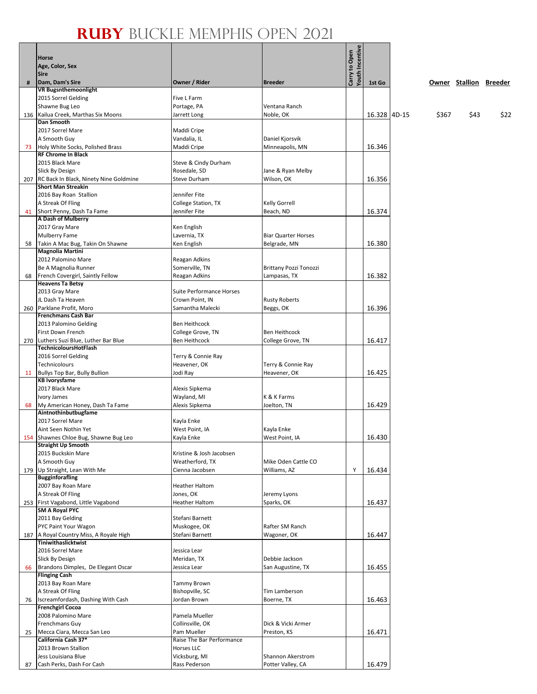ا له ا

٦

|    | <b>Horse</b>                                                       |                                |                                        | <b>Youth Incentive</b><br>Carry to Open |              |       |                        |      |
|----|--------------------------------------------------------------------|--------------------------------|----------------------------------------|-----------------------------------------|--------------|-------|------------------------|------|
|    | Age, Color, Sex                                                    |                                |                                        |                                         |              |       |                        |      |
|    | <b>Sire</b>                                                        |                                |                                        |                                         |              |       |                        |      |
| #  | Dam, Dam's Sire                                                    | Owner / Rider                  | <b>Breeder</b>                         |                                         | 1st Go       |       | Owner Stallion Breeder |      |
|    | <b>VR Bugsnthemoonlight</b>                                        |                                |                                        |                                         |              |       |                        |      |
|    | 2015 Sorrel Gelding                                                | Five L Farm                    |                                        |                                         |              |       |                        |      |
|    | Shawne Bug Leo                                                     | Portage, PA                    | Ventana Ranch                          |                                         |              |       |                        |      |
|    | 136 Kailua Creek, Marthas Six Moons<br>Dan Smooth                  | Jarrett Long                   | Noble, OK                              |                                         | 16.328 4D-15 | \$367 | \$43                   | \$22 |
|    | 2017 Sorrel Mare                                                   | Maddi Cripe                    |                                        |                                         |              |       |                        |      |
|    | A Smooth Guy                                                       | Vandalia, IL                   | Daniel Kjorsvik                        |                                         |              |       |                        |      |
| 73 | Holy White Socks, Polished Brass                                   | Maddi Cripe                    | Minneapolis, MN                        |                                         | 16.346       |       |                        |      |
|    | <b>RF Chrome In Black</b>                                          |                                |                                        |                                         |              |       |                        |      |
|    | 2015 Black Mare                                                    | Steve & Cindy Durham           |                                        |                                         |              |       |                        |      |
|    | Slick By Design                                                    | Rosedale, SD                   | Jane & Ryan Melby                      |                                         |              |       |                        |      |
|    | 207 RC Back In Black, Ninety Nine Goldmine                         | <b>Steve Durham</b>            | Wilson, OK                             |                                         | 16.356       |       |                        |      |
|    | <b>Short Man Streakin</b>                                          |                                |                                        |                                         |              |       |                        |      |
|    | 2016 Bay Roan Stallion                                             | Jennifer Fite                  |                                        |                                         |              |       |                        |      |
|    | A Streak Of Fling                                                  | College Station, TX            | Kelly Gorrell                          |                                         |              |       |                        |      |
| 41 | Short Penny, Dash Ta Fame                                          | Jennifer Fite                  | Beach, ND                              |                                         | 16.374       |       |                        |      |
|    | A Dash of Mulberry<br>2017 Gray Mare                               |                                |                                        |                                         |              |       |                        |      |
|    | Mulberry Fame                                                      | Ken English<br>Lavernia, TX    | <b>Biar Quarter Horses</b>             |                                         |              |       |                        |      |
| 58 | Takin A Mac Bug, Takin On Shawne                                   | Ken English                    | Belgrade, MN                           |                                         | 16.380       |       |                        |      |
|    | <b>Magnolia Martini</b>                                            |                                |                                        |                                         |              |       |                        |      |
|    | 2012 Palomino Mare                                                 | Reagan Adkins                  |                                        |                                         |              |       |                        |      |
|    | Be A Magnolia Runner                                               | Somerville, TN                 | <b>Brittany Pozzi Tonozzi</b>          |                                         |              |       |                        |      |
| 68 | French Covergirl, Saintly Fellow                                   | Reagan Adkins                  | Lampasas, TX                           |                                         | 16.382       |       |                        |      |
|    | <b>Heavens Ta Betsy</b>                                            |                                |                                        |                                         |              |       |                        |      |
|    | 2013 Gray Mare                                                     | Suite Performance Horses       |                                        |                                         |              |       |                        |      |
|    | JL Dash Ta Heaven                                                  | Crown Point, IN                | <b>Rusty Roberts</b>                   |                                         |              |       |                        |      |
|    | 260 Parklane Profit, Moro                                          | Samantha Malecki               | Beggs, OK                              |                                         | 16.396       |       |                        |      |
|    | <b>Frenchmans Cash Bar</b>                                         |                                |                                        |                                         |              |       |                        |      |
|    | 2013 Palomino Gelding                                              | Ben Heithcock                  |                                        |                                         |              |       |                        |      |
|    | First Down French                                                  | College Grove, TN              | Ben Heithcock                          |                                         |              |       |                        |      |
|    | 270 Luthers Suzi Blue, Luther Bar Blue<br>TechnicoloursHotFlash    | Ben Heithcock                  | College Grove, TN                      |                                         | 16.417       |       |                        |      |
|    | 2016 Sorrel Gelding                                                | Terry & Connie Ray             |                                        |                                         |              |       |                        |      |
|    | Technicolours                                                      | Heavener, OK                   | Terry & Connie Ray                     |                                         |              |       |                        |      |
| 11 | Bullys Top Bar, Bully Bullion                                      | Jodi Ray                       | Heavener, OK                           |                                         | 16.425       |       |                        |      |
|    | <b>KB Ivorysfame</b>                                               |                                |                                        |                                         |              |       |                        |      |
|    | 2017 Black Mare                                                    | Alexis Sipkema                 |                                        |                                         |              |       |                        |      |
|    | Ivory James                                                        | Wayland, MI                    | K & K Farms                            |                                         |              |       |                        |      |
| 68 | My American Honey, Dash Ta Fame                                    | Alexis Sipkema                 | Joelton, TN                            |                                         | 16.429       |       |                        |      |
|    | Aintnothinbutbugfame                                               |                                |                                        |                                         |              |       |                        |      |
|    | 2017 Sorrel Mare                                                   | Kayla Enke                     |                                        |                                         |              |       |                        |      |
|    | Aint Seen Nothin Yet                                               | West Point, IA                 | Kayla Enke                             |                                         |              |       |                        |      |
|    | 154 Shawnes Chloe Bug, Shawne Bug Leo<br><b>Straight Up Smooth</b> | Kayla Enke                     | West Point, IA                         |                                         | 16.430       |       |                        |      |
|    | 2015 Buckskin Mare                                                 | Kristine & Josh Jacobsen       |                                        |                                         |              |       |                        |      |
|    | A Smooth Guy                                                       | Weatherford, TX                | Mike Oden Cattle CO                    |                                         |              |       |                        |      |
|    | 179 Up Straight, Lean With Me                                      | Cienna Jacobsen                | Williams, AZ                           | Y                                       | 16.434       |       |                        |      |
|    | <b>Bugginforafling</b>                                             |                                |                                        |                                         |              |       |                        |      |
|    | 2007 Bay Roan Mare                                                 | <b>Heather Haltom</b>          |                                        |                                         |              |       |                        |      |
|    | A Streak Of Fling                                                  | Jones, OK                      | Jeremy Lyons                           |                                         |              |       |                        |      |
|    | 253 First Vagabond, Little Vagabond                                | <b>Heather Haltom</b>          | Sparks, OK                             |                                         | 16.437       |       |                        |      |
|    | <b>SM A Royal PYC</b>                                              |                                |                                        |                                         |              |       |                        |      |
|    | 2011 Bay Gelding                                                   | Stefani Barnett                |                                        |                                         |              |       |                        |      |
|    | PYC Paint Your Wagon                                               | Muskogee, OK                   | Rafter SM Ranch                        |                                         |              |       |                        |      |
|    | 187 A Royal Country Miss, A Royale High<br>Tiniwithaslicktwist     | Stefani Barnett                | Wagoner, OK                            |                                         | 16.447       |       |                        |      |
|    | 2016 Sorrel Mare                                                   | Jessica Lear                   |                                        |                                         |              |       |                        |      |
|    | <b>Slick By Design</b>                                             | Meridan, TX                    | Debbie Jackson                         |                                         |              |       |                        |      |
| 66 | Brandons Dimples, De Elegant Oscar                                 | Jessica Lear                   | San Augustine, TX                      |                                         | 16.455       |       |                        |      |
|    | <b>Flinging Cash</b>                                               |                                |                                        |                                         |              |       |                        |      |
|    | 2013 Bay Roan Mare                                                 | <b>Tammy Brown</b>             |                                        |                                         |              |       |                        |      |
|    | A Streak Of Fling                                                  | Bishopville, SC                | Tim Lamberson                          |                                         |              |       |                        |      |
| 76 | Iscreamfordash, Dashing With Cash                                  | Jordan Brown                   | Boerne, TX                             |                                         | 16.463       |       |                        |      |
|    | <b>Frenchgirl Cocoa</b>                                            |                                |                                        |                                         |              |       |                        |      |
|    | 2008 Palomino Mare                                                 | Pamela Mueller                 |                                        |                                         |              |       |                        |      |
|    | Frenchmans Guy                                                     | Collinsville, OK               | Dick & Vicki Armer                     |                                         |              |       |                        |      |
| 25 | Mecca Ciara, Mecca San Leo                                         | Pam Mueller                    | Preston, KS                            |                                         | 16.471       |       |                        |      |
|    | California Cash 37*                                                | Raise The Bar Performance      |                                        |                                         |              |       |                        |      |
|    | 2013 Brown Stallion                                                | Horses LLC                     |                                        |                                         |              |       |                        |      |
|    | Jess Louisiana Blue<br>Cash Perks, Dash For Cash                   | Vicksburg, MI<br>Rass Pederson | Shannon Akerstrom<br>Potter Valley, CA |                                         | 16.479       |       |                        |      |
| 87 |                                                                    |                                |                                        |                                         |              |       |                        |      |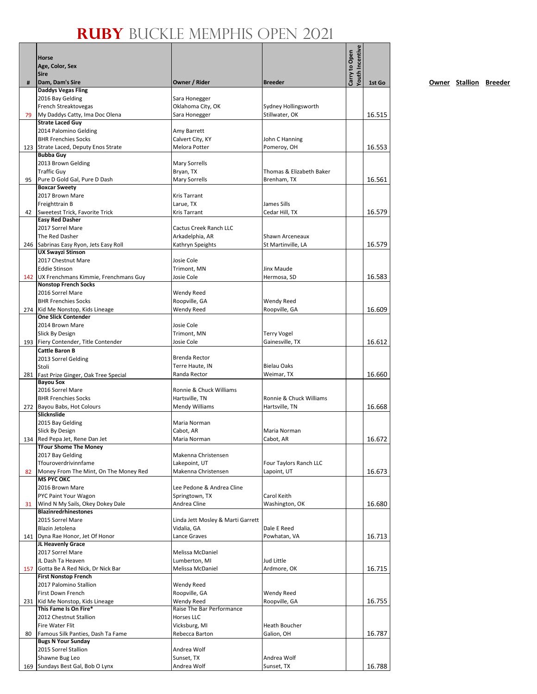|     |                                                               |                                                  |                                       | <b>routh Incentive</b> |        |
|-----|---------------------------------------------------------------|--------------------------------------------------|---------------------------------------|------------------------|--------|
|     | Horse                                                         |                                                  |                                       | Carry to Open          |        |
|     | Age, Color, Sex<br><b>Sire</b>                                |                                                  |                                       |                        |        |
| #   | Dam, Dam's Sire                                               | Owner / Rider                                    | <b>Breeder</b>                        |                        | 1st Go |
|     | <b>Daddys Vegas Fling</b>                                     |                                                  |                                       |                        |        |
|     | 2016 Bay Gelding                                              | Sara Honegger                                    |                                       |                        |        |
|     | <b>French Streaktovegas</b>                                   | Oklahoma City, OK                                | Sydney Hollingsworth                  |                        |        |
| 79  | My Daddys Catty, Ima Doc Olena<br><b>Strate Laced Guy</b>     | Sara Honegger                                    | Stillwater, OK                        |                        | 16.515 |
|     | 2014 Palomino Gelding                                         | Amy Barrett                                      |                                       |                        |        |
|     | <b>BHR Frenchies Socks</b>                                    | Calvert City, KY                                 | John C Hanning                        |                        |        |
|     | 123 Strate Laced, Deputy Enos Strate                          | Melora Potter                                    | Pomeroy, OH                           |                        | 16.553 |
|     | <b>Bubba Guy</b>                                              |                                                  |                                       |                        |        |
|     | 2013 Brown Gelding                                            | <b>Mary Sorrells</b>                             |                                       |                        |        |
|     | <b>Traffic Guy</b><br>Pure D Gold Gal, Pure D Dash            | Bryan, TX<br><b>Mary Sorrells</b>                | Thomas & Elizabeth Baker              |                        |        |
| 95  | <b>Boxcar Sweety</b>                                          |                                                  | Brenham, TX                           |                        | 16.561 |
|     | 2017 Brown Mare                                               | <b>Kris Tarrant</b>                              |                                       |                        |        |
|     | Freighttrain B                                                | Larue, TX                                        | James Sills                           |                        |        |
| 42  | Sweetest Trick, Favorite Trick                                | <b>Kris Tarrant</b>                              | Cedar Hill, TX                        |                        | 16.579 |
|     | <b>Easy Red Dasher</b>                                        |                                                  |                                       |                        |        |
|     | 2017 Sorrel Mare                                              | <b>Cactus Creek Ranch LLC</b>                    | Shawn Arceneaux                       |                        |        |
|     | The Red Dasher<br>246 Sabrinas Easy Ryon, Jets Easy Roll      | Arkadelphia, AR<br>Kathryn Speights              | St Martinville, LA                    |                        | 16.579 |
|     | <b>UX Swayzi Stinson</b>                                      |                                                  |                                       |                        |        |
|     | 2017 Chestnut Mare                                            | Josie Cole                                       |                                       |                        |        |
|     | <b>Eddie Stinson</b>                                          | Trimont, MN                                      | Jinx Maude                            |                        |        |
|     | 142   UX Frenchmans Kimmie, Frenchmans Guy                    | Josie Cole                                       | Hermosa, SD                           |                        | 16.583 |
|     | <b>Nonstop French Socks</b>                                   |                                                  |                                       |                        |        |
|     | 2016 Sorrel Mare<br><b>BHR Frenchies Socks</b>                | Wendy Reed<br>Roopville, GA                      | Wendy Reed                            |                        |        |
|     | 274 Kid Me Nonstop, Kids Lineage                              | Wendy Reed                                       | Roopville, GA                         |                        | 16.609 |
|     | <b>One Slick Contender</b>                                    |                                                  |                                       |                        |        |
|     | 2014 Brown Mare                                               | Josie Cole                                       |                                       |                        |        |
|     | Slick By Design                                               | Trimont, MN                                      | <b>Terry Vogel</b>                    |                        |        |
|     | 193 Fiery Contender, Title Contender                          | Josie Cole                                       | Gainesville, TX                       |                        | 16.612 |
|     | <b>Cattle Baron B</b>                                         | Brenda Rector                                    |                                       |                        |        |
|     | 2013 Sorrel Gelding<br>Stoli                                  | Terre Haute, IN                                  | <b>Bielau Oaks</b>                    |                        |        |
|     | 281 Fast Prize Ginger, Oak Tree Special                       | Randa Rector                                     | Weimar, TX                            |                        | 16.660 |
|     | <b>Bayou Sox</b>                                              |                                                  |                                       |                        |        |
|     | 2016 Sorrel Mare                                              | Ronnie & Chuck Williams                          |                                       |                        |        |
|     | <b>BHR Frenchies Socks</b>                                    | Hartsville, TN                                   | Ronnie & Chuck Williams               |                        |        |
|     | 272 Bayou Babs, Hot Colours<br>Slicknslide                    | <b>Mendy Williams</b>                            | Hartsville, TN                        |                        | 16.668 |
|     | 2015 Bay Gelding                                              | Maria Norman                                     |                                       |                        |        |
|     | Slick By Design                                               | Cabot, AR                                        | Maria Norman                          |                        |        |
|     | 134 Red Pepa Jet, Rene Dan Jet                                | Maria Norman                                     | Cabot, AR                             |                        | 16.672 |
|     | <b>TFour Shome The Money</b>                                  |                                                  |                                       |                        |        |
|     | 2017 Bay Gelding                                              | Makenna Christensen                              |                                       |                        |        |
| 82  | Tfouroverdrivinnfame<br>Money From The Mint, On The Money Red | Lakepoint, UT<br>Makenna Christensen             | Four Taylors Ranch LLC<br>Lapoint, UT |                        | 16.673 |
|     | <b>MS PYC OKC</b>                                             |                                                  |                                       |                        |        |
|     | 2016 Brown Mare                                               | Lee Pedone & Andrea Cline                        |                                       |                        |        |
|     | PYC Paint Your Wagon                                          | Springtown, TX                                   | Carol Keith                           |                        |        |
| 31  | Wind N My Sails, Okey Dokey Dale                              | Andrea Cline                                     | Washington, OK                        |                        | 16.680 |
|     | <b>Blazinredrhinestones</b>                                   |                                                  |                                       |                        |        |
|     | 2015 Sorrel Mare<br>Blazin Jetolena                           | Linda Jett Mosley & Marti Garrett<br>Vidalia, GA | Dale E Reed                           |                        |        |
|     | 141 Dyna Rae Honor, Jet Of Honor                              | Lance Graves                                     | Powhatan, VA                          |                        | 16.713 |
|     | JL Heavenly Grace                                             |                                                  |                                       |                        |        |
|     | 2017 Sorrel Mare                                              | Melissa McDaniel                                 |                                       |                        |        |
|     | JL Dash Ta Heaven                                             | Lumberton, MI                                    | Jud Little                            |                        |        |
| 157 | Gotta Be A Red Nick, Dr Nick Bar                              | Melissa McDaniel                                 | Ardmore, OK                           |                        | 16.715 |
|     | <b>First Nonstop French</b><br>2017 Palomino Stallion         | Wendy Reed                                       |                                       |                        |        |
|     | First Down French                                             | Roopville, GA                                    | Wendy Reed                            |                        |        |
|     | 231 Kid Me Nonstop, Kids Lineage                              | Wendy Reed                                       | Roopville, GA                         |                        | 16.755 |
|     | This Fame Is On Fire*                                         | Raise The Bar Performance                        |                                       |                        |        |
|     | 2012 Chestnut Stallion                                        | Horses LLC                                       |                                       |                        |        |
|     | Fire Water Flit                                               | Vicksburg, MI                                    | Heath Boucher                         |                        |        |
| 80  | Famous Silk Panties, Dash Ta Fame                             | Rebecca Barton                                   | Galion, OH                            |                        | 16.787 |
|     | <b>Bugs N Your Sunday</b><br>2015 Sorrel Stallion             | Andrea Wolf                                      |                                       |                        |        |
|     | Shawne Bug Leo                                                | Sunset, TX                                       | Andrea Wolf                           |                        |        |
|     | 169 Sundays Best Gal, Bob O Lynx                              | Andrea Wolf                                      | Sunset, TX                            |                        | 16.788 |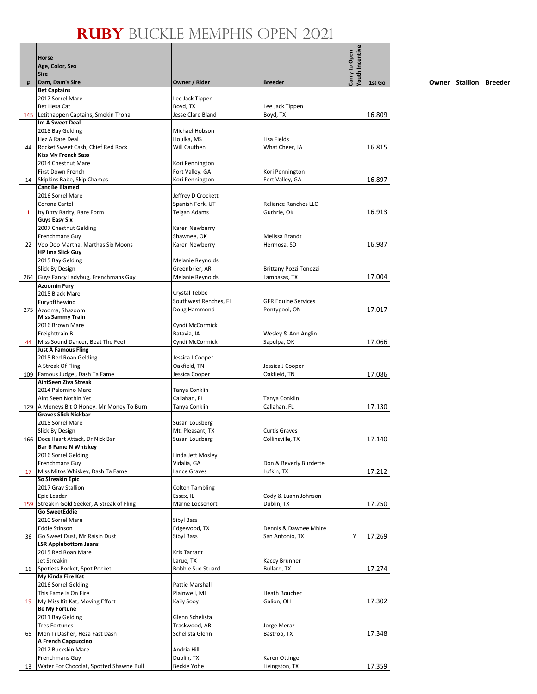|              | Horse<br>Age, Color, Sex<br><b>Sire</b>                             |                                        |                                          | Youth Incentive<br>Carry to Open |        |
|--------------|---------------------------------------------------------------------|----------------------------------------|------------------------------------------|----------------------------------|--------|
| #            | Dam, Dam's Sire<br><b>Bet Captains</b>                              | Owner / Rider                          | <b>Breeder</b>                           |                                  | 1st Go |
|              | 2017 Sorrel Mare                                                    | Lee Jack Tippen                        |                                          |                                  |        |
|              | Bet Hesa Cat                                                        | Boyd, TX                               | Lee Jack Tippen                          |                                  |        |
|              | 145 Letithappen Captains, Smokin Trona                              | Jesse Clare Bland                      | Boyd, TX                                 |                                  | 16.809 |
|              | Im A Sweet Deal                                                     |                                        |                                          |                                  |        |
|              | 2018 Bay Gelding                                                    | Michael Hobson                         |                                          |                                  |        |
|              | Hez A Rare Deal                                                     | Houlka, MS                             | Lisa Fields                              |                                  |        |
| 44           | Rocket Sweet Cash, Chief Red Rock<br><b>Kiss My French Sass</b>     | Will Cauthen                           | What Cheer. IA                           |                                  | 16.815 |
|              | 2014 Chestnut Mare                                                  | Kori Pennington                        |                                          |                                  |        |
|              | First Down French                                                   | Fort Valley, GA                        | Kori Pennington                          |                                  |        |
| 14           | Skipkins Babe, Skip Champs                                          | Kori Pennington                        | Fort Valley, GA                          |                                  | 16.897 |
|              | <b>Cant Be Blamed</b>                                               |                                        |                                          |                                  |        |
|              | 2016 Sorrel Mare                                                    | Jeffrey D Crockett                     |                                          |                                  |        |
|              | Corona Cartel                                                       | Spanish Fork, UT                       | <b>Reliance Ranches LLC</b>              |                                  |        |
| $\mathbf{1}$ | Ity Bitty Rarity, Rare Form<br><b>Guys Easy Six</b>                 | Teigan Adams                           | Guthrie, OK                              |                                  | 16.913 |
|              | 2007 Chestnut Gelding                                               | Karen Newberry                         |                                          |                                  |        |
|              | Frenchmans Guy                                                      | Shawnee, OK                            | Melissa Brandt                           |                                  |        |
| 22           | Voo Doo Martha, Marthas Six Moons                                   | Karen Newberry                         | Hermosa, SD                              |                                  | 16.987 |
|              | <b>HP Ima Slick Guy</b>                                             |                                        |                                          |                                  |        |
|              | 2015 Bay Gelding                                                    | Melanie Reynolds                       |                                          |                                  |        |
|              | Slick By Design                                                     | Greenbrier, AR                         | <b>Brittany Pozzi Tonozzi</b>            |                                  |        |
|              | 264 Guys Fancy Ladybug, Frenchmans Guy                              | Melanie Reynolds                       | Lampasas, TX                             |                                  | 17.004 |
|              | <b>Azoomin Fury</b>                                                 |                                        |                                          |                                  |        |
|              | 2015 Black Mare                                                     | Crystal Tebbe<br>Southwest Renches, FL | <b>GFR Equine Services</b>               |                                  |        |
|              | Furyofthewind<br>275 Azooma, Shazoom                                | Doug Hammond                           | Pontypool, ON                            |                                  | 17.017 |
|              | <b>Miss Sammy Train</b>                                             |                                        |                                          |                                  |        |
|              | 2016 Brown Mare                                                     | Cyndi McCormick                        |                                          |                                  |        |
|              | Freighttrain B                                                      | Batavia, IA                            | Wesley & Ann Anglin                      |                                  |        |
| 44           | Miss Sound Dancer, Beat The Feet                                    | Cyndi McCormick                        | Sapulpa, OK                              |                                  | 17.066 |
|              | <b>Just A Famous Fling</b>                                          |                                        |                                          |                                  |        |
|              | 2015 Red Roan Gelding<br>A Streak Of Fling                          | Jessica J Cooper<br>Oakfield, TN       | Jessica J Cooper                         |                                  |        |
|              | 109 Famous Judge, Dash Ta Fame                                      | Jessica Cooper                         | Oakfield, TN                             |                                  | 17.086 |
|              | AintSeen Ziva Streak                                                |                                        |                                          |                                  |        |
|              | 2014 Palomino Mare                                                  | Tanya Conklin                          |                                          |                                  |        |
|              | Aint Seen Nothin Yet                                                | Callahan, FL                           | Tanya Conklin                            |                                  |        |
|              | 129   A Moneys Bit O Honey, Mr Money To Burn                        | Tanya Conklin                          | Callahan, FL                             |                                  | 17.130 |
|              | <b>Graves Slick Nickbar</b>                                         |                                        |                                          |                                  |        |
|              | 2015 Sorrel Mare                                                    | Susan Lousberg                         |                                          |                                  |        |
|              | Slick By Design<br>166 Docs Heart Attack, Dr Nick Bar               | Mt. Pleasant, TX<br>Susan Lousberg     | <b>Curtis Graves</b><br>Collinsville, TX |                                  | 17.140 |
|              | <b>Bar B Fame N Whiskey</b>                                         |                                        |                                          |                                  |        |
|              | 2016 Sorrel Gelding                                                 | Linda Jett Mosley                      |                                          |                                  |        |
|              | Frenchmans Guy                                                      | Vidalia, GA                            | Don & Beverly Burdette                   |                                  |        |
| 17           | Miss Mitos Whiskey, Dash Ta Fame                                    | Lance Graves                           | Lufkin, TX                               |                                  | 17.212 |
|              | So Streakin Epic                                                    |                                        |                                          |                                  |        |
|              | 2017 Gray Stallion                                                  | <b>Colton Tambling</b>                 |                                          |                                  |        |
|              | Epic Leader                                                         | Essex, IL                              | Cody & Luann Johnson                     |                                  |        |
|              | 159 Streakin Gold Seeker, A Streak of Fling<br><b>Go SweetEddie</b> | Marne Loosenort                        | Dublin, TX                               |                                  | 17.250 |
|              | 2010 Sorrel Mare                                                    | Sibyl Bass                             |                                          |                                  |        |
|              | <b>Eddie Stinson</b>                                                | Edgewood, TX                           | Dennis & Dawnee Mhire                    |                                  |        |
| 36           | Go Sweet Dust, Mr Raisin Dust                                       | Sibyl Bass                             | San Antonio, TX                          | Υ                                | 17.269 |
|              | <b>LSR Applebottom Jeans</b>                                        |                                        |                                          |                                  |        |
|              | 2015 Red Roan Mare                                                  | Kris Tarrant                           |                                          |                                  |        |
|              | Jet Streakin                                                        | Larue, TX                              | Kacey Brunner                            |                                  |        |
| 16           | Spotless Pocket, Spot Pocket                                        | <b>Bobbie Sue Stuard</b>               | Bullard, TX                              |                                  | 17.274 |
|              | My Kinda Fire Kat<br>2016 Sorrel Gelding                            | Pattie Marshall                        |                                          |                                  |        |
|              | This Fame Is On Fire                                                | Plainwell, MI                          | Heath Boucher                            |                                  |        |
| 19           | My Miss Kit Kat, Moving Effort                                      | Kaily Sooy                             | Galion, OH                               |                                  | 17.302 |
|              | <b>Be My Fortune</b>                                                |                                        |                                          |                                  |        |
|              | 2011 Bay Gelding                                                    | Glenn Schelista                        |                                          |                                  |        |
|              | <b>Tres Fortunes</b>                                                | Traskwood, AR                          | Jorge Meraz                              |                                  |        |
| 65           | Mon Ti Dasher, Heza Fast Dash                                       | Schelista Glenn                        | Bastrop, TX                              |                                  | 17.348 |
|              | A French Cappuccino                                                 |                                        |                                          |                                  |        |
|              | 2012 Buckskin Mare<br>Frenchmans Guy                                | Andria Hill<br>Dublin, TX              | Karen Ottinger                           |                                  |        |
| 13           | Water For Chocolat, Spotted Shawne Bull                             | <b>Beckie Yohe</b>                     | Livingston, TX                           |                                  | 17.359 |
|              |                                                                     |                                        |                                          |                                  |        |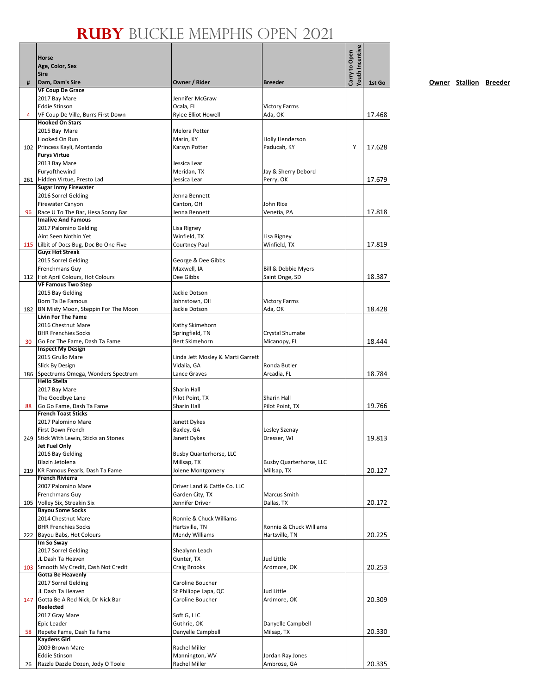| #   | <b>Horse</b><br>Age, Color, Sex<br><b>Sire</b><br>Dam, Dam's Sire    | Owner / Rider                                   | <b>Breeder</b>               | Youth Incentive<br>Carry to Open |        |
|-----|----------------------------------------------------------------------|-------------------------------------------------|------------------------------|----------------------------------|--------|
|     | <b>VF Coup De Grace</b>                                              |                                                 |                              |                                  | 1st Go |
|     | 2017 Bay Mare                                                        | Jennifer McGraw                                 |                              |                                  |        |
|     | <b>Eddie Stinson</b>                                                 | Ocala, FL                                       | <b>Victory Farms</b>         |                                  |        |
| 4   | VF Coup De Ville, Burrs First Down                                   | Rylee Elliot Howell                             | Ada, OK                      |                                  | 17.468 |
|     | <b>Hooked On Stars</b>                                               |                                                 |                              |                                  |        |
|     | 2015 Bay Mare                                                        | Melora Potter                                   |                              |                                  |        |
|     | Hooked On Run                                                        | Marin, KY                                       | <b>Holly Henderson</b>       |                                  |        |
|     | 102 Princess Kayli, Montando                                         | Karsyn Potter                                   | Paducah, KY                  | Y                                | 17.628 |
|     | <b>Furys Virtue</b>                                                  |                                                 |                              |                                  |        |
|     | 2013 Bay Mare<br>Furyofthewind                                       | Jessica Lear<br>Meridan, TX                     | Jay & Sherry Debord          |                                  |        |
|     | 261 Hidden Virtue, Presto Lad                                        | Jessica Lear                                    | Perry, OK                    |                                  | 17.679 |
|     | <b>Sugar Inmy Firewater</b>                                          |                                                 |                              |                                  |        |
|     | 2016 Sorrel Gelding                                                  | Jenna Bennett                                   |                              |                                  |        |
|     | Firewater Canyon                                                     | Canton, OH                                      | John Rice                    |                                  |        |
| 96  | Race U To The Bar, Hesa Sonny Bar                                    | Jenna Bennett                                   | Venetia, PA                  |                                  | 17.818 |
|     | <b>Imalive And Famous</b>                                            |                                                 |                              |                                  |        |
|     | 2017 Palomino Gelding                                                | Lisa Rigney                                     |                              |                                  |        |
|     | Aint Seen Nothin Yet                                                 | Winfield, TX                                    | Lisa Rigney                  |                                  |        |
|     | 115 Lilbit of Docs Bug, Doc Bo One Five<br><b>Guyz Hot Streak</b>    | Courtney Paul                                   | Winfield, TX                 |                                  | 17.819 |
|     | 2015 Sorrel Gelding                                                  | George & Dee Gibbs                              |                              |                                  |        |
|     | Frenchmans Guy                                                       | Maxwell, IA                                     | Bill & Debbie Myers          |                                  |        |
|     | 112 Hot April Colours, Hot Colours                                   | Dee Gibbs                                       | Saint Onge, SD               |                                  | 18.387 |
|     | <b>VF Famous Two Step</b>                                            |                                                 |                              |                                  |        |
|     | 2015 Bay Gelding                                                     | Jackie Dotson                                   |                              |                                  |        |
|     | Born Ta Be Famous                                                    | Johnstown, OH                                   | <b>Victory Farms</b>         |                                  |        |
|     | 182 BN Misty Moon, Steppin For The Moon<br><b>Livin For The Fame</b> | Jackie Dotson                                   | Ada, OK                      |                                  | 18.428 |
|     | 2016 Chestnut Mare                                                   | Kathy Skimehorn                                 |                              |                                  |        |
|     | <b>BHR Frenchies Socks</b>                                           | Springfield, TN                                 | Crystal Shumate              |                                  |        |
| 30  | Go For The Fame, Dash Ta Fame                                        | <b>Bert Skimehorn</b>                           | Micanopy, FL                 |                                  | 18.444 |
|     | <b>Inspect My Design</b>                                             |                                                 |                              |                                  |        |
|     | 2015 Grullo Mare                                                     | Linda Jett Mosley & Marti Garrett               |                              |                                  |        |
|     | Slick By Design                                                      | Vidalia, GA                                     | Ronda Butler                 |                                  |        |
|     | 186 Spectrums Omega, Wonders Spectrum<br><b>Hello Stella</b>         | Lance Graves                                    | Arcadia, FL                  |                                  | 18.784 |
|     | 2017 Bay Mare                                                        | <b>Sharin Hall</b>                              |                              |                                  |        |
|     | The Goodbye Lane                                                     | Pilot Point, TX                                 | <b>Sharin Hall</b>           |                                  |        |
| 88  | Go Go Fame, Dash Ta Fame                                             | Sharin Hall                                     | Pilot Point, TX              |                                  | 19.766 |
|     | <b>French Toast Sticks</b>                                           |                                                 |                              |                                  |        |
|     | 2017 Palomino Mare                                                   | Janett Dykes                                    |                              |                                  |        |
|     | First Down French<br>249 Stick With Lewin, Sticks an Stones          | Baxley, GA<br>Janett Dykes                      | Lesley Szenay<br>Dresser, WI |                                  | 19.813 |
|     | Jet Fuel Only                                                        |                                                 |                              |                                  |        |
|     | 2016 Bay Gelding                                                     | <b>Busby Quarterhorse, LLC</b>                  |                              |                                  |        |
|     | Blazin Jetolena                                                      | Millsap, TX                                     | Busby Quarterhorse, LLC      |                                  |        |
|     | 219 KR Famous Pearls, Dash Ta Fame                                   | Jolene Montgomery                               | Millsap, TX                  |                                  | 20.127 |
|     | <b>French Rivierra</b>                                               |                                                 |                              |                                  |        |
|     | 2007 Palomino Mare                                                   | Driver Land & Cattle Co. LLC<br>Garden City, TX | Marcus Smith                 |                                  |        |
| 105 | Frenchmans Guy<br>Volley Six, Streakin Six                           | Jennifer Driver                                 | Dallas, TX                   |                                  | 20.172 |
|     | <b>Bayou Some Socks</b>                                              |                                                 |                              |                                  |        |
|     | 2014 Chestnut Mare                                                   | Ronnie & Chuck Williams                         |                              |                                  |        |
|     | <b>BHR Frenchies Socks</b>                                           | Hartsville, TN                                  | Ronnie & Chuck Williams      |                                  |        |
|     | 222 Bayou Babs, Hot Colours                                          | Mendy Williams                                  | Hartsville, TN               |                                  | 20.225 |
|     | Im So Sway                                                           |                                                 |                              |                                  |        |
|     | 2017 Sorrel Gelding                                                  | Shealynn Leach                                  |                              |                                  |        |
|     | JL Dash Ta Heaven<br>103 Smooth My Credit, Cash Not Credit           | Gunter, TX<br><b>Craig Brooks</b>               | Jud Little<br>Ardmore, OK    |                                  | 20.253 |
|     | <b>Gotta Be Heavenly</b>                                             |                                                 |                              |                                  |        |
|     | 2017 Sorrel Gelding                                                  | Caroline Boucher                                |                              |                                  |        |
|     | JL Dash Ta Heaven                                                    | St Philippe Lapa, QC                            | Jud Little                   |                                  |        |
|     | 147 Gotta Be A Red Nick, Dr Nick Bar                                 | Caroline Boucher                                | Ardmore, OK                  |                                  | 20.309 |
|     | Reelected                                                            |                                                 |                              |                                  |        |
|     | 2017 Gray Mare                                                       | Soft G, LLC                                     |                              |                                  |        |
|     | Epic Leader                                                          | Guthrie, OK                                     | Danyelle Campbell            |                                  |        |
| 58  | Repete Fame, Dash Ta Fame<br><b>Kaydens Girl</b>                     | Danyelle Campbell                               | Milsap, TX                   |                                  | 20.330 |
|     | 2009 Brown Mare                                                      | Rachel Miller                                   |                              |                                  |        |
|     | <b>Eddie Stinson</b>                                                 | Mannington, WV                                  | Jordan Ray Jones             |                                  |        |
| 26  | Razzle Dazzle Dozen, Jody O Toole                                    | Rachel Miller                                   | Ambrose, GA                  |                                  | 20.335 |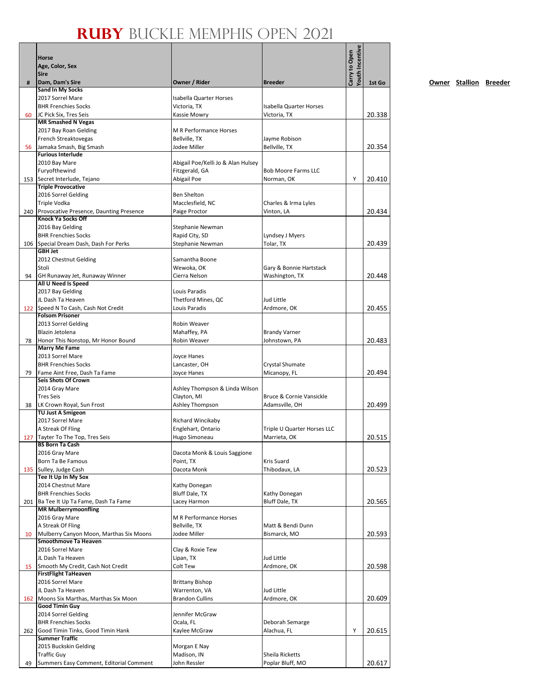|    |                                                                          |                                         |                                                | Youth Incentive |        |
|----|--------------------------------------------------------------------------|-----------------------------------------|------------------------------------------------|-----------------|--------|
|    | Horse                                                                    |                                         |                                                | Carry to Open   |        |
|    | Age, Color, Sex<br><b>Sire</b>                                           |                                         |                                                |                 |        |
| #  | Dam, Dam's Sire                                                          | Owner / Rider                           | <b>Breeder</b>                                 |                 | 1st Go |
|    | <b>Sand In My Socks</b>                                                  |                                         |                                                |                 |        |
|    | 2017 Sorrel Mare                                                         | Isabella Quarter Horses                 |                                                |                 |        |
| 60 | <b>BHR Frenchies Socks</b><br>JC Pick Six, Tres Seis                     | Victoria, TX<br>Kassie Mowry            | <b>Isabella Quarter Horses</b><br>Victoria, TX |                 | 20.338 |
|    | <b>MR Smashed N Vegas</b>                                                |                                         |                                                |                 |        |
|    | 2017 Bay Roan Gelding                                                    | <b>M R Performance Horses</b>           |                                                |                 |        |
|    | French Streaktovegas                                                     | Bellville, TX                           | Jayme Robison                                  |                 |        |
| 56 | Jamaka Smash, Big Smash                                                  | Jodee Miller                            | Bellville, TX                                  |                 | 20.354 |
|    | <b>Furious Interlude</b><br>2010 Bay Mare                                | Abigail Poe/Kelli Jo & Alan Hulsey      |                                                |                 |        |
|    | Furyofthewind                                                            | Fitzgerald, GA                          | <b>Bob Moore Farms LLC</b>                     |                 |        |
|    | 153 Secret Interlude, Tejano                                             | Abigail Poe                             | Norman, OK                                     | Υ               | 20.410 |
|    | <b>Triple Provocative</b>                                                |                                         |                                                |                 |        |
|    | 2016 Sorrel Gelding                                                      | <b>Ben Shelton</b>                      |                                                |                 |        |
|    | Triple Vodka                                                             | Macclesfield, NC                        | Charles & Irma Lyles                           |                 |        |
|    | 240 Provocative Presence, Daunting Presence<br><b>Knock Ya Socks Off</b> | Paige Proctor                           | Vinton, LA                                     |                 | 20.434 |
|    | 2016 Bay Gelding                                                         | Stephanie Newman                        |                                                |                 |        |
|    | <b>BHR Frenchies Socks</b>                                               | Rapid City, SD                          | Lyndsey J Myers                                |                 |        |
|    | 106 Special Dream Dash, Dash For Perks                                   | Stephanie Newman                        | Tolar, TX                                      |                 | 20.439 |
|    | <b>GBH Jet</b>                                                           |                                         |                                                |                 |        |
|    | 2012 Chestnut Gelding<br>Stoli                                           | Samantha Boone<br>Wewoka, OK            | Gary & Bonnie Hartstack                        |                 |        |
| 94 | GH Runaway Jet, Runaway Winner                                           | Cierra Nelson                           | Washington, TX                                 |                 | 20.448 |
|    | All U Need Is Speed                                                      |                                         |                                                |                 |        |
|    | 2017 Bay Gelding                                                         | Louis Paradis                           |                                                |                 |        |
|    | JL Dash Ta Heaven                                                        | Thetford Mines, QC                      | Jud Little                                     |                 |        |
|    | 122 Speed N To Cash, Cash Not Credit<br><b>Folsom Prisoner</b>           | Louis Paradis                           | Ardmore, OK                                    |                 | 20.455 |
|    | 2013 Sorrel Gelding                                                      | Robin Weaver                            |                                                |                 |        |
|    | Blazin Jetolena                                                          | Mahaffey, PA                            | <b>Brandy Varner</b>                           |                 |        |
| 78 | Honor This Nonstop, Mr Honor Bound                                       | Robin Weaver                            | Johnstown, PA                                  |                 | 20.483 |
|    | <b>Marry Me Fame</b>                                                     |                                         |                                                |                 |        |
|    | 2013 Sorrel Mare                                                         | Joyce Hanes                             |                                                |                 |        |
|    | <b>BHR Frenchies Socks</b>                                               | Lancaster, OH                           | Crystal Shumate                                |                 | 20.494 |
| 79 | Fame Aint Free, Dash Ta Fame<br>Seis Shots Of Crown                      | Joyce Hanes                             | Micanopy, FL                                   |                 |        |
|    | 2014 Gray Mare                                                           | Ashley Thompson & Linda Wilson          |                                                |                 |        |
|    | <b>Tres Seis</b>                                                         | Clayton, MI                             | Bruce & Cornie Vansickle                       |                 |        |
| 38 | LK Crown Royal, Sun Frost                                                | Ashley Thompson                         | Adamsville, OH                                 |                 | 20.499 |
|    | <b>TU Just A Smigeon</b><br>2017 Sorrel Mare                             |                                         |                                                |                 |        |
|    | A Streak Of Fling                                                        | Richard Wincikaby<br>Englehart, Ontario | Triple U Quarter Horses LLC                    |                 |        |
|    | 127 Tayter To The Top. Tres Seis                                         | Hugo Simoneau                           | Marrieta. OK                                   |                 | 20.515 |
|    | <b>BS Born Ta Cash</b>                                                   |                                         |                                                |                 |        |
|    | 2016 Gray Mare                                                           | Dacota Monk & Louis Saggione            |                                                |                 |        |
|    | Born Ta Be Famous                                                        | Point, TX                               | Kris Suard                                     |                 |        |
|    | 135 Sulley, Judge Cash<br>Tee It Up In My Sox                            | Dacota Monk                             | Thibodaux, LA                                  |                 | 20.523 |
|    | 2014 Chestnut Mare                                                       | Kathy Donegan                           |                                                |                 |        |
|    | <b>BHR Frenchies Socks</b>                                               | <b>Bluff Dale, TX</b>                   | Kathy Donegan                                  |                 |        |
|    | 201   Ba Tee It Up Ta Fame, Dash Ta Fame                                 | Lacey Harmon                            | Bluff Dale, TX                                 |                 | 20.565 |
|    | <b>MR Mulberrymoonfling</b>                                              |                                         |                                                |                 |        |
|    | 2016 Gray Mare<br>A Streak Of Fling                                      | M R Performance Horses<br>Bellville, TX | Matt & Bendi Dunn                              |                 |        |
| 10 | Mulberry Canyon Moon, Marthas Six Moons                                  | Jodee Miller                            | Bismarck, MO                                   |                 | 20.593 |
|    | Smoothmove Ta Heaven                                                     |                                         |                                                |                 |        |
|    | 2016 Sorrel Mare                                                         | Clay & Roxie Tew                        |                                                |                 |        |
|    | JL Dash Ta Heaven                                                        | Lipan, TX                               | Jud Little                                     |                 |        |
| 15 | Smooth My Credit, Cash Not Credit<br><b>FirstFlight TaHeaven</b>         | Colt Tew                                | Ardmore, OK                                    |                 | 20.598 |
|    | 2016 Sorrel Mare                                                         | <b>Brittany Bishop</b>                  |                                                |                 |        |
|    | JL Dash Ta Heaven                                                        | Warrenton, VA                           | Jud Little                                     |                 |        |
|    | 162 Moons Six Marthas, Marthas Six Moon                                  | <b>Brandon Cullins</b>                  | Ardmore, OK                                    |                 | 20.609 |
|    | Good Timin Guy                                                           |                                         |                                                |                 |        |
|    | 2014 Sorrel Gelding                                                      | Jennifer McGraw                         |                                                |                 |        |
|    | <b>BHR Frenchies Socks</b><br>262 Good Timin Tinks, Good Timin Hank      | Ocala, FL<br>Kaylee McGraw              | Deborah Semarge<br>Alachua, FL                 | Υ               | 20.615 |
|    | <b>Summer Traffic</b>                                                    |                                         |                                                |                 |        |
|    | 2015 Buckskin Gelding                                                    | Morgan E Nay                            |                                                |                 |        |
|    | <b>Traffic Guy</b>                                                       | Madison, IN                             | Sheila Ricketts                                |                 |        |
| 49 | Summers Easy Comment, Editorial Comment                                  | John Ressler                            | Poplar Bluff, MO                               |                 | 20.617 |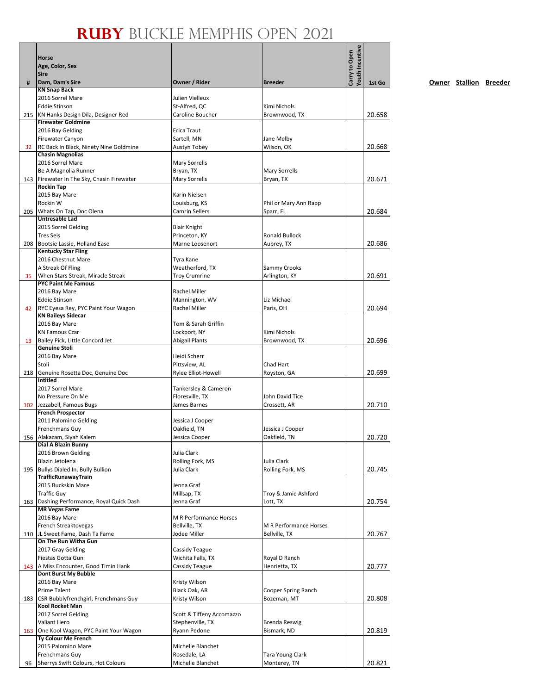|     | Horse<br>Age, Color, Sex<br><b>Sire</b>                           |                                        |                                    | <b>routh Incentive</b><br>Carry to Open |        |
|-----|-------------------------------------------------------------------|----------------------------------------|------------------------------------|-----------------------------------------|--------|
| #   | Dam, Dam's Sire                                                   | Owner / Rider                          | <b>Breeder</b>                     |                                         | 1st Go |
|     | <b>KN Snap Back</b>                                               |                                        |                                    |                                         |        |
|     | 2016 Sorrel Mare<br><b>Eddie Stinson</b>                          | Julien Vielleux                        | Kimi Nichols                       |                                         |        |
|     | 215 KN Hanks Design Dila, Designer Red                            | St-Alfred, QC<br>Caroline Boucher      | Brownwood, TX                      |                                         | 20.658 |
|     | <b>Firewater Goldmine</b>                                         |                                        |                                    |                                         |        |
|     | 2016 Bay Gelding                                                  | Erica Traut                            |                                    |                                         |        |
|     | <b>Firewater Canyon</b>                                           | Sartell, MN                            | Jane Melby                         |                                         |        |
| 32  | RC Back In Black, Ninety Nine Goldmine<br><b>Chasin Magnolias</b> | Austyn Tobey                           | Wilson, OK                         |                                         | 20.668 |
|     | 2016 Sorrel Mare                                                  | <b>Mary Sorrells</b>                   |                                    |                                         |        |
|     | Be A Magnolia Runner                                              | Bryan, TX                              | Mary Sorrells                      |                                         |        |
|     | 143 Firewater In The Sky, Chasin Firewater                        | <b>Mary Sorrells</b>                   | Bryan, TX                          |                                         | 20.671 |
|     | <b>Rockin Tap</b>                                                 |                                        |                                    |                                         |        |
|     | 2015 Bay Mare                                                     | Karin Nielsen                          |                                    |                                         |        |
|     | Rockin W<br>205 Whats On Tap, Doc Olena                           | Louisburg, KS<br><b>Camrin Sellers</b> | Phil or Mary Ann Rapp<br>Sparr, FL |                                         | 20.684 |
|     | <b>Untresable Lad</b>                                             |                                        |                                    |                                         |        |
|     | 2015 Sorrel Gelding                                               | <b>Blair Knight</b>                    |                                    |                                         |        |
|     | <b>Tres Seis</b>                                                  | Princeton, KY                          | <b>Ronald Bullock</b>              |                                         |        |
| 208 | Bootsie Lassie, Holland Ease                                      | Marne Loosenort                        | Aubrey, TX                         |                                         | 20.686 |
|     | <b>Kentucky Star Fling</b><br>2016 Chestnut Mare                  | Tyra Kane                              |                                    |                                         |        |
|     | A Streak Of Fling                                                 | Weatherford, TX                        | Sammy Crooks                       |                                         |        |
| 35  | When Stars Streak, Miracle Streak                                 | <b>Troy Crumrine</b>                   | Arlington, KY                      |                                         | 20.691 |
|     | <b>PYC Paint Me Famous</b>                                        |                                        |                                    |                                         |        |
|     | 2016 Bay Mare                                                     | Rachel Miller                          |                                    |                                         |        |
|     | <b>Eddie Stinson</b>                                              | Mannington, WV                         | Liz Michael                        |                                         |        |
| 42  | RYC Eyesa Rey, PYC Paint Your Wagon<br><b>KN Baileys Sidecar</b>  | Rachel Miller                          | Paris, OH                          |                                         | 20.694 |
|     | 2016 Bay Mare                                                     | Tom & Sarah Griffin                    |                                    |                                         |        |
|     | <b>KN Famous Czar</b>                                             | Lockport, NY                           | Kimi Nichols                       |                                         |        |
| 13  | Bailey Pick, Little Concord Jet                                   | <b>Abigail Plants</b>                  | Brownwood, TX                      |                                         | 20.696 |
|     | <b>Genuine Stoli</b>                                              |                                        |                                    |                                         |        |
|     | 2016 Bay Mare<br>Stoli                                            | Heidi Scherr<br>Pittsview, AL          | Chad Hart                          |                                         |        |
|     | 218 Genuine Rosetta Doc, Genuine Doc                              | Rylee Elliot-Howell                    | Royston, GA                        |                                         | 20.699 |
|     | <b>Intitled</b>                                                   |                                        |                                    |                                         |        |
|     | 2017 Sorrel Mare                                                  | Tankersley & Cameron                   |                                    |                                         |        |
|     | No Pressure On Me                                                 | Floresville, TX                        | John David Tice                    |                                         |        |
|     | 102 Jezzabell, Famous Bugs<br><b>French Prospector</b>            | James Barnes                           | Crossett, AR                       |                                         | 20.710 |
|     | 2011 Palomino Gelding                                             | Jessica J Cooper                       |                                    |                                         |        |
|     | <b>Frenchmans Guy</b>                                             | Oakfield, TN                           | Jessica J Cooper                   |                                         |        |
|     | 156 Alakazam, Siyah Kalem                                         | Jessica Cooper                         | Oakfield, TN                       |                                         | 20.720 |
|     | Dial A Blazin Bunny                                               |                                        |                                    |                                         |        |
|     | 2016 Brown Gelding<br>Blazin Jetolena                             | Julia Clark<br>Rolling Fork, MS        | Julia Clark                        |                                         |        |
|     | 195 Bullys Dialed In, Bully Bullion                               | Julia Clark                            | Rolling Fork, MS                   |                                         | 20.745 |
|     | <b>TrafficRunawayTrain</b>                                        |                                        |                                    |                                         |        |
|     | 2015 Buckskin Mare                                                | Jenna Graf                             |                                    |                                         |        |
|     | <b>Traffic Guy</b>                                                | Millsap, TX                            | Troy & Jamie Ashford               |                                         |        |
|     | 163 Dashing Performance, Royal Quick Dash<br><b>MR Vegas Fame</b> | Jenna Graf                             | Lott, TX                           |                                         | 20.754 |
|     | 2016 Bay Mare                                                     | M R Performance Horses                 |                                    |                                         |        |
|     | French Streaktovegas                                              | Bellville, TX                          | M R Performance Horses             |                                         |        |
|     | 110 JL Sweet Fame, Dash Ta Fame                                   | Jodee Miller                           | Bellville, TX                      |                                         | 20.767 |
|     | On The Run Witha Gun<br>2017 Gray Gelding                         | Cassidy Teague                         |                                    |                                         |        |
|     | Fiestas Gotta Gun                                                 | Wichita Falls, TX                      | Royal D Ranch                      |                                         |        |
|     | 143 A Miss Encounter, Good Timin Hank                             | Cassidy Teague                         | Henrietta, TX                      |                                         | 20.777 |
|     | Dont Burst My Bubble                                              |                                        |                                    |                                         |        |
|     | 2016 Bay Mare                                                     | Kristy Wilson                          |                                    |                                         |        |
|     | <b>Prime Talent</b>                                               | Black Oak, AR                          | Cooper Spring Ranch                |                                         |        |
|     | 183 CSR Bubblyfrenchgirl, Frenchmans Guy<br>Kool Rocket Man       | Kristy Wilson                          | Bozeman, MT                        |                                         | 20.808 |
|     | 2017 Sorrel Gelding                                               | Scott & Tiffeny Accomazzo              |                                    |                                         |        |
|     | Valiant Hero                                                      | Stephenville, TX                       | <b>Brenda Reswig</b>               |                                         |        |
|     | 163 One Kool Wagon, PYC Paint Your Wagon                          | Ryann Pedone                           | Bismark, ND                        |                                         | 20.819 |
|     | Ty Colour Me French<br>2015 Palomino Mare                         | Michelle Blanchet                      |                                    |                                         |        |
|     | Frenchmans Guy                                                    | Rosedale, LA                           | Tara Young Clark                   |                                         |        |
| 96  | Sherrys Swift Colours, Hot Colours                                | Michelle Blanchet                      | Monterey, TN                       |                                         | 20.821 |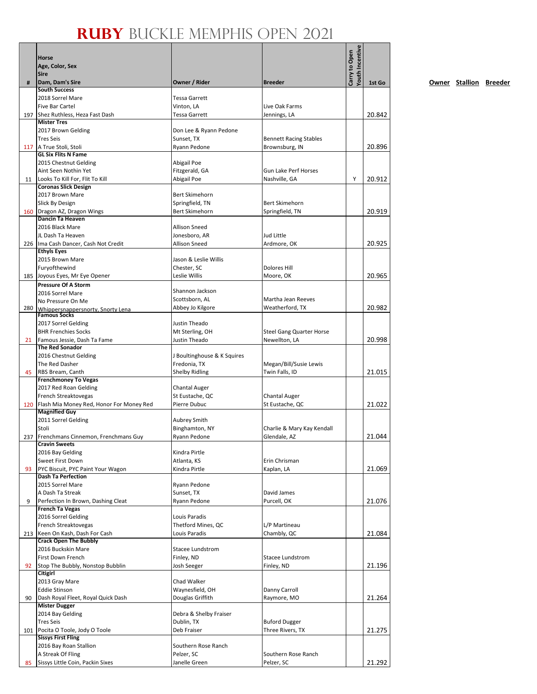|     | Horse<br>Age, Color, Sex<br><b>Sire</b>                              |                                     |                                         | <b><i>routh</i></b> Incentive<br>Carry to Open |        |
|-----|----------------------------------------------------------------------|-------------------------------------|-----------------------------------------|------------------------------------------------|--------|
| #   | Dam, Dam's Sire                                                      | Owner / Rider                       | <b>Breeder</b>                          |                                                | 1st Go |
|     | <b>South Success</b><br>2018 Sorrel Mare                             | <b>Tessa Garrett</b>                |                                         |                                                |        |
|     | <b>Five Bar Cartel</b>                                               | Vinton, LA                          | Live Oak Farms                          |                                                |        |
|     | 197 Shez Ruthless, Heza Fast Dash                                    | <b>Tessa Garrett</b>                | Jennings, LA                            |                                                | 20.842 |
|     | <b>Mister Tres</b>                                                   |                                     |                                         |                                                |        |
|     | 2017 Brown Gelding                                                   | Don Lee & Ryann Pedone              |                                         |                                                |        |
|     | <b>Tres Seis</b><br>117   A True Stoli, Stoli                        | Sunset, TX                          | <b>Bennett Racing Stables</b>           |                                                |        |
|     | <b>GL Six Flits N Fame</b>                                           | Ryann Pedone                        | Brownsburg, IN                          |                                                | 20.896 |
|     | 2015 Chestnut Gelding                                                | Abigail Poe                         |                                         |                                                |        |
|     | Aint Seen Nothin Yet                                                 | Fitzgerald, GA                      | <b>Gun Lake Perf Horses</b>             |                                                |        |
| 11  | Looks To Kill For, Flit To Kill                                      | Abigail Poe                         | Nashville, GA                           | Υ                                              | 20.912 |
|     | <b>Coronas Slick Design</b><br>2017 Brown Mare                       | <b>Bert Skimehorn</b>               |                                         |                                                |        |
|     | <b>Slick By Design</b>                                               | Springfield, TN                     | <b>Bert Skimehorn</b>                   |                                                |        |
|     | 160 Dragon AZ, Dragon Wings                                          | <b>Bert Skimehorn</b>               | Springfield, TN                         |                                                | 20.919 |
|     | Dancin Ta Heaven                                                     |                                     |                                         |                                                |        |
|     | 2016 Black Mare                                                      | <b>Allison Sneed</b>                |                                         |                                                |        |
|     | JL Dash Ta Heaven                                                    | Jonesboro, AR                       | Jud Little                              |                                                |        |
|     | 226 Ima Cash Dancer, Cash Not Credit<br><b>Ethyls Eyes</b>           | <b>Allison Sneed</b>                | Ardmore, OK                             |                                                | 20.925 |
|     | 2015 Brown Mare                                                      | Jason & Leslie Willis               |                                         |                                                |        |
|     | Furyofthewind                                                        | Chester, SC                         | <b>Dolores Hill</b>                     |                                                |        |
|     | 185 Joyous Eyes, Mr Eye Opener                                       | Leslie Willis                       | Moore, OK                               |                                                | 20.965 |
|     | <b>Pressure Of A Storm</b>                                           |                                     |                                         |                                                |        |
|     | 2016 Sorrel Mare                                                     | Shannon Jackson<br>Scottsborn, AL   | Martha Jean Reeves                      |                                                |        |
| 280 | No Pressure On Me                                                    | Abbey Jo Kilgore                    | Weatherford, TX                         |                                                | 20.982 |
|     | Whippersnappersnorty. Snorty Lena<br><b>Famous Socks</b>             |                                     |                                         |                                                |        |
|     | 2017 Sorrel Gelding                                                  | Justin Theado                       |                                         |                                                |        |
|     | <b>BHR Frenchies Socks</b>                                           | Mt Sterling, OH                     | <b>Steel Gang Quarter Horse</b>         |                                                |        |
| 21  | Famous Jessie, Dash Ta Fame<br><b>The Red Sonador</b>                | Justin Theado                       | Newellton, LA                           |                                                | 20.998 |
|     | 2016 Chestnut Gelding                                                | J Boultinghouse & K Squires         |                                         |                                                |        |
|     | The Red Dasher                                                       | Fredonia, TX                        | Megan/Bill/Susie Lewis                  |                                                |        |
| 45  | RBS Bream, Canth                                                     | <b>Shelby Ridling</b>               | Twin Falls, ID                          |                                                | 21.015 |
|     | <b>Frenchmoney To Vegas</b>                                          |                                     |                                         |                                                |        |
|     | 2017 Red Roan Gelding                                                | Chantal Auger                       |                                         |                                                |        |
|     | French Streaktovegas<br>120 Flash Mia Money Red, Honor For Money Red | St Eustache, QC<br>Pierre Dubuc     | <b>Chantal Auger</b><br>St Eustache, QC |                                                | 21.022 |
|     | <b>Magnified Guy</b>                                                 |                                     |                                         |                                                |        |
|     | 2011 Sorrel Gelding                                                  | <b>Aubrey Smith</b>                 |                                         |                                                |        |
|     | Stoli                                                                | Binghamton, NY                      | Charlie & Mary Kay Kendall              |                                                |        |
|     | 237 Frenchmans Cinnemon, Frenchmans Guy<br><b>Cravin Sweets</b>      | Ryann Pedone                        | Glendale, AZ                            |                                                | 21.044 |
|     | 2016 Bay Gelding                                                     | Kindra Pirtle                       |                                         |                                                |        |
|     | Sweet First Down                                                     | Atlanta, KS                         | Erin Chrisman                           |                                                |        |
| 93  | PYC Biscuit, PYC Paint Your Wagon                                    | Kindra Pirtle                       | Kaplan, LA                              |                                                | 21.069 |
|     | <b>Dash Ta Perfection</b>                                            |                                     |                                         |                                                |        |
|     | 2015 Sorrel Mare                                                     | Ryann Pedone                        |                                         |                                                |        |
| 9   | A Dash Ta Streak<br>Perfection In Brown, Dashing Cleat               | Sunset, TX<br>Ryann Pedone          | David James<br>Purcell, OK              |                                                | 21.076 |
|     | <b>French Ta Vegas</b>                                               |                                     |                                         |                                                |        |
|     | 2016 Sorrel Gelding                                                  | Louis Paradis                       |                                         |                                                |        |
|     | French Streaktovegas                                                 | Thetford Mines, QC                  | L/P Martineau                           |                                                |        |
|     | 213 Keen On Kash, Dash For Cash                                      | Louis Paradis                       | Chambly, QC                             |                                                | 21.084 |
|     | <b>Crack Open The Bubbly</b><br>2016 Buckskin Mare                   | Stacee Lundstrom                    |                                         |                                                |        |
|     | First Down French                                                    | Finley, ND                          | Stacee Lundstrom                        |                                                |        |
| 92  | Stop The Bubbly, Nonstop Bubblin                                     | Josh Seeger                         | Finley, ND                              |                                                | 21.196 |
|     | Citigirl                                                             |                                     |                                         |                                                |        |
|     | 2013 Gray Mare                                                       | Chad Walker                         |                                         |                                                |        |
| 90  | <b>Eddie Stinson</b><br>Dash Royal Fleet, Royal Quick Dash           | Waynesfield, OH<br>Douglas Griffith | Danny Carroll<br>Raymore, MO            |                                                | 21.264 |
|     | <b>Mister Dugger</b>                                                 |                                     |                                         |                                                |        |
|     | 2014 Bay Gelding                                                     | Debra & Shelby Fraiser              |                                         |                                                |        |
|     | <b>Tres Seis</b>                                                     | Dublin, TX                          | <b>Buford Dugger</b>                    |                                                |        |
|     | 101 Pocita O Toole, Jody O Toole                                     | Deb Fraiser                         | Three Rivers, TX                        |                                                | 21.275 |
|     | <b>Sissys First Fling</b><br>2016 Bay Roan Stallion                  | Southern Rose Ranch                 |                                         |                                                |        |
|     | A Streak Of Fling                                                    | Pelzer, SC                          | Southern Rose Ranch                     |                                                |        |
| 85  | Sissys Little Coin, Packin Sixes                                     | Janelle Green                       | Pelzer, SC                              |                                                | 21.292 |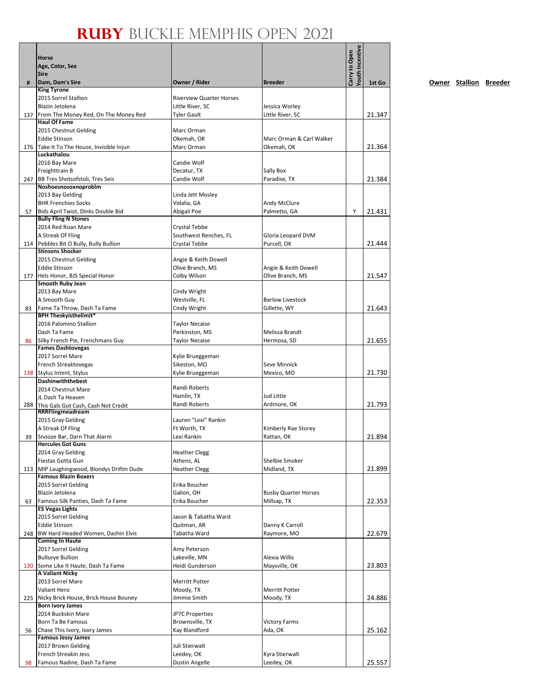|    | Horse<br>Age, Color, Sex<br><b>Sire</b>                         |                                         |                                | Youth Incentive<br>Carry to Open |        |
|----|-----------------------------------------------------------------|-----------------------------------------|--------------------------------|----------------------------------|--------|
| #  | Dam, Dam's Sire<br><b>King Tyrone</b>                           | Owner / Rider                           | <b>Breeder</b>                 |                                  | 1st Go |
|    | 2015 Sorrel Stallion                                            | <b>Riverview Quarter Horses</b>         |                                |                                  |        |
|    | Blazin Jetolena                                                 | Little River, SC                        | Jessica Worley                 |                                  |        |
|    | 137 From The Money Red, On The Money Red                        | <b>Tyler Gault</b>                      | Little River, SC               |                                  | 21.347 |
|    | <b>Haul Of Fame</b>                                             |                                         |                                |                                  |        |
|    | 2015 Chestnut Gelding<br><b>Eddie Stinson</b>                   | Marc Orman<br>Okemah, OK                | Marc Orman & Carl Walker       |                                  |        |
|    | 176 Take It To The House, Invisible Injun                       | Marc Orman                              | Okemah, OK                     |                                  | 21.364 |
|    | Luckathalou                                                     |                                         |                                |                                  |        |
|    | 2016 Bay Mare                                                   | Candie Wolf                             |                                |                                  |        |
|    | Freighttrain B                                                  | Decatur, TX                             | Sally Box                      |                                  |        |
|    | 247 BB Tres Shotsofstoli, Tres Seis<br>Noshoesnosoxnoproblm     | Candie Wolf                             | Paradise, TX                   |                                  | 21.384 |
|    | 2013 Bay Gelding                                                | Linda Jett Mosley                       |                                |                                  |        |
|    | <b>BHR Frenchies Socks</b>                                      | Vidalia, GA                             | Andy McClure                   |                                  |        |
| 57 | Bids April Twist, Dinks Double Bid                              | Abigail Poe                             | Palmetto, GA                   | Υ                                | 21.431 |
|    | <b>Bully Fling N Stones</b><br>2014 Red Roan Mare               | Crystal Tebbe                           |                                |                                  |        |
|    | A Streak Of Fling                                               | Southwest Renches, FL                   | Gloria Leopard DVM             |                                  |        |
|    | 114 Pebbles Bit O Bully, Bully Bullion                          | Crystal Tebbe                           | Purcell, OK                    |                                  | 21.444 |
|    | <b>Stinsons Shocker</b>                                         |                                         |                                |                                  |        |
|    | 2015 Chestnut Gelding                                           | Angie & Keith Dowell                    |                                |                                  |        |
|    | <b>Eddie Stinson</b>                                            | Olive Branch, MS                        | Angie & Keith Dowell           |                                  |        |
|    | 177 Hels Honor, BJS Special Honor<br><b>Smooth Ruby Jean</b>    | Colby Wilson                            | Olive Branch, MS               |                                  | 21.547 |
|    | 2013 Bay Mare                                                   | Cindy Wright                            |                                |                                  |        |
|    | A Smooth Guy                                                    | Westville, FL                           | <b>Barlow Livestock</b>        |                                  |        |
| 83 | Fame Ta Throw, Dash Ta Fame                                     | Cindy Wright                            | Gillette, WY                   |                                  | 21.643 |
|    | <b>BPH Theskyisthelimit*</b><br>2016 Palomino Stallion          |                                         |                                |                                  |        |
|    | Dash Ta Fame                                                    | <b>Taylor Necaise</b><br>Perkinston, MS | Melissa Brandt                 |                                  |        |
| 86 | Silky French Pie, Frenchmans Guy                                | <b>Taylor Necaise</b>                   | Hermosa, SD                    |                                  | 21.655 |
|    | <b>Fames Dashtovegas</b>                                        |                                         |                                |                                  |        |
|    | 2017 Sorrel Mare                                                | Kylie Brueggeman                        |                                |                                  |        |
|    | French Streaktovegas                                            | Sikeston, MO                            | Seve Minnick                   |                                  |        |
|    | 138 Stylus Intent, Stylus<br>Dashinwiththebest                  | Kylie Brueggeman                        | Mexico, MO                     |                                  | 21.730 |
|    | 2014 Chestnut Mare                                              | Randi Roberts                           |                                |                                  |        |
|    | JL Dash Ta Heaven                                               | Hamlin, TX                              | Jud Little                     |                                  |        |
|    | 288 This Gals Got Cash, Cash Not Credit                         | Randi Roberts                           | Ardmore, OK                    |                                  | 21.793 |
|    | RRRFlingmeadream<br>2015 Gray Gelding                           | Lauren "Lexi" Rankin                    |                                |                                  |        |
|    | A Streak Of Fling                                               | Ft Worth, TX                            | Kimberly Rae Storey            |                                  |        |
| 39 | Snooze Bar, Darn That Alarm                                     | Lexi Rankin                             | Rattan, OK                     |                                  | 21.894 |
|    | <b>Hercules Got Guns</b>                                        |                                         |                                |                                  |        |
|    | 2014 Gray Gelding                                               | <b>Heather Clegg</b>                    |                                |                                  |        |
|    | Fiestas Gotta Gun<br>113 MIP Laughingwood, Blondys Driftin Dude | Athens, AL<br><b>Heather Clegg</b>      | Shelbie Smoker<br>Midland, TX  |                                  | 21.899 |
|    | <b>Famous Blazin Boxers</b>                                     |                                         |                                |                                  |        |
|    | 2015 Sorrel Gelding                                             | Erika Boucher                           |                                |                                  |        |
|    | Blazin Jetolena                                                 | Galion, OH                              | <b>Busby Quarter Horses</b>    |                                  |        |
| 63 | Famous Silk Panties, Dash Ta Fame                               | Erika Boucher                           | Millsap, TX                    |                                  | 22.353 |
|    | <b>ES Vegas Lights</b><br>2015 Sorrel Gelding                   | Jason & Tabatha Ward                    |                                |                                  |        |
|    | <b>Eddie Stinson</b>                                            | Quitman, AR                             | Danny K Carroll                |                                  |        |
|    | 248 BW Hard Headed Women, Dashin Elvis                          | Tabatha Ward                            | Raymore, MO                    |                                  | 22.679 |
|    | <b>Coming In Haute</b>                                          |                                         |                                |                                  |        |
|    | 2017 Sorrel Gelding                                             | Amy Peterson                            |                                |                                  |        |
|    | <b>Bullseye Bullion</b><br>130 Some Like It Haute, Dash Ta Fame | Lakeville, MN<br>Heidi Gunderson        | Alexia Willis<br>Maysville, OK |                                  | 23.803 |
|    | <b>A Valiant Nicky</b>                                          |                                         |                                |                                  |        |
|    | 2013 Sorrel Mare                                                | Merritt Potter                          |                                |                                  |        |
|    | Valiant Hero                                                    | Moody, TX                               | Merritt Potter                 |                                  |        |
|    | 225 Nicky Brick House, Brick House Bouney                       | Jimmie Smith                            | Moody, TX                      |                                  | 24.886 |
|    | <b>Born Ivory James</b><br>2014 Buckskin Mare                   | <b>JP7C Properties</b>                  |                                |                                  |        |
|    | Born Ta Be Famous                                               | Brownsville, TX                         | Victory Farms                  |                                  |        |
| 56 | Chase This Ivory, Ivory James                                   | Kay Blandford                           | Ada, OK                        |                                  | 25.162 |
|    | <b>Famous Jessy James</b>                                       |                                         |                                |                                  |        |
|    | 2017 Brown Gelding                                              | Juli Stierwalt                          |                                |                                  |        |
| 98 | French Streakin Jess<br>Famous Nadine, Dash Ta Fame             | Leedey, OK<br><b>Dustin Angelle</b>     | Kyra Stierwalt<br>Leedey, OK   |                                  | 25.557 |
|    |                                                                 |                                         |                                |                                  |        |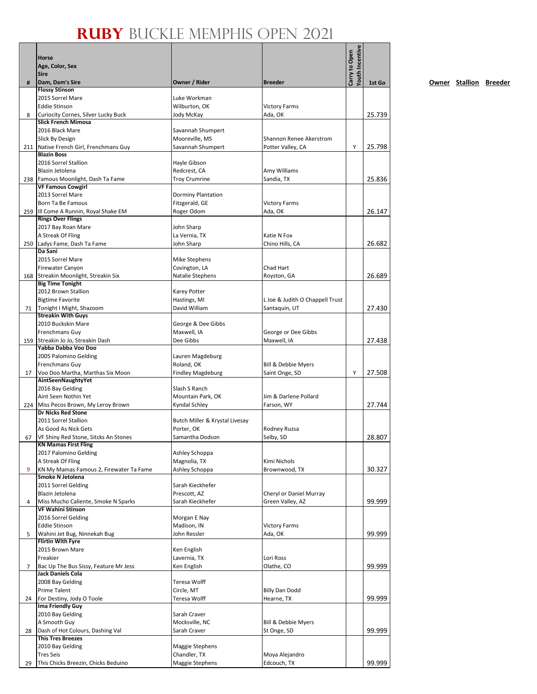|     | Horse<br>Age, Color, Sex<br>Sire                      |                                      |                                 | <b>routh Incentive</b><br>Carry to Open |        |
|-----|-------------------------------------------------------|--------------------------------------|---------------------------------|-----------------------------------------|--------|
| #   | Dam, Dam's Sire                                       | Owner / Rider                        | <b>Breeder</b>                  |                                         | 1st Go |
|     | <b>Flossy Stinson</b>                                 |                                      |                                 |                                         |        |
|     | 2015 Sorrel Mare<br><b>Eddie Stinson</b>              | Luke Workman                         | <b>Victory Farms</b>            |                                         |        |
| 8   | Curiocity Cornes, Silver Lucky Buck                   | Wilburton, OK<br>Jody McKay          | Ada, OK                         |                                         | 25.739 |
|     | <b>Slick French Mimosa</b>                            |                                      |                                 |                                         |        |
|     | 2016 Black Mare                                       | Savannah Shumpert                    |                                 |                                         |        |
|     | Slick By Design                                       | Mooreville, MS                       | Shannon Renee Akerstrom         |                                         |        |
|     | 211 Native French Girl, Frenchmans Guy                | Savannah Shumpert                    | Potter Valley, CA               | Υ                                       | 25.798 |
|     | <b>Blazin Boss</b>                                    |                                      |                                 |                                         |        |
|     | 2016 Sorrel Stallion                                  | Hayle Gibson                         |                                 |                                         |        |
|     | Blazin Jetolena<br>238 Famous Moonlight, Dash Ta Fame | Redcrest, CA<br><b>Troy Crumrine</b> | Amy Williams<br>Sandia, TX      |                                         | 25.836 |
|     | <b>VF Famous Cowgirl</b>                              |                                      |                                 |                                         |        |
|     | 2013 Sorrel Mare                                      | Dorminy Plantation                   |                                 |                                         |        |
|     | Born Ta Be Famous                                     | Fitzgerald, GE                       | <b>Victory Farms</b>            |                                         |        |
|     | 259 III Come A Runnin, Royal Shake EM                 | Roger Odom                           | Ada, OK                         |                                         | 26.147 |
|     | <b>Rings Over Flings</b>                              |                                      |                                 |                                         |        |
|     | 2017 Bay Roan Mare                                    | John Sharp                           |                                 |                                         |        |
|     | A Streak Of Fling                                     | La Vernia, TX                        | Katie N Fox                     |                                         |        |
| 250 | Ladys Fame, Dash Ta Fame<br>Da Sani                   | John Sharp                           | Chino Hills, CA                 |                                         | 26.682 |
|     | 2015 Sorrel Mare                                      | <b>Mike Stephens</b>                 |                                 |                                         |        |
|     | Firewater Canyon                                      | Covington, LA                        | Chad Hart                       |                                         |        |
| 168 | Streakin Moonlight, Streakin Six                      | Natalie Stephens                     | Royston, GA                     |                                         | 26.689 |
|     | <b>Big Time Tonight</b>                               |                                      |                                 |                                         |        |
|     | 2012 Brown Stallion                                   | Karey Potter                         |                                 |                                         |        |
|     | <b>Bigtime Favorite</b>                               | Hastings, MI                         | L Joe & Judith O Chappell Trust |                                         |        |
| 71  | Tonight I Might, Shazoom<br><b>Streakin With Guys</b> | David William                        | Santaquin, UT                   |                                         | 27.430 |
|     | 2010 Buckskin Mare                                    | George & Dee Gibbs                   |                                 |                                         |        |
|     | Frenchmans Guy                                        | Maxwell, IA                          | George or Dee Gibbs             |                                         |        |
|     | 159 Streakin Jo Jo, Streakin Dash                     | Dee Gibbs                            | Maxwell, IA                     |                                         | 27.438 |
|     | Yabba Dabba Voo Doo                                   |                                      |                                 |                                         |        |
|     | 2005 Palomino Gelding                                 | Lauren Magdeburg                     |                                 |                                         |        |
|     | Frenchmans Guy                                        | Roland, OK                           | Bill & Debbie Myers             |                                         |        |
| 17  | Voo Doo Martha, Marthas Six Moon                      | <b>Findley Magdeburg</b>             | Saint Onge, SD                  | Υ                                       | 27.508 |
|     | AintSeenNaughtyYet<br>2016 Bay Gelding                | Slash S Ranch                        |                                 |                                         |        |
|     | Aint Seen Nothin Yet                                  | Mountain Park, OK                    | Jim & Darlene Pollard           |                                         |        |
|     | 224 Miss Pecos Brown, My Leroy Brown                  | Kyndal Schley                        | Farson, WY                      |                                         | 27.744 |
|     | <b>Dr Nicks Red Stone</b>                             |                                      |                                 |                                         |        |
|     | 2011 Sorrel Stallion                                  | Butch Miller & Krystal Livesay       |                                 |                                         |        |
|     | As Good As Nick Gets                                  | Porter, OK                           | Rodney Ruzsa                    |                                         |        |
| 67  | VF Shiny Red Stone, Sitcks An Stones                  | Samantha Dodson                      | Selby, SD                       |                                         | 28.807 |
|     | <b>KN Mamas First Fling</b>                           |                                      |                                 |                                         |        |
|     | 2017 Palomino Gelding<br>A Streak Of Fling            | Ashley Schoppa<br>Magnolia, TX       | Kimi Nichols                    |                                         |        |
| 9   | KN My Mamas Famous 2, Firewater Ta Fame               | Ashley Schoppa                       | Brownwood, TX                   |                                         | 30.327 |
|     | Smoke N Jetolena                                      |                                      |                                 |                                         |        |
|     | 2011 Sorrel Gelding                                   | Sarah Kieckhefer                     |                                 |                                         |        |
|     | Blazin Jetolena                                       | Prescott, AZ                         | Cheryl or Daniel Murray         |                                         |        |
| 4   | Miss Mucho Caliente, Smoke N Sparks                   | Sarah Kieckhefer                     | Green Valley, AZ                |                                         | 99.999 |
|     | <b>VF Wahini Stinson</b>                              |                                      |                                 |                                         |        |
|     | 2016 Sorrel Gelding                                   | Morgan E Nay                         |                                 |                                         |        |
| 5   | Eddie Stinson<br>Wahini Jet Bug, Ninnekah Bug         | Madison, IN<br>John Ressler          | <b>Victory Farms</b><br>Ada, OK |                                         | 99.999 |
|     | <b>Flirtin With Fyre</b>                              |                                      |                                 |                                         |        |
|     | 2015 Brown Mare                                       | Ken English                          |                                 |                                         |        |
|     | Freakier                                              | Lavernia, TX                         | Lori Ross                       |                                         |        |
| 7   | Bac Up The Bus Sissy, Feature Mr Jess                 | Ken English                          | Olathe, CO                      |                                         | 99.999 |
|     | Jack Daniels Cola                                     |                                      |                                 |                                         |        |
|     | 2008 Bay Gelding                                      | Teresa Wolff                         |                                 |                                         |        |
|     | <b>Prime Talent</b>                                   | Circle, MT                           | <b>Billy Dan Dodd</b>           |                                         |        |
| 24  | For Destiny, Jody O Toole<br>Ima Friendly Guy         | Teresa Wolff                         | Hearne, TX                      |                                         | 99.999 |
|     | 2010 Bay Gelding                                      | Sarah Craver                         |                                 |                                         |        |
|     | A Smooth Guy                                          | Mocksville, NC                       | Bill & Debbie Myers             |                                         |        |
| 28  | Dash of Hot Colours, Dashing Val                      | Sarah Craver                         | St Onge, SD                     |                                         | 99.999 |
|     | <b>This Tres Breezes</b>                              |                                      |                                 |                                         |        |
|     | 2010 Bay Gelding                                      | Maggie Stephens                      |                                 |                                         |        |
|     | <b>Tres Seis</b>                                      | Chandler, TX                         | Moya Alejandro                  |                                         |        |
| 29  | This Chicks Breezin, Chicks Beduino                   | Maggie Stephens                      | Edcouch, TX                     |                                         | 99.999 |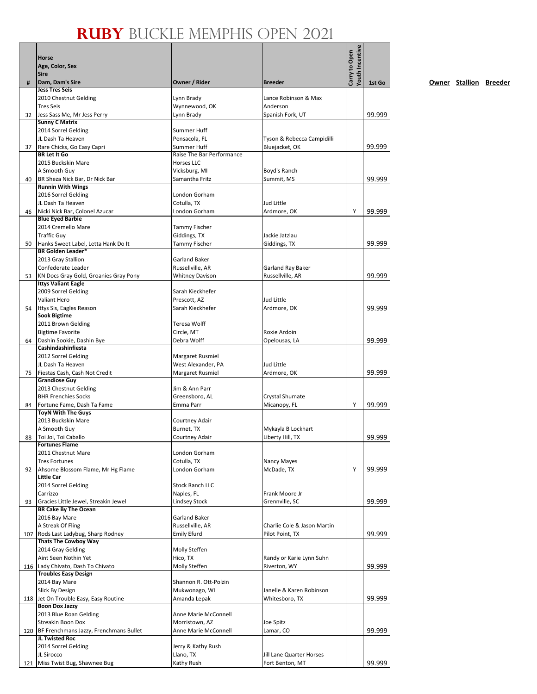|     | Horse<br>Age, Color, Sex                                        |                               |                                            | Youth Incentive<br>Carry to Open |        |
|-----|-----------------------------------------------------------------|-------------------------------|--------------------------------------------|----------------------------------|--------|
|     | <b>Sire</b>                                                     |                               |                                            |                                  |        |
| #   | Dam, Dam's Sire                                                 | Owner / Rider                 | <b>Breeder</b>                             |                                  | 1st Go |
|     | <b>Jess Tres Seis</b>                                           |                               |                                            |                                  |        |
|     | 2010 Chestnut Gelding                                           | Lynn Brady                    | Lance Robinson & Max                       |                                  |        |
| 32  | <b>Tres Seis</b>                                                | Wynnewood, OK<br>Lynn Brady   | Anderson<br>Spanish Fork, UT               |                                  | 99.999 |
|     | Jess Sass Me, Mr Jess Perry<br><b>Sunny C Matrix</b>            |                               |                                            |                                  |        |
|     | 2014 Sorrel Gelding                                             | Summer Huff                   |                                            |                                  |        |
|     | JL Dash Ta Heaven                                               | Pensacola, FL                 | Tyson & Rebecca Campidilli                 |                                  |        |
| 37  | Rare Chicks, Go Easy Capri                                      | <b>Summer Huff</b>            | Bluejacket, OK                             |                                  | 99.999 |
|     | <b>BR Let It Go</b>                                             | Raise The Bar Performance     |                                            |                                  |        |
|     | 2015 Buckskin Mare                                              | <b>Horses LLC</b>             |                                            |                                  |        |
|     | A Smooth Guy                                                    | Vicksburg, MI                 | Boyd's Ranch                               |                                  | 99.999 |
| 40  | BR Sheza Nick Bar, Dr Nick Bar<br><b>Runnin With Wings</b>      | Samantha Fritz                | Summit, MS                                 |                                  |        |
|     | 2016 Sorrel Gelding                                             | London Gorham                 |                                            |                                  |        |
|     | JL Dash Ta Heaven                                               | Cotulla, TX                   | Jud Little                                 |                                  |        |
| 46  | Nicki Nick Bar, Colonel Azucar                                  | London Gorham                 | Ardmore, OK                                | Y                                | 99.999 |
|     | <b>Blue Eyed Barbie</b>                                         |                               |                                            |                                  |        |
|     | 2014 Cremello Mare                                              | <b>Tammy Fischer</b>          |                                            |                                  |        |
|     | <b>Traffic Guy</b>                                              | Giddings, TX                  | Jackie Jatzlau                             |                                  |        |
| 50  | Hanks Sweet Label, Letta Hank Do It<br><b>BR Golden Leader*</b> | Tammy Fischer                 | Giddings, TX                               |                                  | 99.999 |
|     | 2013 Gray Stallion                                              | Garland Baker                 |                                            |                                  |        |
|     | Confederate Leader                                              | Russellville, AR              | Garland Ray Baker                          |                                  |        |
| 53  | KN Docs Gray Gold, Groanies Gray Pony                           | <b>Whitney Davison</b>        | Russellville, AR                           |                                  | 99.999 |
|     | <b>Ittys Valiant Eagle</b>                                      |                               |                                            |                                  |        |
|     | 2009 Sorrel Gelding                                             | Sarah Kieckhefer              |                                            |                                  |        |
|     | Valiant Hero                                                    | Prescott, AZ                  | Jud Little                                 |                                  |        |
| 54  | Ittys Sis, Eagles Reason<br><b>Sook Bigtime</b>                 | Sarah Kieckhefer              | Ardmore, OK                                |                                  | 99.999 |
|     | 2011 Brown Gelding                                              | Teresa Wolff                  |                                            |                                  |        |
|     | <b>Bigtime Favorite</b>                                         | Circle, MT                    | Roxie Ardoin                               |                                  |        |
| 64  | Dashin Sookie, Dashin Bye                                       | Debra Wolff                   | Opelousas, LA                              |                                  | 99.999 |
|     | Cashindashinfiesta                                              |                               |                                            |                                  |        |
|     | 2012 Sorrel Gelding                                             | Margaret Rusmiel              |                                            |                                  |        |
|     | JL Dash Ta Heaven                                               | West Alexander, PA            | Jud Little                                 |                                  |        |
| 75  | Fiestas Cash, Cash Not Credit                                   | Margaret Rusmiel              | Ardmore, OK                                |                                  | 99.999 |
|     | <b>Grandiose Guy</b>                                            | Jim & Ann Parr                |                                            |                                  |        |
|     | 2013 Chestnut Gelding<br><b>BHR Frenchies Socks</b>             | Greensboro, AL                | Crystal Shumate                            |                                  |        |
| 84  | Fortune Fame, Dash Ta Fame                                      | Emma Parr                     | Micanopy, FL                               | Υ                                | 99.999 |
|     | ToyN With The Guys                                              |                               |                                            |                                  |        |
|     | 2013 Buckskin Mare                                              | Courtney Adair                |                                            |                                  |        |
|     | A Smooth Guy                                                    | Burnet, TX                    | Mykayla B Lockhart                         |                                  |        |
|     | 88 Toi Joi, Toi Caballo                                         | Courtney Adair                | Liberty Hill, TX                           |                                  | 99.999 |
|     | <b>Fortunes Flame</b>                                           |                               |                                            |                                  |        |
|     | 2011 Chestnut Mare<br><b>Tres Fortunes</b>                      | London Gorham<br>Cotulla, TX  | Nancy Mayes                                |                                  |        |
| 92  | Ahsome Blossom Flame, Mr Hg Flame                               | London Gorham                 | McDade, TX                                 | Y                                | 99.999 |
|     | <b>Little Car</b>                                               |                               |                                            |                                  |        |
|     | 2014 Sorrel Gelding                                             | <b>Stock Ranch LLC</b>        |                                            |                                  |        |
|     | Carrizzo                                                        | Naples, FL                    | Frank Moore Jr                             |                                  |        |
| 93  | Gracies Little Jewel, Streakin Jewel                            | <b>Lindsey Stock</b>          | Grennville, SC                             |                                  | 99.999 |
|     | <b>BR Cake By The Ocean</b>                                     | <b>Garland Baker</b>          |                                            |                                  |        |
|     | 2016 Bay Mare<br>A Streak Of Fling                              | Russellville, AR              | Charlie Cole & Jason Martin                |                                  |        |
| 107 | Rods Last Ladybug, Sharp Rodney                                 | <b>Emily Efurd</b>            | Pilot Point, TX                            |                                  | 99.999 |
|     | <b>Thats The Cowboy Way</b>                                     |                               |                                            |                                  |        |
|     | 2014 Gray Gelding                                               | Molly Steffen                 |                                            |                                  |        |
|     | Aint Seen Nothin Yet                                            | Hico, TX                      | Randy or Karie Lynn Suhn                   |                                  |        |
|     | 116 Lady Chivato, Dash To Chivato                               | Molly Steffen                 | Riverton, WY                               |                                  | 99.999 |
|     | <b>Troubles Easy Design</b>                                     |                               |                                            |                                  |        |
|     | 2014 Bay Mare                                                   | Shannon R. Ott-Polzin         |                                            |                                  |        |
|     | Slick By Design<br>118 Jet On Trouble Easy, Easy Routine        | Mukwonago, WI<br>Amanda Lepak | Janelle & Karen Robinson<br>Whitesboro, TX |                                  | 99.999 |
|     | <b>Boon Dox Jazzy</b>                                           |                               |                                            |                                  |        |
|     | 2013 Blue Roan Gelding                                          | Anne Marie McConnell          |                                            |                                  |        |
|     | Streakin Boon Dox                                               | Morristown, AZ                | Joe Spitz                                  |                                  |        |
|     | 120 BF Frenchmans Jazzy, Frenchmans Bullet                      | Anne Marie McConnell          | Lamar, CO                                  |                                  | 99.999 |
|     | JL Twisted Roc                                                  |                               |                                            |                                  |        |
|     | 2014 Sorrel Gelding                                             | Jerry & Kathy Rush            |                                            |                                  |        |
|     | JL Sirocco                                                      | Llano, TX                     | Jill Lane Quarter Horses                   |                                  | 99.999 |
|     | 121 Miss Twist Bug, Shawnee Bug                                 | Kathy Rush                    | Fort Benton, MT                            |                                  |        |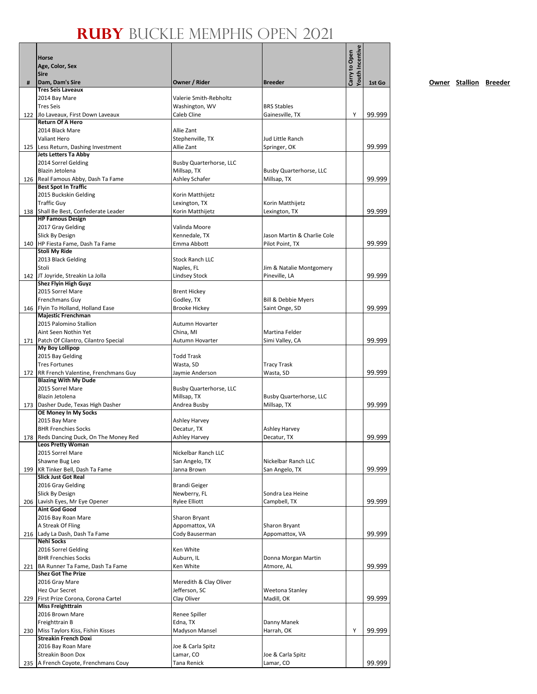| #   | Horse<br>Age, Color, Sex<br><b>Sire</b><br>Dam, Dam's Sire          | Owner / Rider                        | <b>Breeder</b>                    | Youth Incentive<br>Carry to Open | 1st Go |
|-----|---------------------------------------------------------------------|--------------------------------------|-----------------------------------|----------------------------------|--------|
|     | <b>Tres Seis Laveaux</b>                                            |                                      |                                   |                                  |        |
|     | 2014 Bay Mare                                                       | Valerie Smith-Rebholtz               |                                   |                                  |        |
|     | <b>Tres Seis</b>                                                    | Washington, WV                       | <b>BRS Stables</b>                |                                  |        |
|     | 122 Jlo Laveaux, First Down Laveaux                                 | Caleb Cline                          | Gainesville, TX                   | Υ                                | 99.999 |
|     | <b>Return Of A Hero</b>                                             |                                      |                                   |                                  |        |
|     | 2014 Black Mare                                                     | Allie Zant                           |                                   |                                  |        |
|     | <b>Valiant Hero</b><br>125 Less Return, Dashing Investment          | Stephenville, TX<br>Allie Zant       | Jud Little Ranch<br>Springer, OK  |                                  | 99.999 |
|     | Jets Letters Ta Abby                                                |                                      |                                   |                                  |        |
|     | 2014 Sorrel Gelding                                                 | <b>Busby Quarterhorse, LLC</b>       |                                   |                                  |        |
|     | Blazin Jetolena                                                     | Millsap, TX                          | Busby Quarterhorse, LLC           |                                  |        |
|     | 126   Real Famous Abby, Dash Ta Fame                                | Ashley Schafer                       | Millsap, TX                       |                                  | 99.999 |
|     | <b>Best Spot In Traffic</b>                                         |                                      |                                   |                                  |        |
|     | 2015 Buckskin Gelding                                               | Korin Matthijetz                     |                                   |                                  |        |
|     | <b>Traffic Guy</b>                                                  | Lexington, TX                        | Korin Matthijetz                  |                                  |        |
|     | 138 Shall Be Best, Confederate Leader<br><b>HP Famous Design</b>    | Korin Matthijetz                     | Lexington, TX                     |                                  | 99.999 |
|     | 2017 Gray Gelding                                                   | Valinda Moore                        |                                   |                                  |        |
|     | Slick By Design                                                     | Kennedale, TX                        | Jason Martin & Charlie Cole       |                                  |        |
|     | 140   HP Fiesta Fame, Dash Ta Fame                                  | Emma Abbott                          | Pilot Point, TX                   |                                  | 99.999 |
|     | <b>Stoli My Ride</b>                                                |                                      |                                   |                                  |        |
|     | 2013 Black Gelding                                                  | <b>Stock Ranch LLC</b>               |                                   |                                  |        |
|     | Stoli                                                               | Naples, FL                           | Jim & Natalie Montgomery          |                                  |        |
|     | 142 JT Joyride, Streakin La Jolla                                   | <b>Lindsey Stock</b>                 | Pineville, LA                     |                                  | 99.999 |
|     | <b>Shez Flyin High Guyz</b><br>2015 Sorrel Mare                     | <b>Brent Hickey</b>                  |                                   |                                  |        |
|     | Frenchmans Guy                                                      | Godley, TX                           | Bill & Debbie Myers               |                                  |        |
|     | 146 Flyin To Holland, Holland Ease                                  | <b>Brooke Hickey</b>                 | Saint Onge, SD                    |                                  | 99.999 |
|     | Majestic Frenchman                                                  |                                      |                                   |                                  |        |
|     | 2015 Palomino Stallion                                              | Autumn Hovarter                      |                                   |                                  |        |
|     | Aint Seen Nothin Yet                                                | China, MI                            | Martina Felder                    |                                  |        |
|     | 171 Patch Of Cilantro, Cilantro Special                             | Autumn Hovarter                      | Simi Valley, CA                   |                                  | 99.999 |
|     | <b>My Boy Lollipop</b>                                              |                                      |                                   |                                  |        |
|     | 2015 Bay Gelding<br><b>Tres Fortunes</b>                            | <b>Todd Trask</b><br>Wasta, SD       | <b>Tracy Trask</b>                |                                  |        |
|     | 172 RR French Valentine, Frenchmans Guy                             | Jaymie Anderson                      | Wasta, SD                         |                                  | 99.999 |
|     | <b>Blazing With My Dude</b>                                         |                                      |                                   |                                  |        |
|     | 2015 Sorrel Mare                                                    | <b>Busby Quarterhorse, LLC</b>       |                                   |                                  |        |
|     | Blazin Jetolena                                                     | Millsap, TX                          | <b>Busby Quarterhorse, LLC</b>    |                                  |        |
|     | 173 Dasher Dude, Texas High Dasher                                  | Andrea Busby                         | Millsap, TX                       |                                  | 99.999 |
|     | OE Money In My Socks                                                |                                      |                                   |                                  |        |
|     | 2015 Bay Mare<br><b>BHR Frenchies Socks</b>                         | Ashley Harvey<br>Decatur, TX         | Ashley Harvey                     |                                  |        |
|     | 178 Reds Dancing Duck, On The Money Red                             | <b>Ashlev Harvey</b>                 | Decatur, TX                       |                                  | 99.999 |
|     | <b>Leos Pretty Woman</b>                                            |                                      |                                   |                                  |        |
|     | 2015 Sorrel Mare                                                    | Nickelbar Ranch LLC                  |                                   |                                  |        |
|     | Shawne Bug Leo                                                      | San Angelo, TX                       | Nickelbar Ranch LLC               |                                  |        |
| 199 | KR Tinker Bell, Dash Ta Fame                                        | Janna Brown                          | San Angelo, TX                    |                                  | 99.999 |
|     | <b>Slick Just Got Real</b>                                          |                                      |                                   |                                  |        |
|     | 2016 Gray Gelding<br>Slick By Design                                | <b>Brandi Geiger</b>                 | Sondra Lea Heine                  |                                  |        |
| 206 | Lavish Eyes, Mr Eye Opener                                          | Newberry, FL<br><b>Rylee Elliott</b> | Campbell, TX                      |                                  | 99.999 |
|     | <b>Aint God Good</b>                                                |                                      |                                   |                                  |        |
|     | 2016 Bay Roan Mare                                                  | Sharon Bryant                        |                                   |                                  |        |
|     | A Streak Of Fling                                                   | Appomattox, VA                       | Sharon Bryant                     |                                  |        |
|     | 216 Lady La Dash, Dash Ta Fame                                      | Cody Bauserman                       | Appomattox, VA                    |                                  | 99.999 |
|     | Nehi Socks                                                          |                                      |                                   |                                  |        |
|     | 2016 Sorrel Gelding                                                 | Ken White                            |                                   |                                  |        |
|     | <b>BHR Frenchies Socks</b><br>221 BA Runner Ta Fame, Dash Ta Fame   | Auburn, IL<br>Ken White              | Donna Morgan Martin<br>Atmore, AL |                                  |        |
|     | <b>Shez Got The Prize</b>                                           |                                      |                                   |                                  | 99.999 |
|     | 2016 Gray Mare                                                      | Meredith & Clay Oliver               |                                   |                                  |        |
|     | Hez Our Secret                                                      | Jefferson, SC                        | Weetona Stanley                   |                                  |        |
|     | 229 First Prize Corona, Corona Cartel                               | Clay Oliver                          | Madill, OK                        |                                  | 99.999 |
|     | <b>Miss Freighttrain</b>                                            |                                      |                                   |                                  |        |
|     | 2016 Brown Mare                                                     | Renee Spiller                        |                                   |                                  |        |
|     | Freighttrain B                                                      | Edna, TX                             | Danny Manek                       |                                  |        |
|     | 230 Miss Taylors Kiss, Fishin Kisses<br><b>Streakin French Doxi</b> | Madyson Mansel                       | Harrah, OK                        | Υ                                | 99.999 |
|     | 2016 Bay Roan Mare                                                  | Joe & Carla Spitz                    |                                   |                                  |        |
|     | Streakin Boon Dox                                                   | Lamar, CO                            | Joe & Carla Spitz                 |                                  |        |
|     | 235   A French Coyote, Frenchmans Couy                              | Tana Renick                          | Lamar, CO                         |                                  | 99.999 |
|     |                                                                     |                                      |                                   |                                  |        |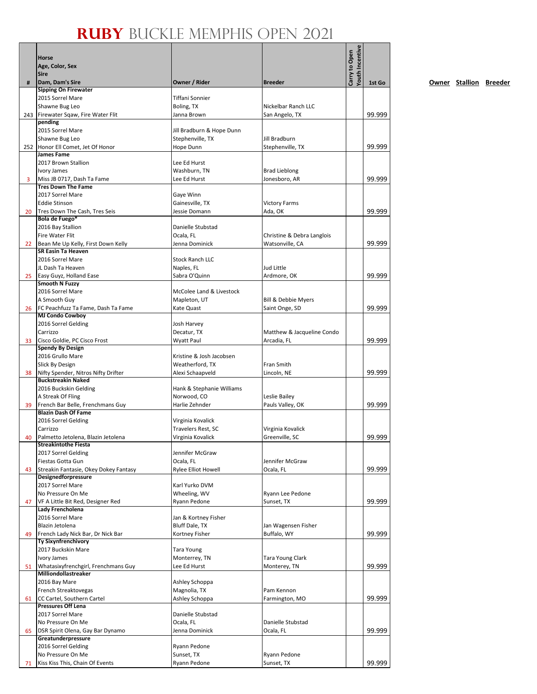|    | Horse<br>Age, Color, Sex<br><b>Sire</b>                          |                                         |                                               | <b><i>routh</i></b> Incentive<br>Carry to Open |        |
|----|------------------------------------------------------------------|-----------------------------------------|-----------------------------------------------|------------------------------------------------|--------|
| #  | Dam, Dam's Sire                                                  | Owner / Rider                           | <b>Breeder</b>                                |                                                | 1st Go |
|    | <b>Sipping On Firewater</b><br>2015 Sorrel Mare                  | Tiffani Sonnier                         |                                               |                                                |        |
|    | Shawne Bug Leo                                                   | Boling, TX                              | Nickelbar Ranch LLC                           |                                                |        |
|    | 243 Firewater Sqaw, Fire Water Flit                              | Janna Brown                             | San Angelo, TX                                |                                                | 99.999 |
|    | pending                                                          |                                         |                                               |                                                |        |
|    | 2015 Sorrel Mare                                                 | Jill Bradburn & Hope Dunn               |                                               |                                                |        |
|    | Shawne Bug Leo<br>252 Honor Ell Comet, Jet Of Honor              | Stephenville, TX<br>Hope Dunn           | Jill Bradburn<br>Stephenville, TX             |                                                | 99.999 |
|    | James Fame                                                       |                                         |                                               |                                                |        |
|    | 2017 Brown Stallion                                              | Lee Ed Hurst                            |                                               |                                                |        |
|    | Ivory James                                                      | Washburn, TN                            | <b>Brad Lieblong</b>                          |                                                |        |
| 3  | Miss JB 0717, Dash Ta Fame<br><b>Tres Down The Fame</b>          | Lee Ed Hurst                            | Jonesboro, AR                                 |                                                | 99.999 |
|    | 2017 Sorrel Mare                                                 | Gaye Winn                               |                                               |                                                |        |
|    | <b>Eddie Stinson</b>                                             | Gainesville, TX                         | <b>Victory Farms</b>                          |                                                |        |
| 20 | Tres Down The Cash, Tres Seis                                    | Jessie Domann                           | Ada, OK                                       |                                                | 99.999 |
|    | Bola de Fuego*                                                   |                                         |                                               |                                                |        |
|    | 2016 Bay Stallion<br><b>Fire Water Flit</b>                      | Danielle Stubstad                       |                                               |                                                |        |
| 22 | Bean Me Up Kelly, First Down Kelly                               | Ocala, FL<br>Jenna Dominick             | Christine & Debra Langlois<br>Watsonville, CA |                                                | 99.999 |
|    | <b>SR Easin Ta Heaven</b>                                        |                                         |                                               |                                                |        |
|    | 2016 Sorrel Mare                                                 | <b>Stock Ranch LLC</b>                  |                                               |                                                |        |
|    | JL Dash Ta Heaven                                                | Naples, FL                              | Jud Little                                    |                                                |        |
| 25 | Easy Guyz, Holland Ease<br><b>Smooth N Fuzzy</b>                 | Sabra O'Quinn                           | Ardmore, OK                                   |                                                | 99.999 |
|    | 2016 Sorrel Mare                                                 | McColee Land & Livestock                |                                               |                                                |        |
|    | A Smooth Guy                                                     | Mapleton, UT                            | Bill & Debbie Myers                           |                                                |        |
| 26 | FC Peachfuzz Ta Fame, Dash Ta Fame                               | Kate Quast                              | Saint Onge, SD                                |                                                | 99.999 |
|    | <b>MJ Condo Cowboy</b>                                           |                                         |                                               |                                                |        |
|    | 2016 Sorrel Gelding<br>Carrizzo                                  | Josh Harvey<br>Decatur, TX              | Matthew & Jacqueline Condo                    |                                                |        |
| 33 | Cisco Goldie, PC Cisco Frost                                     | Wyatt Paul                              | Arcadia, FL                                   |                                                | 99.999 |
|    | <b>Spendy By Design</b>                                          |                                         |                                               |                                                |        |
|    | 2016 Grullo Mare                                                 | Kristine & Josh Jacobsen                |                                               |                                                |        |
|    | Slick By Design                                                  | Weatherford, TX                         | Fran Smith                                    |                                                |        |
| 38 | Nifty Spender, Nitros Nifty Drifter<br><b>Buckstreakin Naked</b> | Alexi Schaapveld                        | Lincoln, NE                                   |                                                | 99.999 |
|    | 2016 Buckskin Gelding                                            | Hank & Stephanie Williams               |                                               |                                                |        |
|    | A Streak Of Fling                                                | Norwood, CO                             | Leslie Bailey                                 |                                                |        |
| 39 | French Bar Belle, Frenchmans Guy                                 | Harlie Zehnder                          | Pauls Valley, OK                              |                                                | 99.999 |
|    | <b>Blazin Dash Of Fame</b>                                       |                                         |                                               |                                                |        |
|    | 2016 Sorrel Gelding<br>Carrizzo                                  | Virginia Kovalick<br>Travelers Rest, SC | Virginia Kovalick                             |                                                |        |
| 40 | Palmetto Jetolena, Blazin Jetolena                               | Virginia Kovalick                       | Greenville, SC                                |                                                | 99.999 |
|    | <b>Streakintothe Fiesta</b>                                      |                                         |                                               |                                                |        |
|    | 2017 Sorrel Gelding                                              | Jennifer McGraw                         |                                               |                                                |        |
| 43 | Fiestas Gotta Gun<br>Streakin Fantasie, Okey Dokey Fantasy       | Ocala, FL<br><b>Rylee Elliot Howell</b> | Jennifer McGraw<br>Ocala, FL                  |                                                | 99.999 |
|    | <b>Designedforpressure</b>                                       |                                         |                                               |                                                |        |
|    | 2017 Sorrel Mare                                                 | Karl Yurko DVM                          |                                               |                                                |        |
|    | No Pressure On Me                                                | Wheeling, WV                            | Ryann Lee Pedone                              |                                                |        |
| 47 | VF A Little Bit Red, Designer Red<br>Lady Frencholena            | Ryann Pedone                            | Sunset, TX                                    |                                                | 99.999 |
|    | 2016 Sorrel Mare                                                 | Jan & Kortney Fisher                    |                                               |                                                |        |
|    | Blazin Jetolena                                                  | Bluff Dale, TX                          | Jan Wagensen Fisher                           |                                                |        |
| 49 | French Lady Nick Bar, Dr Nick Bar                                | Kortney Fisher                          | Buffalo, WY                                   |                                                | 99.999 |
|    | <b>Ty Sixynfrenchivory</b>                                       |                                         |                                               |                                                |        |
|    | 2017 Buckskin Mare<br>Ivory James                                | <b>Tara Young</b><br>Monterrey, TN      | Tara Young Clark                              |                                                |        |
| 51 | Whatasixyfrenchgirl, Frenchmans Guy                              | Lee Ed Hurst                            | Monterey, TN                                  |                                                | 99.999 |
|    | Milliondollastreaker                                             |                                         |                                               |                                                |        |
|    | 2016 Bay Mare                                                    | Ashley Schoppa                          |                                               |                                                |        |
|    | French Streaktovegas                                             | Magnolia, TX                            | Pam Kennon                                    |                                                |        |
| 61 | CC Cartel, Southern Cartel<br><b>Pressures Off Lena</b>          | Ashley Schoppa                          | Farmington, MO                                |                                                | 99.999 |
|    | 2017 Sorrel Mare                                                 | Danielle Stubstad                       |                                               |                                                |        |
|    | No Pressure On Me                                                | Ocala, FL                               | Danielle Stubstad                             |                                                |        |
| 65 | DSR Spirit Olena, Gay Bar Dynamo                                 | Jenna Dominick                          | Ocala, FL                                     |                                                | 99.999 |
|    | Greatunderpressure                                               |                                         |                                               |                                                |        |
|    | 2016 Sorrel Gelding<br>No Pressure On Me                         | Ryann Pedone<br>Sunset, TX              | Ryann Pedone                                  |                                                |        |
| 71 | Kiss Kiss This, Chain Of Events                                  | Ryann Pedone                            | Sunset, TX                                    |                                                | 99.999 |
|    |                                                                  |                                         |                                               |                                                |        |